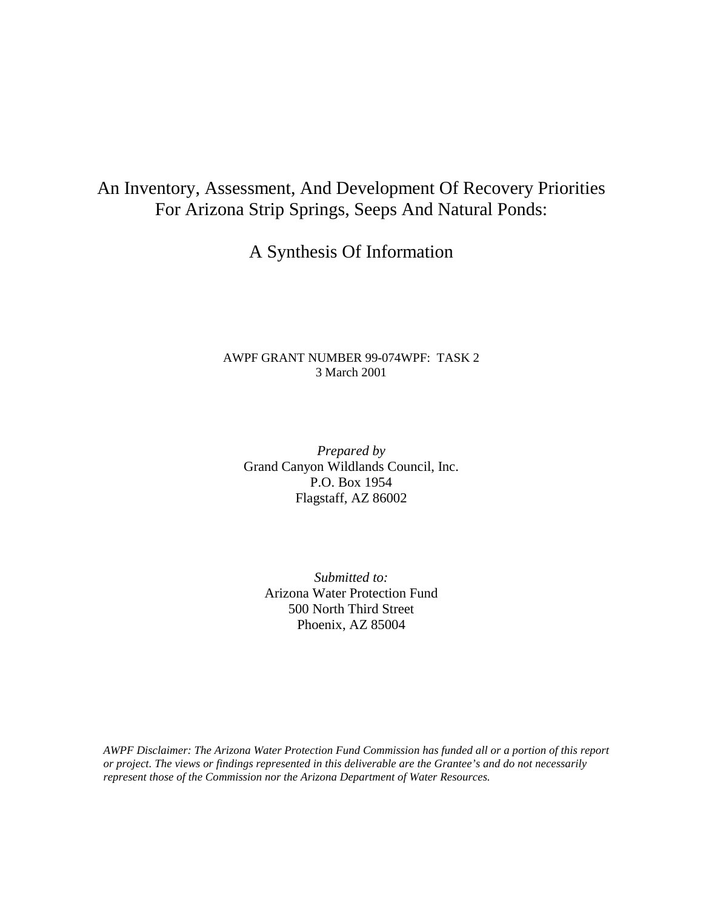# An Inventory, Assessment, And Development Of Recovery Priorities For Arizona Strip Springs, Seeps And Natural Ponds:

## A Synthesis Of Information

## AWPF GRANT NUMBER 99-074WPF: TASK 2 3 March 2001

*Prepared by*  Grand Canyon Wildlands Council, Inc. P.O. Box 1954 Flagstaff, AZ 86002

*Submitted to:*  Arizona Water Protection Fund 500 North Third Street Phoenix, AZ 85004

*AWPF Disclaimer: The Arizona Water Protection Fund Commission has funded all or a portion of this report or project. The views or findings represented in this deliverable are the Grantee's and do not necessarily represent those of the Commission nor the Arizona Department of Water Resources.*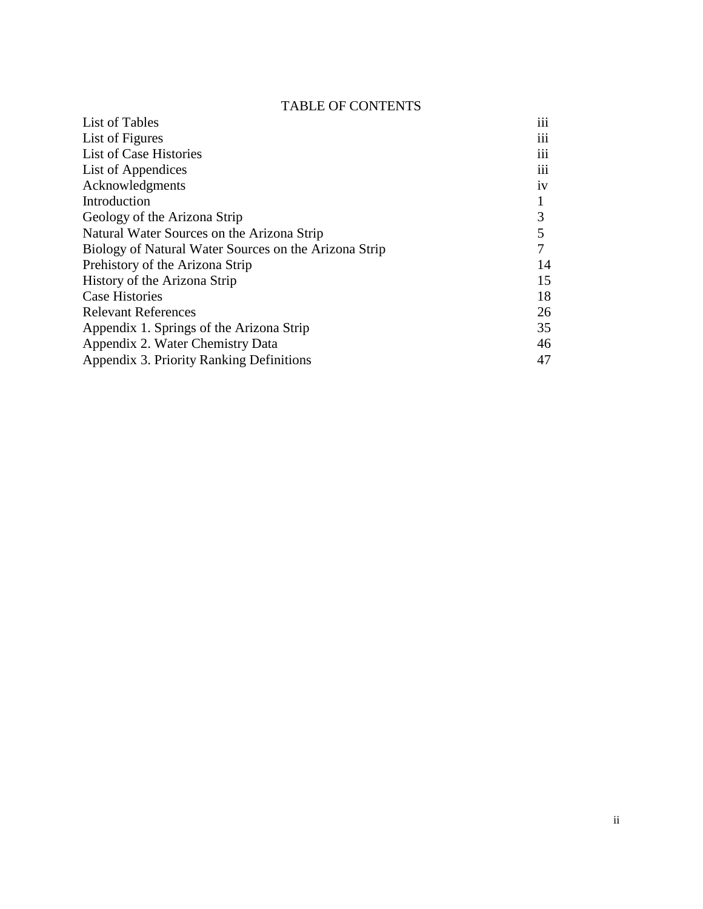## TABLE OF CONTENTS

| List of Tables                                        | $\cdots$<br>111 |
|-------------------------------------------------------|-----------------|
| List of Figures                                       | iii             |
| List of Case Histories                                | 111             |
| List of Appendices                                    | $\cdots$<br>111 |
| Acknowledgments                                       | 1V              |
| Introduction                                          |                 |
| Geology of the Arizona Strip                          | 3               |
| Natural Water Sources on the Arizona Strip            | 5               |
| Biology of Natural Water Sources on the Arizona Strip |                 |
| Prehistory of the Arizona Strip                       | 14              |
| History of the Arizona Strip                          | 15              |
| <b>Case Histories</b>                                 | 18              |
| <b>Relevant References</b>                            | 26              |
| Appendix 1. Springs of the Arizona Strip              | 35              |
| Appendix 2. Water Chemistry Data                      | 46              |
| Appendix 3. Priority Ranking Definitions              | 47              |
|                                                       |                 |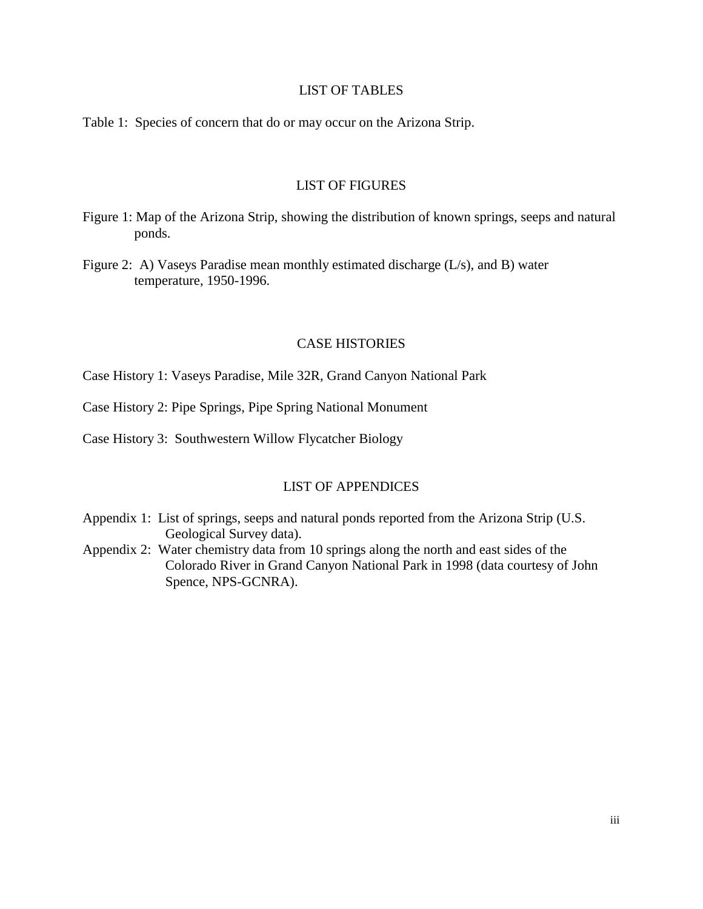## LIST OF TABLES

Table 1: Species of concern that do or may occur on the Arizona Strip.

## LIST OF FIGURES

- Figure 1: Map of the Arizona Strip, showing the distribution of known springs, seeps and natural ponds.
- Figure 2: A) Vaseys Paradise mean monthly estimated discharge (L/s), and B) water temperature, 1950-1996.

## CASE HISTORIES

Case History 1: Vaseys Paradise, Mile 32R, Grand Canyon National Park

Case History 2: Pipe Springs, Pipe Spring National Monument

Case History 3: Southwestern Willow Flycatcher Biology

## LIST OF APPENDICES

- Appendix 1: List of springs, seeps and natural ponds reported from the Arizona Strip (U.S. Geological Survey data).
- Appendix 2: Water chemistry data from 10 springs along the north and east sides of the Colorado River in Grand Canyon National Park in 1998 (data courtesy of John Spence, NPS-GCNRA).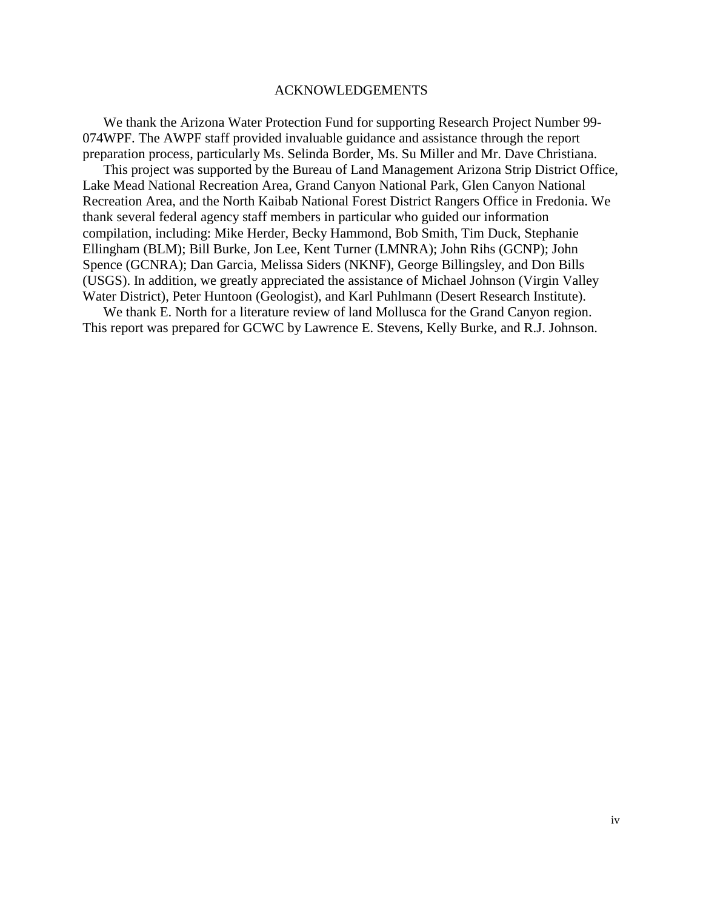#### ACKNOWLEDGEMENTS

We thank the Arizona Water Protection Fund for supporting Research Project Number 99- 074WPF. The AWPF staff provided invaluable guidance and assistance through the report preparation process, particularly Ms. Selinda Border, Ms. Su Miller and Mr. Dave Christiana.

This project was supported by the Bureau of Land Management Arizona Strip District Office, Lake Mead National Recreation Area, Grand Canyon National Park, Glen Canyon National Recreation Area, and the North Kaibab National Forest District Rangers Office in Fredonia. We thank several federal agency staff members in particular who guided our information compilation, including: Mike Herder, Becky Hammond, Bob Smith, Tim Duck, Stephanie Ellingham (BLM); Bill Burke, Jon Lee, Kent Turner (LMNRA); John Rihs (GCNP); John Spence (GCNRA); Dan Garcia, Melissa Siders (NKNF), George Billingsley, and Don Bills (USGS). In addition, we greatly appreciated the assistance of Michael Johnson (Virgin Valley Water District), Peter Huntoon (Geologist), and Karl Puhlmann (Desert Research Institute).

We thank E. North for a literature review of land Mollusca for the Grand Canyon region. This report was prepared for GCWC by Lawrence E. Stevens, Kelly Burke, and R.J. Johnson.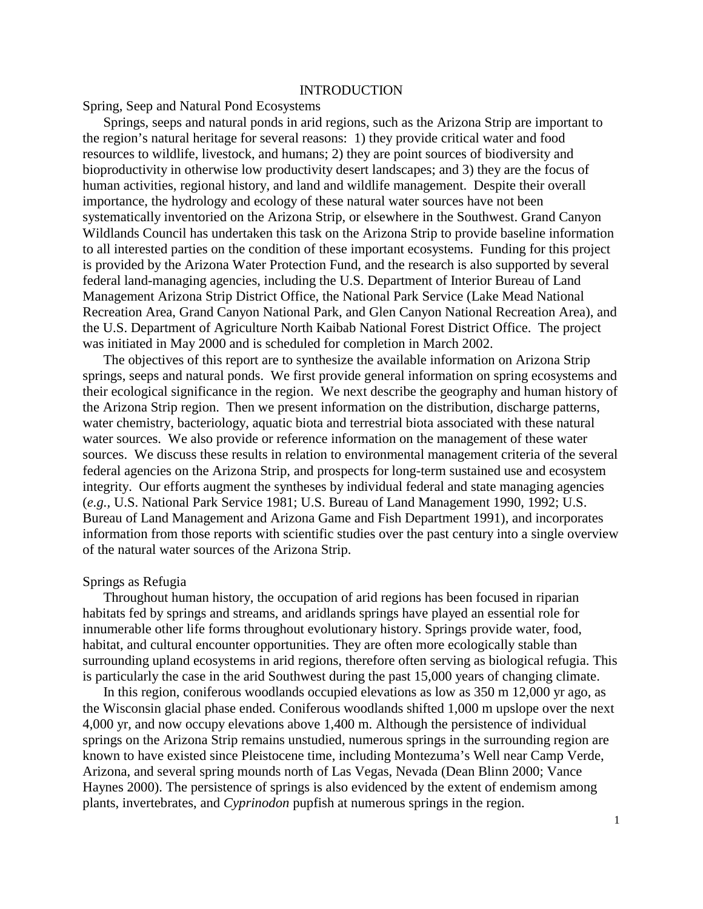#### INTRODUCTION

#### Spring, Seep and Natural Pond Ecosystems

Springs, seeps and natural ponds in arid regions, such as the Arizona Strip are important to the region's natural heritage for several reasons: 1) they provide critical water and food resources to wildlife, livestock, and humans; 2) they are point sources of biodiversity and bioproductivity in otherwise low productivity desert landscapes; and 3) they are the focus of human activities, regional history, and land and wildlife management. Despite their overall importance, the hydrology and ecology of these natural water sources have not been systematically inventoried on the Arizona Strip, or elsewhere in the Southwest. Grand Canyon Wildlands Council has undertaken this task on the Arizona Strip to provide baseline information to all interested parties on the condition of these important ecosystems. Funding for this project is provided by the Arizona Water Protection Fund, and the research is also supported by several federal land-managing agencies, including the U.S. Department of Interior Bureau of Land Management Arizona Strip District Office, the National Park Service (Lake Mead National Recreation Area, Grand Canyon National Park, and Glen Canyon National Recreation Area), and the U.S. Department of Agriculture North Kaibab National Forest District Office. The project was initiated in May 2000 and is scheduled for completion in March 2002.

The objectives of this report are to synthesize the available information on Arizona Strip springs, seeps and natural ponds. We first provide general information on spring ecosystems and their ecological significance in the region. We next describe the geography and human history of the Arizona Strip region. Then we present information on the distribution, discharge patterns, water chemistry, bacteriology, aquatic biota and terrestrial biota associated with these natural water sources. We also provide or reference information on the management of these water sources. We discuss these results in relation to environmental management criteria of the several federal agencies on the Arizona Strip, and prospects for long-term sustained use and ecosystem integrity. Our efforts augment the syntheses by individual federal and state managing agencies (*e.g.,* U.S. National Park Service 1981; U.S. Bureau of Land Management 1990, 1992; U.S. Bureau of Land Management and Arizona Game and Fish Department 1991), and incorporates information from those reports with scientific studies over the past century into a single overview of the natural water sources of the Arizona Strip.

#### Springs as Refugia

Throughout human history, the occupation of arid regions has been focused in riparian habitats fed by springs and streams, and aridlands springs have played an essential role for innumerable other life forms throughout evolutionary history. Springs provide water, food, habitat, and cultural encounter opportunities. They are often more ecologically stable than surrounding upland ecosystems in arid regions, therefore often serving as biological refugia. This is particularly the case in the arid Southwest during the past 15,000 years of changing climate.

In this region, coniferous woodlands occupied elevations as low as 350 m 12,000 yr ago, as the Wisconsin glacial phase ended. Coniferous woodlands shifted 1,000 m upslope over the next 4,000 yr, and now occupy elevations above 1,400 m. Although the persistence of individual springs on the Arizona Strip remains unstudied, numerous springs in the surrounding region are known to have existed since Pleistocene time, including Montezuma's Well near Camp Verde, Arizona, and several spring mounds north of Las Vegas, Nevada (Dean Blinn 2000; Vance Haynes 2000). The persistence of springs is also evidenced by the extent of endemism among plants, invertebrates, and *Cyprinodon* pupfish at numerous springs in the region.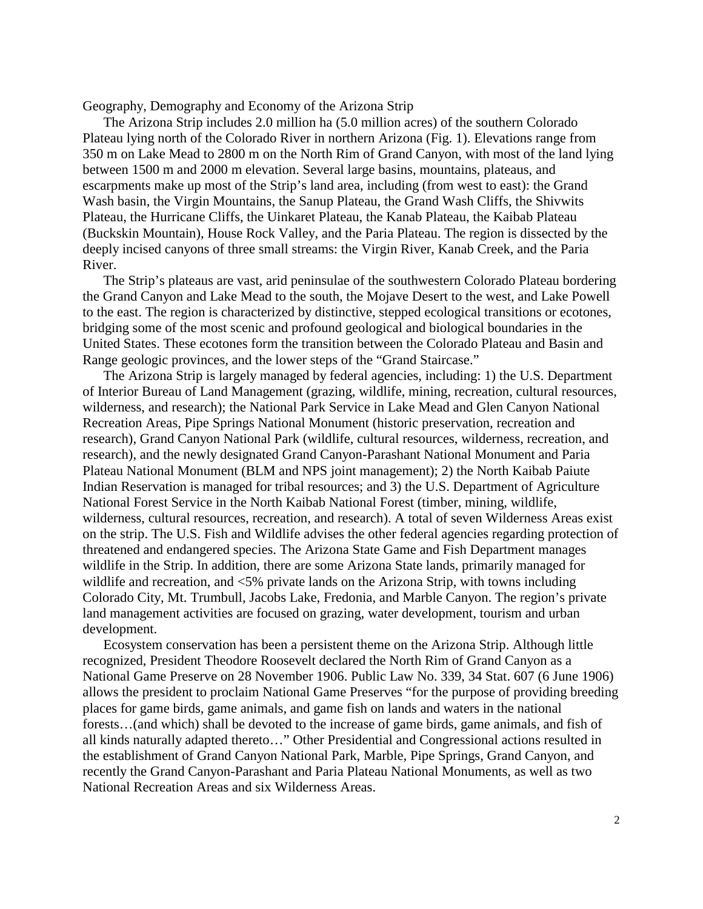Geography, Demography and Economy of the Arizona Strip

The Arizona Strip includes 2.0 million ha (5.0 million acres) of the southern Colorado Plateau lying north of the Colorado River in northern Arizona (Fig. 1). Elevations range from 350 m on Lake Mead to 2800 m on the North Rim of Grand Canyon, with most of the land lying between 1500 m and 2000 m elevation. Several large basins, mountains, plateaus, and escarpments make up most of the Strip's land area, including (from west to east): the Grand Wash basin, the Virgin Mountains, the Sanup Plateau, the Grand Wash Cliffs, the Shivwits Plateau, the Hurricane Cliffs, the Uinkaret Plateau, the Kanab Plateau, the Kaibab Plateau (Buckskin Mountain), House Rock Valley, and the Paria Plateau. The region is dissected by the deeply incised canyons of three small streams: the Virgin River, Kanab Creek, and the Paria River.

The Strip's plateaus are vast, arid peninsulae of the southwestern Colorado Plateau bordering the Grand Canyon and Lake Mead to the south, the Mojave Desert to the west, and Lake Powell to the east. The region is characterized by distinctive, stepped ecological transitions or ecotones, bridging some of the most scenic and profound geological and biological boundaries in the United States. These ecotones form the transition between the Colorado Plateau and Basin and Range geologic provinces, and the lower steps of the "Grand Staircase."

The Arizona Strip is largely managed by federal agencies, including: 1) the U.S. Department of Interior Bureau of Land Management (grazing, wildlife, mining, recreation, cultural resources, wilderness, and research); the National Park Service in Lake Mead and Glen Canyon National Recreation Areas, Pipe Springs National Monument (historic preservation, recreation and research), Grand Canyon National Park (wildlife, cultural resources, wilderness, recreation, and research), and the newly designated Grand Canyon-Parashant National Monument and Paria Plateau National Monument (BLM and NPS joint management); 2) the North Kaibab Paiute Indian Reservation is managed for tribal resources; and 3) the U.S. Department of Agriculture National Forest Service in the North Kaibab National Forest (timber, mining, wildlife, wilderness, cultural resources, recreation, and research). A total of seven Wilderness Areas exist on the strip. The U.S. Fish and Wildlife advises the other federal agencies regarding protection of threatened and endangered species. The Arizona State Game and Fish Department manages wildlife in the Strip. In addition, there are some Arizona State lands, primarily managed for wildlife and recreation, and <5% private lands on the Arizona Strip, with towns including Colorado City, Mt. Trumbull, Jacobs Lake, Fredonia, and Marble Canyon. The region's private land management activities are focused on grazing, water development, tourism and urban development.

Ecosystem conservation has been a persistent theme on the Arizona Strip. Although little recognized, President Theodore Roosevelt declared the North Rim of Grand Canyon as a National Game Preserve on 28 November 1906. Public Law No. 339, 34 Stat. 607 (6 June 1906) allows the president to proclaim National Game Preserves "for the purpose of providing breeding places for game birds, game animals, and game fish on lands and waters in the national forests…(and which) shall be devoted to the increase of game birds, game animals, and fish of all kinds naturally adapted thereto…" Other Presidential and Congressional actions resulted in the establishment of Grand Canyon National Park, Marble, Pipe Springs, Grand Canyon, and recently the Grand Canyon-Parashant and Paria Plateau National Monuments, as well as two National Recreation Areas and six Wilderness Areas.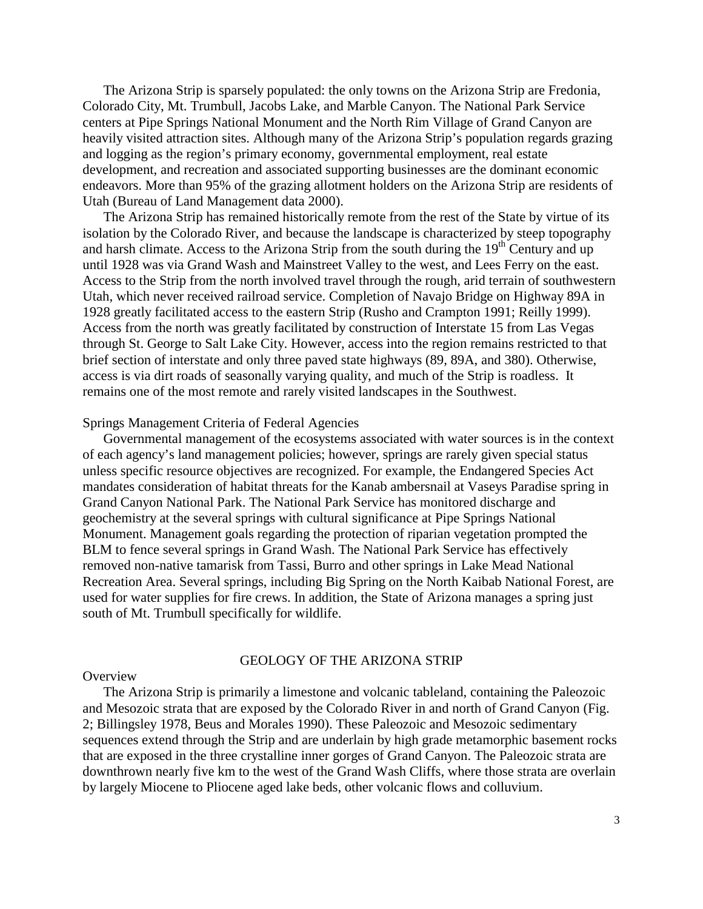The Arizona Strip is sparsely populated: the only towns on the Arizona Strip are Fredonia, Colorado City, Mt. Trumbull, Jacobs Lake, and Marble Canyon. The National Park Service centers at Pipe Springs National Monument and the North Rim Village of Grand Canyon are heavily visited attraction sites. Although many of the Arizona Strip's population regards grazing and logging as the region's primary economy, governmental employment, real estate development, and recreation and associated supporting businesses are the dominant economic endeavors. More than 95% of the grazing allotment holders on the Arizona Strip are residents of Utah (Bureau of Land Management data 2000).

The Arizona Strip has remained historically remote from the rest of the State by virtue of its isolation by the Colorado River, and because the landscape is characterized by steep topography and harsh climate. Access to the Arizona Strip from the south during the  $19<sup>th</sup>$  Century and up until 1928 was via Grand Wash and Mainstreet Valley to the west, and Lees Ferry on the east. Access to the Strip from the north involved travel through the rough, arid terrain of southwestern Utah, which never received railroad service. Completion of Navajo Bridge on Highway 89A in 1928 greatly facilitated access to the eastern Strip (Rusho and Crampton 1991; Reilly 1999). Access from the north was greatly facilitated by construction of Interstate 15 from Las Vegas through St. George to Salt Lake City. However, access into the region remains restricted to that brief section of interstate and only three paved state highways (89, 89A, and 380). Otherwise, access is via dirt roads of seasonally varying quality, and much of the Strip is roadless. It remains one of the most remote and rarely visited landscapes in the Southwest.

#### Springs Management Criteria of Federal Agencies

Governmental management of the ecosystems associated with water sources is in the context of each agency's land management policies; however, springs are rarely given special status unless specific resource objectives are recognized. For example, the Endangered Species Act mandates consideration of habitat threats for the Kanab ambersnail at Vaseys Paradise spring in Grand Canyon National Park. The National Park Service has monitored discharge and geochemistry at the several springs with cultural significance at Pipe Springs National Monument. Management goals regarding the protection of riparian vegetation prompted the BLM to fence several springs in Grand Wash. The National Park Service has effectively removed non-native tamarisk from Tassi, Burro and other springs in Lake Mead National Recreation Area. Several springs, including Big Spring on the North Kaibab National Forest, are used for water supplies for fire crews. In addition, the State of Arizona manages a spring just south of Mt. Trumbull specifically for wildlife.

#### GEOLOGY OF THE ARIZONA STRIP

#### **Overview**

The Arizona Strip is primarily a limestone and volcanic tableland, containing the Paleozoic and Mesozoic strata that are exposed by the Colorado River in and north of Grand Canyon (Fig. 2; Billingsley 1978, Beus and Morales 1990). These Paleozoic and Mesozoic sedimentary sequences extend through the Strip and are underlain by high grade metamorphic basement rocks that are exposed in the three crystalline inner gorges of Grand Canyon. The Paleozoic strata are downthrown nearly five km to the west of the Grand Wash Cliffs, where those strata are overlain by largely Miocene to Pliocene aged lake beds, other volcanic flows and colluvium.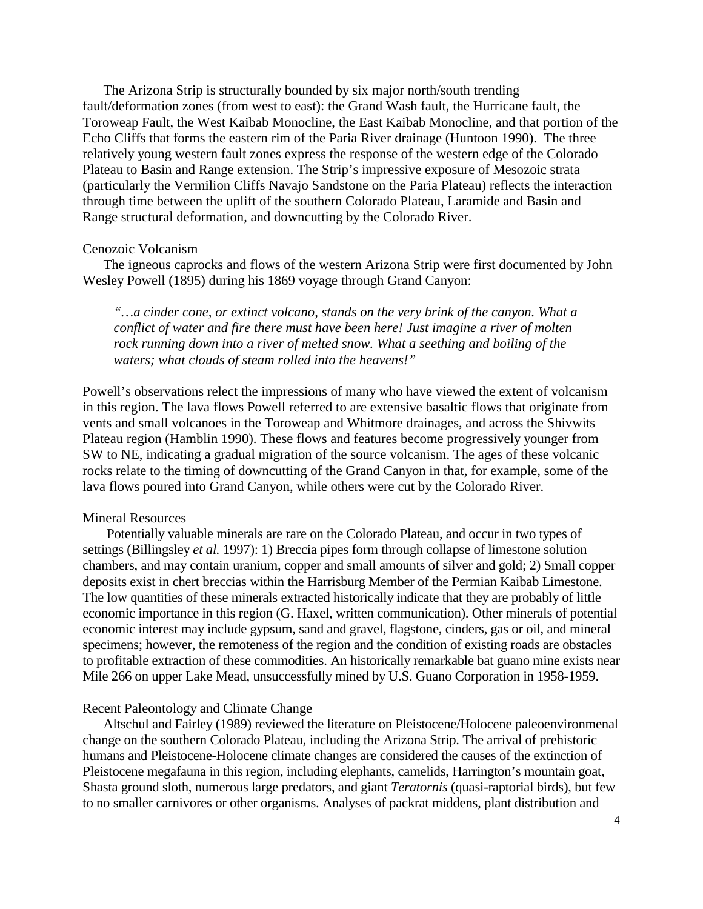The Arizona Strip is structurally bounded by six major north/south trending fault/deformation zones (from west to east): the Grand Wash fault, the Hurricane fault, the Toroweap Fault, the West Kaibab Monocline, the East Kaibab Monocline, and that portion of the Echo Cliffs that forms the eastern rim of the Paria River drainage (Huntoon 1990). The three relatively young western fault zones express the response of the western edge of the Colorado Plateau to Basin and Range extension. The Strip's impressive exposure of Mesozoic strata (particularly the Vermilion Cliffs Navajo Sandstone on the Paria Plateau) reflects the interaction through time between the uplift of the southern Colorado Plateau, Laramide and Basin and Range structural deformation, and downcutting by the Colorado River.

#### Cenozoic Volcanism

The igneous caprocks and flows of the western Arizona Strip were first documented by John Wesley Powell (1895) during his 1869 voyage through Grand Canyon:

*"…a cinder cone, or extinct volcano, stands on the very brink of the canyon. What a conflict of water and fire there must have been here! Just imagine a river of molten rock running down into a river of melted snow. What a seething and boiling of the waters; what clouds of steam rolled into the heavens!"* 

Powell's observations relect the impressions of many who have viewed the extent of volcanism in this region. The lava flows Powell referred to are extensive basaltic flows that originate from vents and small volcanoes in the Toroweap and Whitmore drainages, and across the Shivwits Plateau region (Hamblin 1990). These flows and features become progressively younger from SW to NE, indicating a gradual migration of the source volcanism. The ages of these volcanic rocks relate to the timing of downcutting of the Grand Canyon in that, for example, some of the lava flows poured into Grand Canyon, while others were cut by the Colorado River.

#### Mineral Resources

 Potentially valuable minerals are rare on the Colorado Plateau, and occur in two types of settings (Billingsley *et al.* 1997): 1) Breccia pipes form through collapse of limestone solution chambers, and may contain uranium, copper and small amounts of silver and gold; 2) Small copper deposits exist in chert breccias within the Harrisburg Member of the Permian Kaibab Limestone. The low quantities of these minerals extracted historically indicate that they are probably of little economic importance in this region (G. Haxel, written communication). Other minerals of potential economic interest may include gypsum, sand and gravel, flagstone, cinders, gas or oil, and mineral specimens; however, the remoteness of the region and the condition of existing roads are obstacles to profitable extraction of these commodities. An historically remarkable bat guano mine exists near Mile 266 on upper Lake Mead, unsuccessfully mined by U.S. Guano Corporation in 1958-1959.

#### Recent Paleontology and Climate Change

Altschul and Fairley (1989) reviewed the literature on Pleistocene/Holocene paleoenvironmenal change on the southern Colorado Plateau, including the Arizona Strip. The arrival of prehistoric humans and Pleistocene-Holocene climate changes are considered the causes of the extinction of Pleistocene megafauna in this region, including elephants, camelids, Harrington's mountain goat, Shasta ground sloth, numerous large predators, and giant *Teratornis* (quasi-raptorial birds), but few to no smaller carnivores or other organisms. Analyses of packrat middens, plant distribution and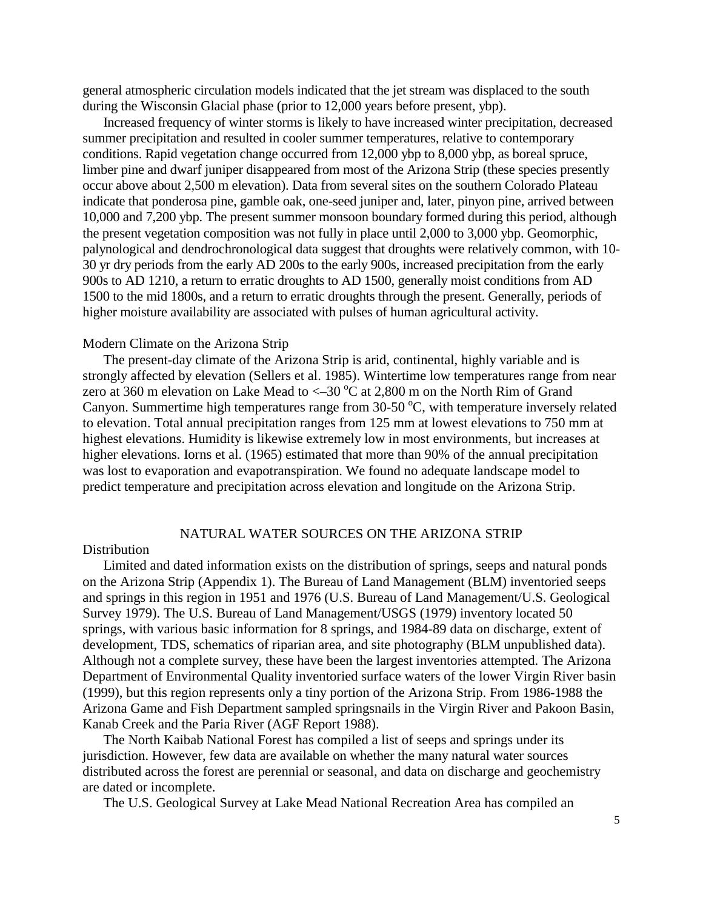general atmospheric circulation models indicated that the jet stream was displaced to the south during the Wisconsin Glacial phase (prior to 12,000 years before present, ybp).

Increased frequency of winter storms is likely to have increased winter precipitation, decreased summer precipitation and resulted in cooler summer temperatures, relative to contemporary conditions. Rapid vegetation change occurred from 12,000 ybp to 8,000 ybp, as boreal spruce, limber pine and dwarf juniper disappeared from most of the Arizona Strip (these species presently occur above about 2,500 m elevation). Data from several sites on the southern Colorado Plateau indicate that ponderosa pine, gamble oak, one-seed juniper and, later, pinyon pine, arrived between 10,000 and 7,200 ybp. The present summer monsoon boundary formed during this period, although the present vegetation composition was not fully in place until 2,000 to 3,000 ybp. Geomorphic, palynological and dendrochronological data suggest that droughts were relatively common, with 10- 30 yr dry periods from the early AD 200s to the early 900s, increased precipitation from the early 900s to AD 1210, a return to erratic droughts to AD 1500, generally moist conditions from AD 1500 to the mid 1800s, and a return to erratic droughts through the present. Generally, periods of higher moisture availability are associated with pulses of human agricultural activity.

#### Modern Climate on the Arizona Strip

The present-day climate of the Arizona Strip is arid, continental, highly variable and is strongly affected by elevation (Sellers et al. 1985). Wintertime low temperatures range from near zero at 360 m elevation on Lake Mead to  $\leq$  30 °C at 2,800 m on the North Rim of Grand Canyon. Summertime high temperatures range from  $30-50$  °C, with temperature inversely related to elevation. Total annual precipitation ranges from 125 mm at lowest elevations to 750 mm at highest elevations. Humidity is likewise extremely low in most environments, but increases at higher elevations. Iorns et al. (1965) estimated that more than 90% of the annual precipitation was lost to evaporation and evapotranspiration. We found no adequate landscape model to predict temperature and precipitation across elevation and longitude on the Arizona Strip.

#### NATURAL WATER SOURCES ON THE ARIZONA STRIP

#### Distribution

Limited and dated information exists on the distribution of springs, seeps and natural ponds on the Arizona Strip (Appendix 1). The Bureau of Land Management (BLM) inventoried seeps and springs in this region in 1951 and 1976 (U.S. Bureau of Land Management/U.S. Geological Survey 1979). The U.S. Bureau of Land Management/USGS (1979) inventory located 50 springs, with various basic information for 8 springs, and 1984-89 data on discharge, extent of development, TDS, schematics of riparian area, and site photography (BLM unpublished data). Although not a complete survey, these have been the largest inventories attempted. The Arizona Department of Environmental Quality inventoried surface waters of the lower Virgin River basin (1999), but this region represents only a tiny portion of the Arizona Strip. From 1986-1988 the Arizona Game and Fish Department sampled springsnails in the Virgin River and Pakoon Basin, Kanab Creek and the Paria River (AGF Report 1988).

The North Kaibab National Forest has compiled a list of seeps and springs under its jurisdiction. However, few data are available on whether the many natural water sources distributed across the forest are perennial or seasonal, and data on discharge and geochemistry are dated or incomplete.

The U.S. Geological Survey at Lake Mead National Recreation Area has compiled an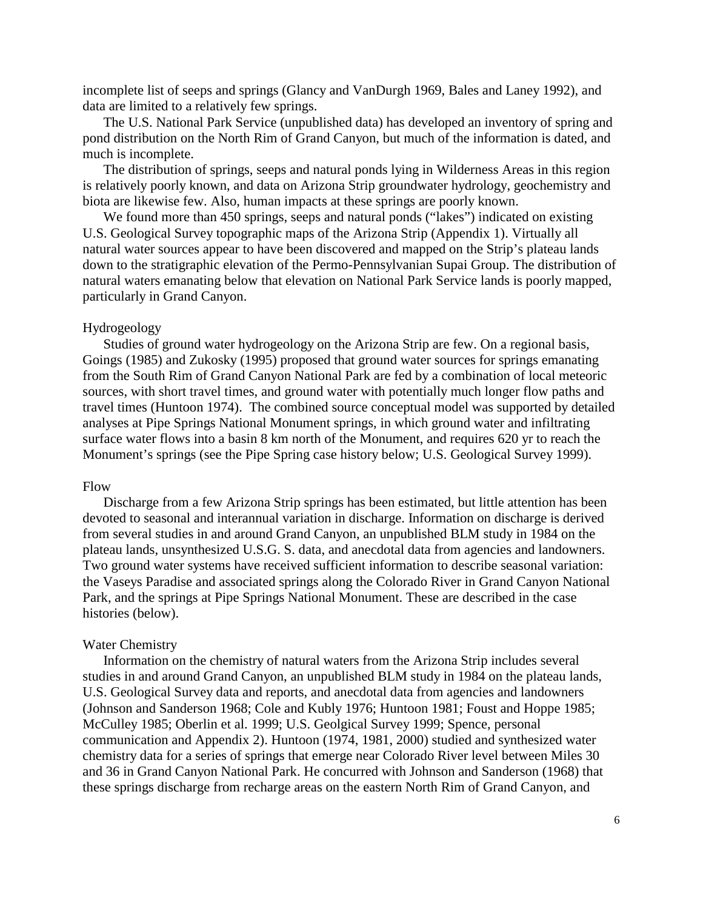incomplete list of seeps and springs (Glancy and VanDurgh 1969, Bales and Laney 1992), and data are limited to a relatively few springs.

The U.S. National Park Service (unpublished data) has developed an inventory of spring and pond distribution on the North Rim of Grand Canyon, but much of the information is dated, and much is incomplete.

The distribution of springs, seeps and natural ponds lying in Wilderness Areas in this region is relatively poorly known, and data on Arizona Strip groundwater hydrology, geochemistry and biota are likewise few. Also, human impacts at these springs are poorly known.

We found more than 450 springs, seeps and natural ponds ("lakes") indicated on existing U.S. Geological Survey topographic maps of the Arizona Strip (Appendix 1). Virtually all natural water sources appear to have been discovered and mapped on the Strip's plateau lands down to the stratigraphic elevation of the Permo-Pennsylvanian Supai Group. The distribution of natural waters emanating below that elevation on National Park Service lands is poorly mapped, particularly in Grand Canyon.

#### Hydrogeology

Studies of ground water hydrogeology on the Arizona Strip are few. On a regional basis, Goings (1985) and Zukosky (1995) proposed that ground water sources for springs emanating from the South Rim of Grand Canyon National Park are fed by a combination of local meteoric sources, with short travel times, and ground water with potentially much longer flow paths and travel times (Huntoon 1974). The combined source conceptual model was supported by detailed analyses at Pipe Springs National Monument springs, in which ground water and infiltrating surface water flows into a basin 8 km north of the Monument, and requires 620 yr to reach the Monument's springs (see the Pipe Spring case history below; U.S. Geological Survey 1999).

#### Flow

Discharge from a few Arizona Strip springs has been estimated, but little attention has been devoted to seasonal and interannual variation in discharge. Information on discharge is derived from several studies in and around Grand Canyon, an unpublished BLM study in 1984 on the plateau lands, unsynthesized U.S.G. S. data, and anecdotal data from agencies and landowners. Two ground water systems have received sufficient information to describe seasonal variation: the Vaseys Paradise and associated springs along the Colorado River in Grand Canyon National Park, and the springs at Pipe Springs National Monument. These are described in the case histories (below).

#### Water Chemistry

Information on the chemistry of natural waters from the Arizona Strip includes several studies in and around Grand Canyon, an unpublished BLM study in 1984 on the plateau lands, U.S. Geological Survey data and reports, and anecdotal data from agencies and landowners (Johnson and Sanderson 1968; Cole and Kubly 1976; Huntoon 1981; Foust and Hoppe 1985; McCulley 1985; Oberlin et al. 1999; U.S. Geolgical Survey 1999; Spence, personal communication and Appendix 2). Huntoon (1974, 1981, 2000) studied and synthesized water chemistry data for a series of springs that emerge near Colorado River level between Miles 30 and 36 in Grand Canyon National Park. He concurred with Johnson and Sanderson (1968) that these springs discharge from recharge areas on the eastern North Rim of Grand Canyon, and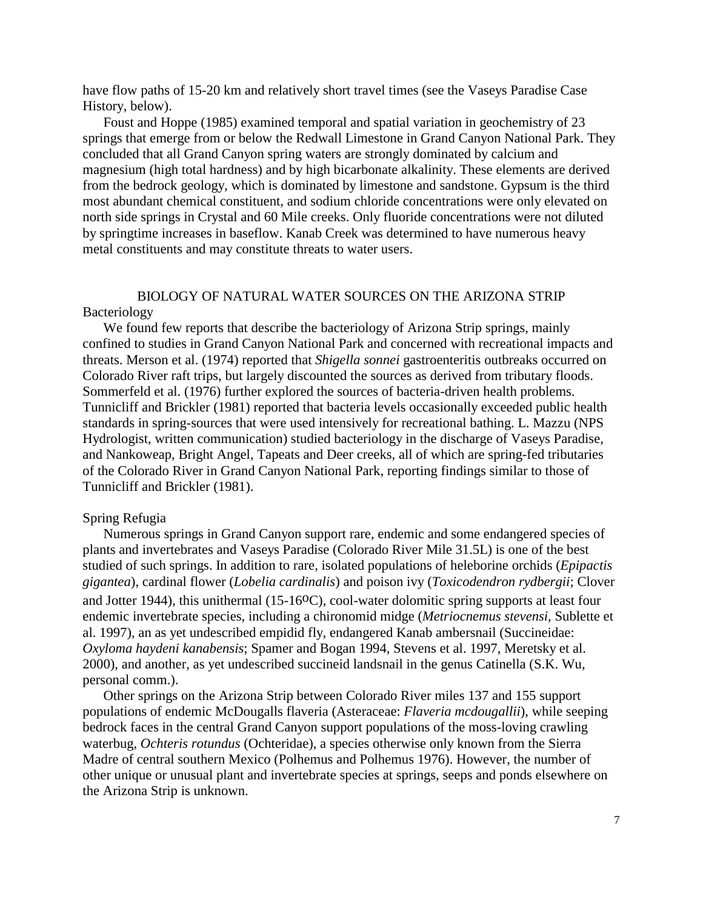have flow paths of 15-20 km and relatively short travel times (see the Vaseys Paradise Case History, below).

Foust and Hoppe (1985) examined temporal and spatial variation in geochemistry of 23 springs that emerge from or below the Redwall Limestone in Grand Canyon National Park. They concluded that all Grand Canyon spring waters are strongly dominated by calcium and magnesium (high total hardness) and by high bicarbonate alkalinity. These elements are derived from the bedrock geology, which is dominated by limestone and sandstone. Gypsum is the third most abundant chemical constituent, and sodium chloride concentrations were only elevated on north side springs in Crystal and 60 Mile creeks. Only fluoride concentrations were not diluted by springtime increases in baseflow. Kanab Creek was determined to have numerous heavy metal constituents and may constitute threats to water users.

## BIOLOGY OF NATURAL WATER SOURCES ON THE ARIZONA STRIP Bacteriology

We found few reports that describe the bacteriology of Arizona Strip springs, mainly confined to studies in Grand Canyon National Park and concerned with recreational impacts and threats. Merson et al. (1974) reported that *Shigella sonnei* gastroenteritis outbreaks occurred on Colorado River raft trips, but largely discounted the sources as derived from tributary floods. Sommerfeld et al. (1976) further explored the sources of bacteria-driven health problems. Tunnicliff and Brickler (1981) reported that bacteria levels occasionally exceeded public health standards in spring-sources that were used intensively for recreational bathing. L. Mazzu (NPS Hydrologist, written communication) studied bacteriology in the discharge of Vaseys Paradise, and Nankoweap, Bright Angel, Tapeats and Deer creeks, all of which are spring-fed tributaries of the Colorado River in Grand Canyon National Park, reporting findings similar to those of Tunnicliff and Brickler (1981).

#### Spring Refugia

Numerous springs in Grand Canyon support rare, endemic and some endangered species of plants and invertebrates and Vaseys Paradise (Colorado River Mile 31.5L) is one of the best studied of such springs. In addition to rare, isolated populations of heleborine orchids (*Epipactis gigantea*), cardinal flower (*Lobelia cardinalis*) and poison ivy (*Toxicodendron rydbergii*; Clover and Jotter 1944), this unithermal  $(15{\text -}16^{\circ}\text{C})$ , cool-water dolomitic spring supports at least four endemic invertebrate species, including a chironomid midge (*Metriocnemus stevensi*, Sublette et al. 1997), an as yet undescribed empidid fly, endangered Kanab ambersnail (Succineidae: *Oxyloma haydeni kanabensis*; Spamer and Bogan 1994, Stevens et al. 1997, Meretsky et al. 2000), and another, as yet undescribed succineid landsnail in the genus Catinella (S.K. Wu, personal comm.).

Other springs on the Arizona Strip between Colorado River miles 137 and 155 support populations of endemic McDougalls flaveria (Asteraceae: *Flaveria mcdougallii*), while seeping bedrock faces in the central Grand Canyon support populations of the moss-loving crawling waterbug, *Ochteris rotundus* (Ochteridae), a species otherwise only known from the Sierra Madre of central southern Mexico (Polhemus and Polhemus 1976). However, the number of other unique or unusual plant and invertebrate species at springs, seeps and ponds elsewhere on the Arizona Strip is unknown.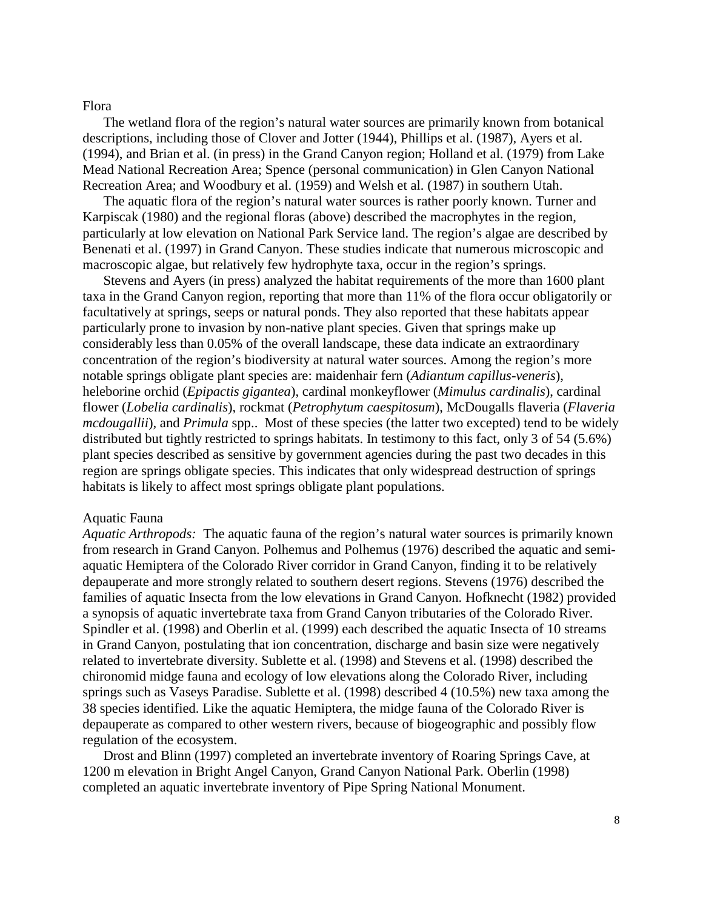#### Flora

The wetland flora of the region's natural water sources are primarily known from botanical descriptions, including those of Clover and Jotter (1944), Phillips et al. (1987), Ayers et al. (1994), and Brian et al. (in press) in the Grand Canyon region; Holland et al. (1979) from Lake Mead National Recreation Area; Spence (personal communication) in Glen Canyon National Recreation Area; and Woodbury et al. (1959) and Welsh et al. (1987) in southern Utah.

The aquatic flora of the region's natural water sources is rather poorly known. Turner and Karpiscak (1980) and the regional floras (above) described the macrophytes in the region, particularly at low elevation on National Park Service land. The region's algae are described by Benenati et al. (1997) in Grand Canyon. These studies indicate that numerous microscopic and macroscopic algae, but relatively few hydrophyte taxa, occur in the region's springs.

Stevens and Ayers (in press) analyzed the habitat requirements of the more than 1600 plant taxa in the Grand Canyon region, reporting that more than 11% of the flora occur obligatorily or facultatively at springs, seeps or natural ponds. They also reported that these habitats appear particularly prone to invasion by non-native plant species. Given that springs make up considerably less than 0.05% of the overall landscape, these data indicate an extraordinary concentration of the region's biodiversity at natural water sources. Among the region's more notable springs obligate plant species are: maidenhair fern (*Adiantum capillus-veneris*), heleborine orchid (*Epipactis gigantea*), cardinal monkeyflower (*Mimulus cardinalis*), cardinal flower (*Lobelia cardinalis*), rockmat (*Petrophytum caespitosum*), McDougalls flaveria (*Flaveria mcdougallii*), and *Primula* spp.. Most of these species (the latter two excepted) tend to be widely distributed but tightly restricted to springs habitats. In testimony to this fact, only 3 of 54 (5.6%) plant species described as sensitive by government agencies during the past two decades in this region are springs obligate species. This indicates that only widespread destruction of springs habitats is likely to affect most springs obligate plant populations.

#### Aquatic Fauna

*Aquatic Arthropods:* The aquatic fauna of the region's natural water sources is primarily known from research in Grand Canyon. Polhemus and Polhemus (1976) described the aquatic and semiaquatic Hemiptera of the Colorado River corridor in Grand Canyon, finding it to be relatively depauperate and more strongly related to southern desert regions. Stevens (1976) described the families of aquatic Insecta from the low elevations in Grand Canyon. Hofknecht (1982) provided a synopsis of aquatic invertebrate taxa from Grand Canyon tributaries of the Colorado River. Spindler et al. (1998) and Oberlin et al. (1999) each described the aquatic Insecta of 10 streams in Grand Canyon, postulating that ion concentration, discharge and basin size were negatively related to invertebrate diversity. Sublette et al. (1998) and Stevens et al. (1998) described the chironomid midge fauna and ecology of low elevations along the Colorado River, including springs such as Vaseys Paradise. Sublette et al. (1998) described 4 (10.5%) new taxa among the 38 species identified. Like the aquatic Hemiptera, the midge fauna of the Colorado River is depauperate as compared to other western rivers, because of biogeographic and possibly flow regulation of the ecosystem.

Drost and Blinn (1997) completed an invertebrate inventory of Roaring Springs Cave, at 1200 m elevation in Bright Angel Canyon, Grand Canyon National Park. Oberlin (1998) completed an aquatic invertebrate inventory of Pipe Spring National Monument.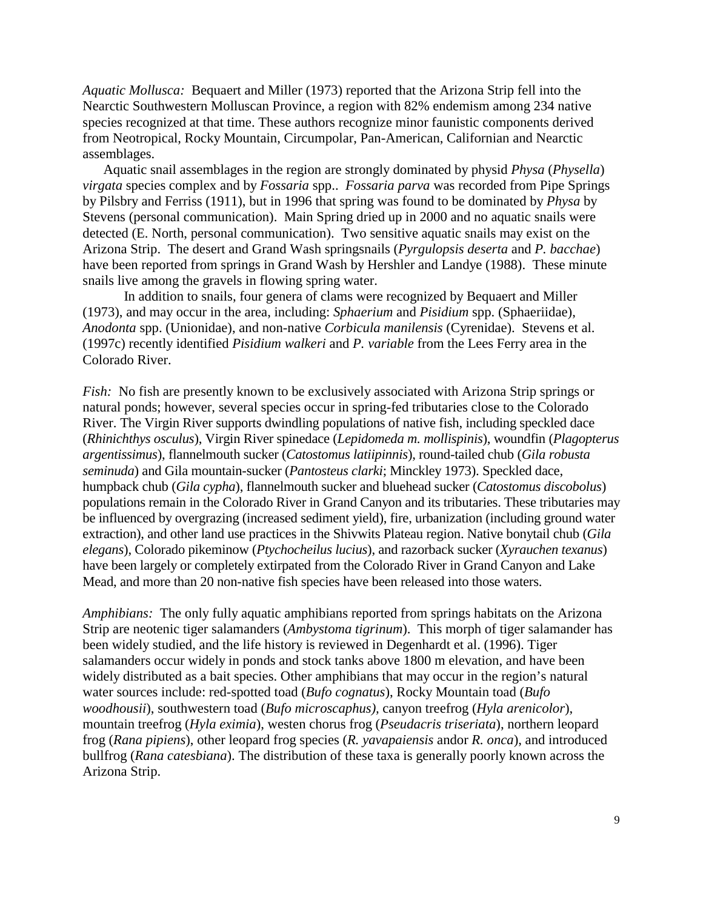*Aquatic Mollusca:* Bequaert and Miller (1973) reported that the Arizona Strip fell into the Nearctic Southwestern Molluscan Province, a region with 82% endemism among 234 native species recognized at that time. These authors recognize minor faunistic components derived from Neotropical, Rocky Mountain, Circumpolar, Pan-American, Californian and Nearctic assemblages.

Aquatic snail assemblages in the region are strongly dominated by physid *Physa* (*Physella*) *virgata* species complex and by *Fossaria* spp.. *Fossaria parva* was recorded from Pipe Springs by Pilsbry and Ferriss (1911), but in 1996 that spring was found to be dominated by *Physa* by Stevens (personal communication). Main Spring dried up in 2000 and no aquatic snails were detected (E. North, personal communication). Two sensitive aquatic snails may exist on the Arizona Strip. The desert and Grand Wash springsnails (*Pyrgulopsis deserta* and *P. bacchae*) have been reported from springs in Grand Wash by Hershler and Landye (1988). These minute snails live among the gravels in flowing spring water.

 In addition to snails, four genera of clams were recognized by Bequaert and Miller (1973), and may occur in the area, including: *Sphaerium* and *Pisidium* spp. (Sphaeriidae), *Anodonta* spp. (Unionidae), and non-native *Corbicula manilensis* (Cyrenidae). Stevens et al. (1997c) recently identified *Pisidium walkeri* and *P. variable* from the Lees Ferry area in the Colorado River.

*Fish:* No fish are presently known to be exclusively associated with Arizona Strip springs or natural ponds; however, several species occur in spring-fed tributaries close to the Colorado River. The Virgin River supports dwindling populations of native fish, including speckled dace (*Rhinichthys osculus*), Virgin River spinedace (*Lepidomeda m. mollispinis*), woundfin (*Plagopterus argentissimus*), flannelmouth sucker (*Catostomus latiipinnis*), round-tailed chub (*Gila robusta seminuda*) and Gila mountain-sucker (*Pantosteus clarki*; Minckley 1973). Speckled dace, humpback chub (*Gila cypha*), flannelmouth sucker and bluehead sucker (*Catostomus discobolus*) populations remain in the Colorado River in Grand Canyon and its tributaries. These tributaries may be influenced by overgrazing (increased sediment yield), fire, urbanization (including ground water extraction), and other land use practices in the Shivwits Plateau region. Native bonytail chub (*Gila elegans*), Colorado pikeminow (*Ptychocheilus lucius*), and razorback sucker (*Xyrauchen texanus*) have been largely or completely extirpated from the Colorado River in Grand Canyon and Lake Mead, and more than 20 non-native fish species have been released into those waters.

*Amphibians:* The only fully aquatic amphibians reported from springs habitats on the Arizona Strip are neotenic tiger salamanders (*Ambystoma tigrinum*). This morph of tiger salamander has been widely studied, and the life history is reviewed in Degenhardt et al. (1996). Tiger salamanders occur widely in ponds and stock tanks above 1800 m elevation, and have been widely distributed as a bait species. Other amphibians that may occur in the region's natural water sources include: red-spotted toad (*Bufo cognatus*), Rocky Mountain toad (*Bufo woodhousii*), southwestern toad (*Bufo microscaphus),* canyon treefrog (*Hyla arenicolor*), mountain treefrog (*Hyla eximia*), westen chorus frog (*Pseudacris triseriata*), northern leopard frog (*Rana pipiens*), other leopard frog species (*R. yavapaiensis* andor *R. onca*), and introduced bullfrog (*Rana catesbiana*). The distribution of these taxa is generally poorly known across the Arizona Strip.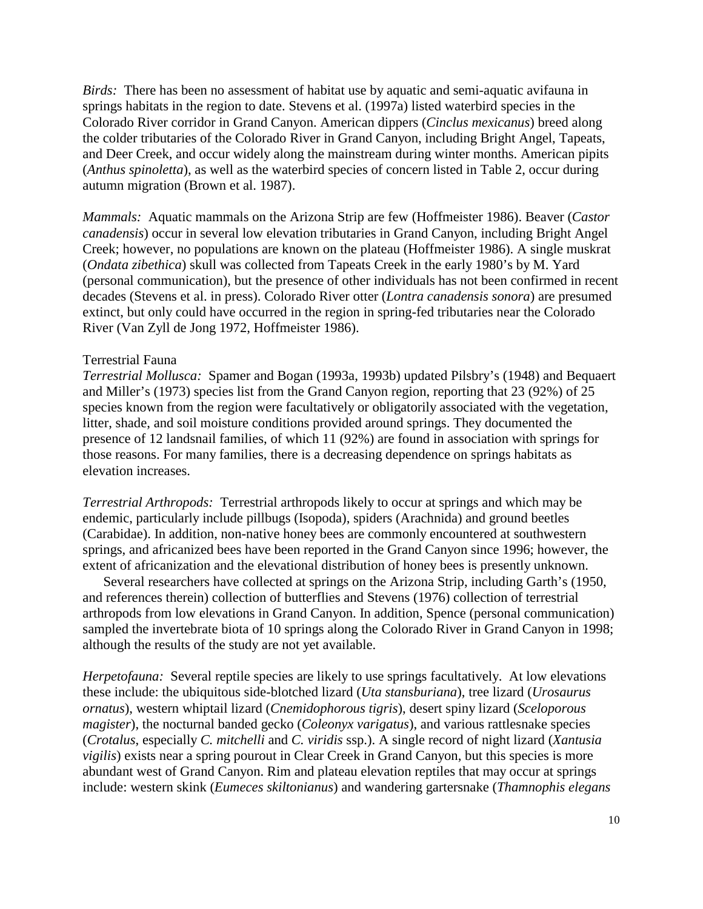*Birds:* There has been no assessment of habitat use by aquatic and semi-aquatic avifauna in springs habitats in the region to date. Stevens et al. (1997a) listed waterbird species in the Colorado River corridor in Grand Canyon. American dippers (*Cinclus mexicanus*) breed along the colder tributaries of the Colorado River in Grand Canyon, including Bright Angel, Tapeats, and Deer Creek, and occur widely along the mainstream during winter months. American pipits (*Anthus spinoletta*), as well as the waterbird species of concern listed in Table 2, occur during autumn migration (Brown et al. 1987).

*Mammals:* Aquatic mammals on the Arizona Strip are few (Hoffmeister 1986). Beaver (*Castor canadensis*) occur in several low elevation tributaries in Grand Canyon, including Bright Angel Creek; however, no populations are known on the plateau (Hoffmeister 1986). A single muskrat (*Ondata zibethica*) skull was collected from Tapeats Creek in the early 1980's by M. Yard (personal communication), but the presence of other individuals has not been confirmed in recent decades (Stevens et al. in press). Colorado River otter (*Lontra canadensis sonora*) are presumed extinct, but only could have occurred in the region in spring-fed tributaries near the Colorado River (Van Zyll de Jong 1972, Hoffmeister 1986).

## Terrestrial Fauna

*Terrestrial Mollusca:* Spamer and Bogan (1993a, 1993b) updated Pilsbry's (1948) and Bequaert and Miller's (1973) species list from the Grand Canyon region, reporting that 23 (92%) of 25 species known from the region were facultatively or obligatorily associated with the vegetation, litter, shade, and soil moisture conditions provided around springs. They documented the presence of 12 landsnail families, of which 11 (92%) are found in association with springs for those reasons. For many families, there is a decreasing dependence on springs habitats as elevation increases.

*Terrestrial Arthropods:* Terrestrial arthropods likely to occur at springs and which may be endemic, particularly include pillbugs (Isopoda), spiders (Arachnida) and ground beetles (Carabidae). In addition, non-native honey bees are commonly encountered at southwestern springs, and africanized bees have been reported in the Grand Canyon since 1996; however, the extent of africanization and the elevational distribution of honey bees is presently unknown.

Several researchers have collected at springs on the Arizona Strip, including Garth's (1950, and references therein) collection of butterflies and Stevens (1976) collection of terrestrial arthropods from low elevations in Grand Canyon. In addition, Spence (personal communication) sampled the invertebrate biota of 10 springs along the Colorado River in Grand Canyon in 1998; although the results of the study are not yet available.

*Herpetofauna:* Several reptile species are likely to use springs facultatively. At low elevations these include: the ubiquitous side-blotched lizard (*Uta stansburiana*), tree lizard (*Urosaurus ornatus*), western whiptail lizard (*Cnemidophorous tigris*), desert spiny lizard (*Sceloporous magister*), the nocturnal banded gecko (*Coleonyx varigatus*), and various rattlesnake species (*Crotalus*, especially *C. mitchelli* and *C. viridis* ssp.). A single record of night lizard (*Xantusia vigilis*) exists near a spring pourout in Clear Creek in Grand Canyon, but this species is more abundant west of Grand Canyon. Rim and plateau elevation reptiles that may occur at springs include: western skink (*Eumeces skiltonianus*) and wandering gartersnake (*Thamnophis elegans*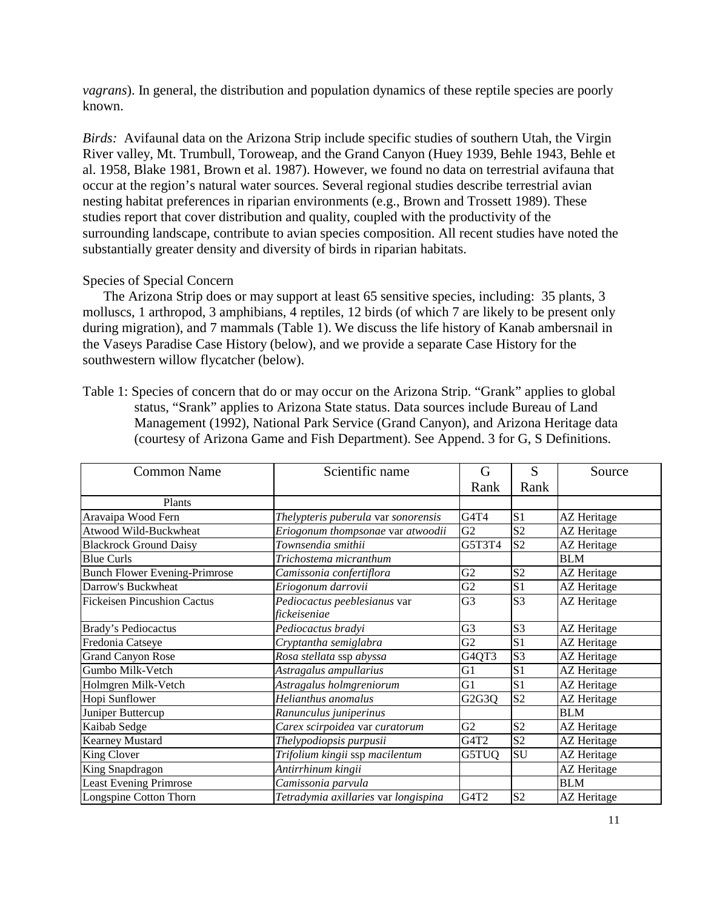*vagrans*). In general, the distribution and population dynamics of these reptile species are poorly known.

*Birds:* Avifaunal data on the Arizona Strip include specific studies of southern Utah, the Virgin River valley, Mt. Trumbull, Toroweap, and the Grand Canyon (Huey 1939, Behle 1943, Behle et al. 1958, Blake 1981, Brown et al. 1987). However, we found no data on terrestrial avifauna that occur at the region's natural water sources. Several regional studies describe terrestrial avian nesting habitat preferences in riparian environments (e.g., Brown and Trossett 1989). These studies report that cover distribution and quality, coupled with the productivity of the surrounding landscape, contribute to avian species composition. All recent studies have noted the substantially greater density and diversity of birds in riparian habitats.

## Species of Special Concern

The Arizona Strip does or may support at least 65 sensitive species, including: 35 plants, 3 molluscs, 1 arthropod, 3 amphibians, 4 reptiles, 12 birds (of which 7 are likely to be present only during migration), and 7 mammals (Table 1). We discuss the life history of Kanab ambersnail in the Vaseys Paradise Case History (below), and we provide a separate Case History for the southwestern willow flycatcher (below).

Table 1: Species of concern that do or may occur on the Arizona Strip. "Grank" applies to global status, "Srank" applies to Arizona State status. Data sources include Bureau of Land Management (1992), National Park Service (Grand Canyon), and Arizona Heritage data (courtesy of Arizona Game and Fish Department). See Append. 3 for G, S Definitions.

| <b>Common Name</b>                   | Scientific name                      |                | S              | Source             |
|--------------------------------------|--------------------------------------|----------------|----------------|--------------------|
|                                      |                                      | Rank           | Rank           |                    |
| Plants                               |                                      |                |                |                    |
| Aravaipa Wood Fern                   | Thelypteris puberula var sonorensis  | G4T4           | S <sub>1</sub> | AZ Heritage        |
| Atwood Wild-Buckwheat                | Eriogonum thompsonae var atwoodii    | G2             | S <sub>2</sub> | AZ Heritage        |
| <b>Blackrock Ground Daisy</b>        | Townsendia smithii                   | G5T3T4         | S <sub>2</sub> | AZ Heritage        |
| <b>Blue Curls</b>                    | Trichostema micranthum               |                |                | <b>BLM</b>         |
| <b>Bunch Flower Evening-Primrose</b> | Camissonia confertiflora             | G2             | S <sub>2</sub> | AZ Heritage        |
| Darrow's Buckwheat                   | Eriogonum darrovii                   | G2             | S <sub>1</sub> | AZ Heritage        |
| <b>Fickeisen Pincushion Cactus</b>   | Pediocactus peeblesianus var         | G <sub>3</sub> | S <sub>3</sub> | <b>AZ</b> Heritage |
|                                      | fickeiseniae                         |                |                |                    |
| <b>Brady's Pediocactus</b>           | Pediocactus bradyi                   | G <sub>3</sub> | S <sub>3</sub> | <b>AZ</b> Heritage |
| Fredonia Catseye                     | Cryptantha semiglabra                | G2             | S <sub>1</sub> | AZ Heritage        |
| <b>Grand Canyon Rose</b>             | Rosa stellata ssp abyssa             | G4QT3          | S <sub>3</sub> | AZ Heritage        |
| Gumbo Milk-Vetch                     | Astragalus ampullarius               | G1             | S <sub>1</sub> | <b>AZ</b> Heritage |
| Holmgren Milk-Vetch                  | Astragalus holmgreniorum             | G1             | S <sub>1</sub> | AZ Heritage        |
| Hopi Sunflower                       | Helianthus anomalus                  | G2G3Q          | S <sub>2</sub> | <b>AZ</b> Heritage |
| Juniper Buttercup                    | Ranunculus juniperinus               |                |                | <b>BLM</b>         |
| Kaibab Sedge                         | Carex scirpoidea var curatorum       | G2             | S <sub>2</sub> | <b>AZ</b> Heritage |
| Kearney Mustard                      | Thelypodiopsis purpusii              | G4T2           | S <sub>2</sub> | AZ Heritage        |
| King Clover                          | Trifolium kingii ssp macilentum      | G5TUQ          | SU             | AZ Heritage        |
| King Snapdragon                      | Antirrhinum kingii                   |                |                | AZ Heritage        |
| <b>Least Evening Primrose</b>        | Camissonia parvula                   |                |                | <b>BLM</b>         |
| Longspine Cotton Thorn               | Tetradymia axillaries var longispina | G4T2           | S <sub>2</sub> | <b>AZ</b> Heritage |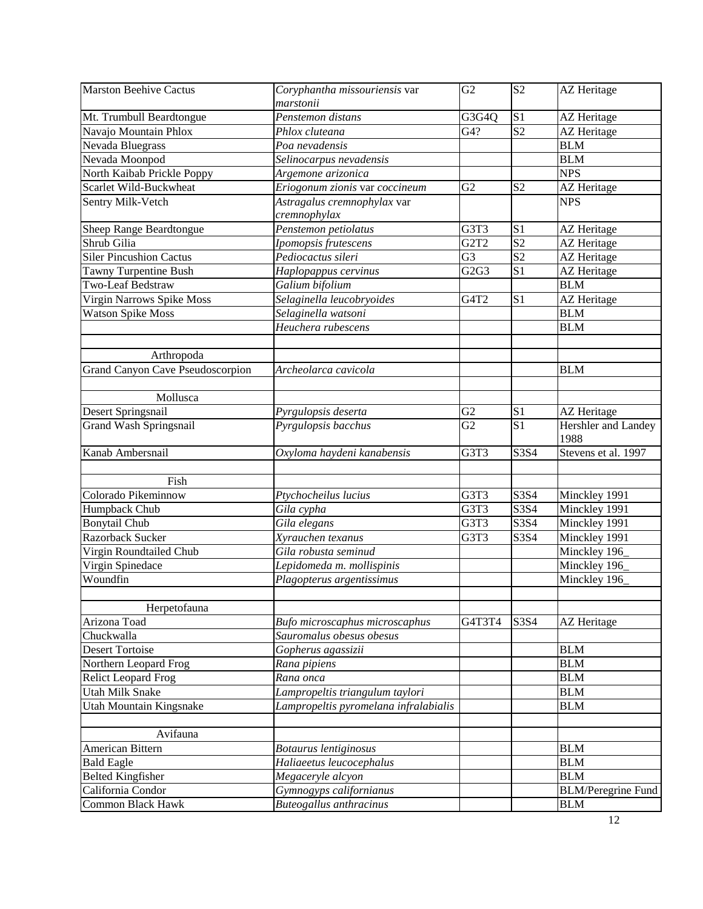| <b>Marston Beehive Cactus</b>    | Coryphantha missouriensis var         | G2                            | S <sub>2</sub>  | AZ Heritage                 |
|----------------------------------|---------------------------------------|-------------------------------|-----------------|-----------------------------|
|                                  | marstonii                             |                               |                 |                             |
| Mt. Trumbull Beardtongue         | Penstemon distans                     | G3G4Q                         | S <sub>1</sub>  | AZ Heritage                 |
| Navajo Mountain Phlox            | Phlox cluteana                        | G4?                           | S <sub>2</sub>  | AZ Heritage                 |
| Nevada Bluegrass                 | Poa nevadensis                        |                               |                 | <b>BLM</b>                  |
| Nevada Moonpod                   | Selinocarpus nevadensis               |                               |                 | <b>BLM</b>                  |
| North Kaibab Prickle Poppy       | Argemone arizonica                    |                               |                 | <b>NPS</b>                  |
| Scarlet Wild-Buckwheat           | Eriogonum zionis var coccineum        | G2                            | S <sub>2</sub>  | <b>AZ</b> Heritage          |
| Sentry Milk-Vetch                | Astragalus cremnophylax var           |                               |                 | <b>NPS</b>                  |
|                                  | cremnophylax                          |                               |                 |                             |
| Sheep Range Beardtongue          | Penstemon petiolatus                  | G3T3                          | S <sub>1</sub>  | AZ Heritage                 |
| Shrub Gilia                      | Ipomopsis frutescens                  | G <sub>2</sub> T <sub>2</sub> | S <sub>2</sub>  | <b>AZ</b> Heritage          |
| <b>Siler Pincushion Cactus</b>   | Pediocactus sileri                    | G <sub>3</sub>                | S <sub>2</sub>  | AZ Heritage                 |
| <b>Tawny Turpentine Bush</b>     | Haplopappus cervinus                  | G2G3                          | S <sub>1</sub>  | <b>AZ</b> Heritage          |
| Two-Leaf Bedstraw                | Galium bifolium                       |                               |                 | <b>BLM</b>                  |
| Virgin Narrows Spike Moss        | Selaginella leucobryoides             | G4T2                          | S <sub>1</sub>  | <b>AZ</b> Heritage          |
| <b>Watson Spike Moss</b>         | Selaginella watsoni                   |                               |                 | <b>BLM</b>                  |
|                                  | Heuchera rubescens                    |                               |                 | <b>BLM</b>                  |
|                                  |                                       |                               |                 |                             |
| Arthropoda                       |                                       |                               |                 |                             |
| Grand Canyon Cave Pseudoscorpion | Archeolarca cavicola                  |                               |                 | <b>BLM</b>                  |
|                                  |                                       |                               |                 |                             |
| Mollusca                         |                                       |                               |                 |                             |
| Desert Springsnail               | Pyrgulopsis deserta                   | G2                            | S <sub>1</sub>  | <b>AZ</b> Heritage          |
| Grand Wash Springsnail           | Pyrgulopsis bacchus                   | $\overline{G2}$               | $\overline{S1}$ | Hershler and Landey<br>1988 |
| Kanab Ambersnail                 | Oxyloma haydeni kanabensis            | G3T3                          | S3S4            | Stevens et al. 1997         |
|                                  |                                       |                               |                 |                             |
| Fish                             |                                       |                               |                 |                             |
| Colorado Pikeminnow              | Ptychocheilus lucius                  | G3T3                          | S3S4            | Minckley 1991               |
| Humpback Chub                    | Gila cypha                            | G3T3                          | S3S4            | Minckley 1991               |
| <b>Bonytail Chub</b>             | Gila elegans                          | G3T3                          | S3S4            | Minckley 1991               |
| Razorback Sucker                 | Xyrauchen texanus                     | G3T3                          | S3S4            | Minckley 1991               |
| Virgin Roundtailed Chub          | Gila robusta seminud                  |                               |                 | Minckley 196                |
| Virgin Spinedace                 | Lepidomeda m. mollispinis             |                               |                 | Minckley 196                |
| Woundfin                         | Plagopterus argentissimus             |                               |                 | Minckley 196                |
|                                  |                                       |                               |                 |                             |
| Herpetofauna                     |                                       |                               |                 |                             |
| Arizona Toad                     | Bufo microscaphus microscaphus        | G4T3T4                        | S3S4            | <b>AZ</b> Heritage          |
| Chuckwalla                       | Sauromalus obesus obesus              |                               |                 |                             |
| <b>Desert Tortoise</b>           | Gopherus agassizii                    |                               |                 | <b>BLM</b>                  |
| Northern Leopard Frog            | Rana pipiens                          |                               |                 | <b>BLM</b>                  |
| <b>Relict Leopard Frog</b>       | Rana onca                             |                               |                 | <b>BLM</b>                  |
| <b>Utah Milk Snake</b>           | Lampropeltis triangulum taylori       |                               |                 | <b>BLM</b>                  |
| Utah Mountain Kingsnake          | Lampropeltis pyromelana infralabialis |                               |                 | <b>BLM</b>                  |
|                                  |                                       |                               |                 |                             |
| Avifauna                         |                                       |                               |                 |                             |
| American Bittern                 | Botaurus lentiginosus                 |                               |                 | <b>BLM</b>                  |
| <b>Bald Eagle</b>                | Haliaeetus leucocephalus              |                               |                 | <b>BLM</b>                  |
| <b>Belted Kingfisher</b>         | Megaceryle alcyon                     |                               |                 | <b>BLM</b>                  |
| California Condor                | Gymnogyps californianus               |                               |                 | <b>BLM/Peregrine Fund</b>   |
| <b>Common Black Hawk</b>         | <b>Buteogallus anthracinus</b>        |                               |                 | <b>BLM</b>                  |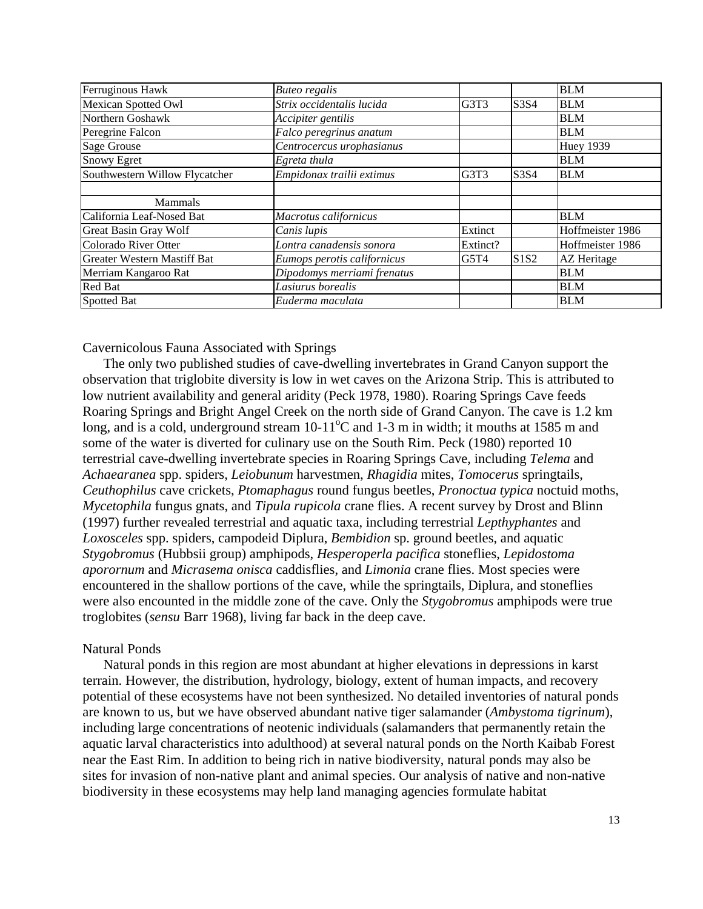| Ferruginous Hawk                   | <b>Buteo regalis</b>        |          |      | <b>BLM</b>         |
|------------------------------------|-----------------------------|----------|------|--------------------|
| Mexican Spotted Owl                | Strix occidentalis lucida   | G3T3     | S3S4 | <b>BLM</b>         |
| Northern Goshawk                   | Accipiter gentilis          |          |      | <b>BLM</b>         |
| Peregrine Falcon                   | Falco peregrinus anatum     |          |      | <b>BLM</b>         |
| Sage Grouse                        | Centrocercus urophasianus   |          |      | <b>Huey 1939</b>   |
| <b>Snowy Egret</b>                 | Egreta thula                |          |      | <b>BLM</b>         |
| Southwestern Willow Flycatcher     | Empidonax trailii extimus   | G3T3     | S3S4 | <b>BLM</b>         |
|                                    |                             |          |      |                    |
| <b>Mammals</b>                     |                             |          |      |                    |
| California Leaf-Nosed Bat          | Macrotus californicus       |          |      | <b>BLM</b>         |
| <b>Great Basin Gray Wolf</b>       | Canis lupis                 | Extinct  |      | Hoffmeister 1986   |
| Colorado River Otter               | Lontra canadensis sonora    | Extinct? |      | Hoffmeister 1986   |
| <b>Greater Western Mastiff Bat</b> | Eumops perotis californicus | G5T4     | S1S2 | <b>AZ</b> Heritage |
| Merriam Kangaroo Rat               | Dipodomys merriami frenatus |          |      | <b>BLM</b>         |
| Red Bat                            | Lasiurus borealis           |          |      | <b>BLM</b>         |
| Spotted Bat                        | Euderma maculata            |          |      | <b>BLM</b>         |

Cavernicolous Fauna Associated with Springs

The only two published studies of cave-dwelling invertebrates in Grand Canyon support the observation that triglobite diversity is low in wet caves on the Arizona Strip. This is attributed to low nutrient availability and general aridity (Peck 1978, 1980). Roaring Springs Cave feeds Roaring Springs and Bright Angel Creek on the north side of Grand Canyon. The cave is 1.2 km long, and is a cold, underground stream  $10-11^{\circ}$ C and  $1-3$  m in width; it mouths at 1585 m and some of the water is diverted for culinary use on the South Rim. Peck (1980) reported 10 terrestrial cave-dwelling invertebrate species in Roaring Springs Cave, including *Telema* and *Achaearanea* spp. spiders, *Leiobunum* harvestmen, *Rhagidia* mites, *Tomocerus* springtails, *Ceuthophilus* cave crickets, *Ptomaphagus* round fungus beetles, *Pronoctua typica* noctuid moths, *Mycetophila* fungus gnats, and *Tipula rupicola* crane flies. A recent survey by Drost and Blinn (1997) further revealed terrestrial and aquatic taxa, including terrestrial *Lepthyphantes* and *Loxosceles* spp. spiders, campodeid Diplura, *Bembidion* sp. ground beetles, and aquatic *Stygobromus* (Hubbsii group) amphipods, *Hesperoperla pacifica* stoneflies, *Lepidostoma aporornum* and *Micrasema onisca* caddisflies, and *Limonia* crane flies. Most species were encountered in the shallow portions of the cave, while the springtails, Diplura, and stoneflies were also encounted in the middle zone of the cave. Only the *Stygobromus* amphipods were true troglobites (*sensu* Barr 1968), living far back in the deep cave.

#### Natural Ponds

Natural ponds in this region are most abundant at higher elevations in depressions in karst terrain. However, the distribution, hydrology, biology, extent of human impacts, and recovery potential of these ecosystems have not been synthesized. No detailed inventories of natural ponds are known to us, but we have observed abundant native tiger salamander (*Ambystoma tigrinum*), including large concentrations of neotenic individuals (salamanders that permanently retain the aquatic larval characteristics into adulthood) at several natural ponds on the North Kaibab Forest near the East Rim. In addition to being rich in native biodiversity, natural ponds may also be sites for invasion of non-native plant and animal species. Our analysis of native and non-native biodiversity in these ecosystems may help land managing agencies formulate habitat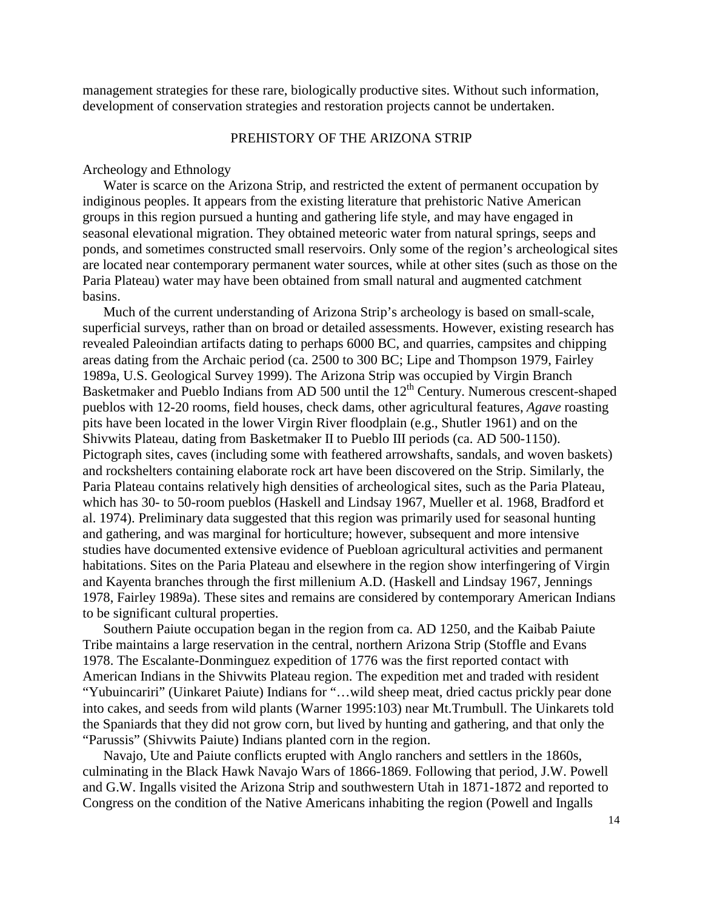management strategies for these rare, biologically productive sites. Without such information, development of conservation strategies and restoration projects cannot be undertaken.

## PREHISTORY OF THE ARIZONA STRIP

#### Archeology and Ethnology

Water is scarce on the Arizona Strip, and restricted the extent of permanent occupation by indiginous peoples. It appears from the existing literature that prehistoric Native American groups in this region pursued a hunting and gathering life style, and may have engaged in seasonal elevational migration. They obtained meteoric water from natural springs, seeps and ponds, and sometimes constructed small reservoirs. Only some of the region's archeological sites are located near contemporary permanent water sources, while at other sites (such as those on the Paria Plateau) water may have been obtained from small natural and augmented catchment basins.

Much of the current understanding of Arizona Strip's archeology is based on small-scale, superficial surveys, rather than on broad or detailed assessments. However, existing research has revealed Paleoindian artifacts dating to perhaps 6000 BC, and quarries, campsites and chipping areas dating from the Archaic period (ca. 2500 to 300 BC; Lipe and Thompson 1979, Fairley 1989a, U.S. Geological Survey 1999). The Arizona Strip was occupied by Virgin Branch Basketmaker and Pueblo Indians from AD 500 until the 12<sup>th</sup> Century. Numerous crescent-shaped pueblos with 12-20 rooms, field houses, check dams, other agricultural features, *Agave* roasting pits have been located in the lower Virgin River floodplain (e.g., Shutler 1961) and on the Shivwits Plateau, dating from Basketmaker II to Pueblo III periods (ca. AD 500-1150). Pictograph sites, caves (including some with feathered arrowshafts, sandals, and woven baskets) and rockshelters containing elaborate rock art have been discovered on the Strip. Similarly, the Paria Plateau contains relatively high densities of archeological sites, such as the Paria Plateau, which has 30- to 50-room pueblos (Haskell and Lindsay 1967, Mueller et al. 1968, Bradford et al. 1974). Preliminary data suggested that this region was primarily used for seasonal hunting and gathering, and was marginal for horticulture; however, subsequent and more intensive studies have documented extensive evidence of Puebloan agricultural activities and permanent habitations. Sites on the Paria Plateau and elsewhere in the region show interfingering of Virgin and Kayenta branches through the first millenium A.D. (Haskell and Lindsay 1967, Jennings 1978, Fairley 1989a). These sites and remains are considered by contemporary American Indians to be significant cultural properties.

Southern Paiute occupation began in the region from ca. AD 1250, and the Kaibab Paiute Tribe maintains a large reservation in the central, northern Arizona Strip (Stoffle and Evans 1978. The Escalante-Donminguez expedition of 1776 was the first reported contact with American Indians in the Shivwits Plateau region. The expedition met and traded with resident "Yubuincariri" (Uinkaret Paiute) Indians for "…wild sheep meat, dried cactus prickly pear done into cakes, and seeds from wild plants (Warner 1995:103) near Mt.Trumbull. The Uinkarets told the Spaniards that they did not grow corn, but lived by hunting and gathering, and that only the "Parussis" (Shivwits Paiute) Indians planted corn in the region.

Navajo, Ute and Paiute conflicts erupted with Anglo ranchers and settlers in the 1860s, culminating in the Black Hawk Navajo Wars of 1866-1869. Following that period, J.W. Powell and G.W. Ingalls visited the Arizona Strip and southwestern Utah in 1871-1872 and reported to Congress on the condition of the Native Americans inhabiting the region (Powell and Ingalls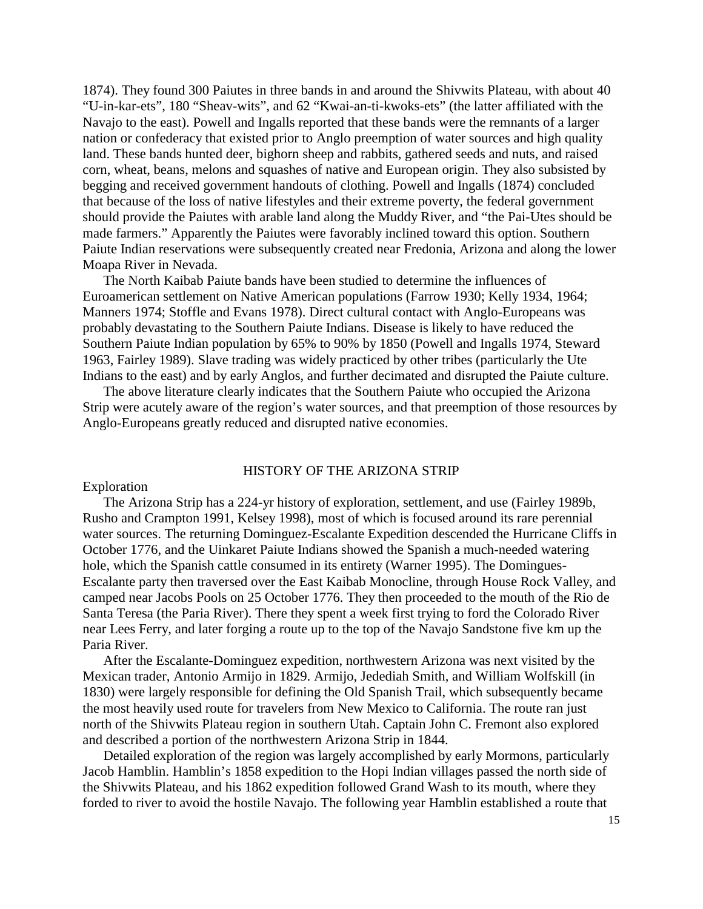1874). They found 300 Paiutes in three bands in and around the Shivwits Plateau, with about 40 "U-in-kar-ets", 180 "Sheav-wits", and 62 "Kwai-an-ti-kwoks-ets" (the latter affiliated with the Navajo to the east). Powell and Ingalls reported that these bands were the remnants of a larger nation or confederacy that existed prior to Anglo preemption of water sources and high quality land. These bands hunted deer, bighorn sheep and rabbits, gathered seeds and nuts, and raised corn, wheat, beans, melons and squashes of native and European origin. They also subsisted by begging and received government handouts of clothing. Powell and Ingalls (1874) concluded that because of the loss of native lifestyles and their extreme poverty, the federal government should provide the Paiutes with arable land along the Muddy River, and "the Pai-Utes should be made farmers." Apparently the Paiutes were favorably inclined toward this option. Southern Paiute Indian reservations were subsequently created near Fredonia, Arizona and along the lower Moapa River in Nevada.

The North Kaibab Paiute bands have been studied to determine the influences of Euroamerican settlement on Native American populations (Farrow 1930; Kelly 1934, 1964; Manners 1974; Stoffle and Evans 1978). Direct cultural contact with Anglo-Europeans was probably devastating to the Southern Paiute Indians. Disease is likely to have reduced the Southern Paiute Indian population by 65% to 90% by 1850 (Powell and Ingalls 1974, Steward 1963, Fairley 1989). Slave trading was widely practiced by other tribes (particularly the Ute Indians to the east) and by early Anglos, and further decimated and disrupted the Paiute culture.

The above literature clearly indicates that the Southern Paiute who occupied the Arizona Strip were acutely aware of the region's water sources, and that preemption of those resources by Anglo-Europeans greatly reduced and disrupted native economies.

#### HISTORY OF THE ARIZONA STRIP

#### Exploration

The Arizona Strip has a 224-yr history of exploration, settlement, and use (Fairley 1989b, Rusho and Crampton 1991, Kelsey 1998), most of which is focused around its rare perennial water sources. The returning Dominguez-Escalante Expedition descended the Hurricane Cliffs in October 1776, and the Uinkaret Paiute Indians showed the Spanish a much-needed watering hole, which the Spanish cattle consumed in its entirety (Warner 1995). The Domingues-Escalante party then traversed over the East Kaibab Monocline, through House Rock Valley, and camped near Jacobs Pools on 25 October 1776. They then proceeded to the mouth of the Rio de Santa Teresa (the Paria River). There they spent a week first trying to ford the Colorado River near Lees Ferry, and later forging a route up to the top of the Navajo Sandstone five km up the Paria River.

After the Escalante-Dominguez expedition, northwestern Arizona was next visited by the Mexican trader, Antonio Armijo in 1829. Armijo, Jedediah Smith, and William Wolfskill (in 1830) were largely responsible for defining the Old Spanish Trail, which subsequently became the most heavily used route for travelers from New Mexico to California. The route ran just north of the Shivwits Plateau region in southern Utah. Captain John C. Fremont also explored and described a portion of the northwestern Arizona Strip in 1844.

Detailed exploration of the region was largely accomplished by early Mormons, particularly Jacob Hamblin. Hamblin's 1858 expedition to the Hopi Indian villages passed the north side of the Shivwits Plateau, and his 1862 expedition followed Grand Wash to its mouth, where they forded to river to avoid the hostile Navajo. The following year Hamblin established a route that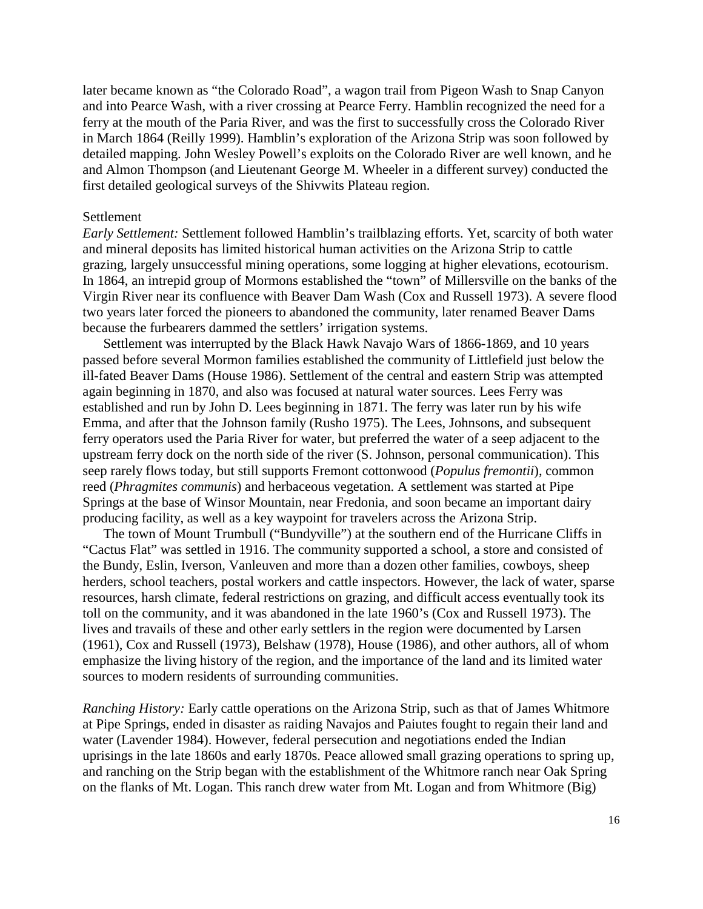later became known as "the Colorado Road", a wagon trail from Pigeon Wash to Snap Canyon and into Pearce Wash, with a river crossing at Pearce Ferry. Hamblin recognized the need for a ferry at the mouth of the Paria River, and was the first to successfully cross the Colorado River in March 1864 (Reilly 1999). Hamblin's exploration of the Arizona Strip was soon followed by detailed mapping. John Wesley Powell's exploits on the Colorado River are well known, and he and Almon Thompson (and Lieutenant George M. Wheeler in a different survey) conducted the first detailed geological surveys of the Shivwits Plateau region.

#### Settlement

*Early Settlement:* Settlement followed Hamblin's trailblazing efforts. Yet, scarcity of both water and mineral deposits has limited historical human activities on the Arizona Strip to cattle grazing, largely unsuccessful mining operations, some logging at higher elevations, ecotourism. In 1864, an intrepid group of Mormons established the "town" of Millersville on the banks of the Virgin River near its confluence with Beaver Dam Wash (Cox and Russell 1973). A severe flood two years later forced the pioneers to abandoned the community, later renamed Beaver Dams because the furbearers dammed the settlers' irrigation systems.

Settlement was interrupted by the Black Hawk Navajo Wars of 1866-1869, and 10 years passed before several Mormon families established the community of Littlefield just below the ill-fated Beaver Dams (House 1986). Settlement of the central and eastern Strip was attempted again beginning in 1870, and also was focused at natural water sources. Lees Ferry was established and run by John D. Lees beginning in 1871. The ferry was later run by his wife Emma, and after that the Johnson family (Rusho 1975). The Lees, Johnsons, and subsequent ferry operators used the Paria River for water, but preferred the water of a seep adjacent to the upstream ferry dock on the north side of the river (S. Johnson, personal communication). This seep rarely flows today, but still supports Fremont cottonwood (*Populus fremontii*), common reed (*Phragmites communis*) and herbaceous vegetation. A settlement was started at Pipe Springs at the base of Winsor Mountain, near Fredonia, and soon became an important dairy producing facility, as well as a key waypoint for travelers across the Arizona Strip.

The town of Mount Trumbull ("Bundyville") at the southern end of the Hurricane Cliffs in "Cactus Flat" was settled in 1916. The community supported a school, a store and consisted of the Bundy, Eslin, Iverson, Vanleuven and more than a dozen other families, cowboys, sheep herders, school teachers, postal workers and cattle inspectors. However, the lack of water, sparse resources, harsh climate, federal restrictions on grazing, and difficult access eventually took its toll on the community, and it was abandoned in the late 1960's (Cox and Russell 1973). The lives and travails of these and other early settlers in the region were documented by Larsen (1961), Cox and Russell (1973), Belshaw (1978), House (1986), and other authors, all of whom emphasize the living history of the region, and the importance of the land and its limited water sources to modern residents of surrounding communities.

*Ranching History:* Early cattle operations on the Arizona Strip, such as that of James Whitmore at Pipe Springs, ended in disaster as raiding Navajos and Paiutes fought to regain their land and water (Lavender 1984). However, federal persecution and negotiations ended the Indian uprisings in the late 1860s and early 1870s. Peace allowed small grazing operations to spring up, and ranching on the Strip began with the establishment of the Whitmore ranch near Oak Spring on the flanks of Mt. Logan. This ranch drew water from Mt. Logan and from Whitmore (Big)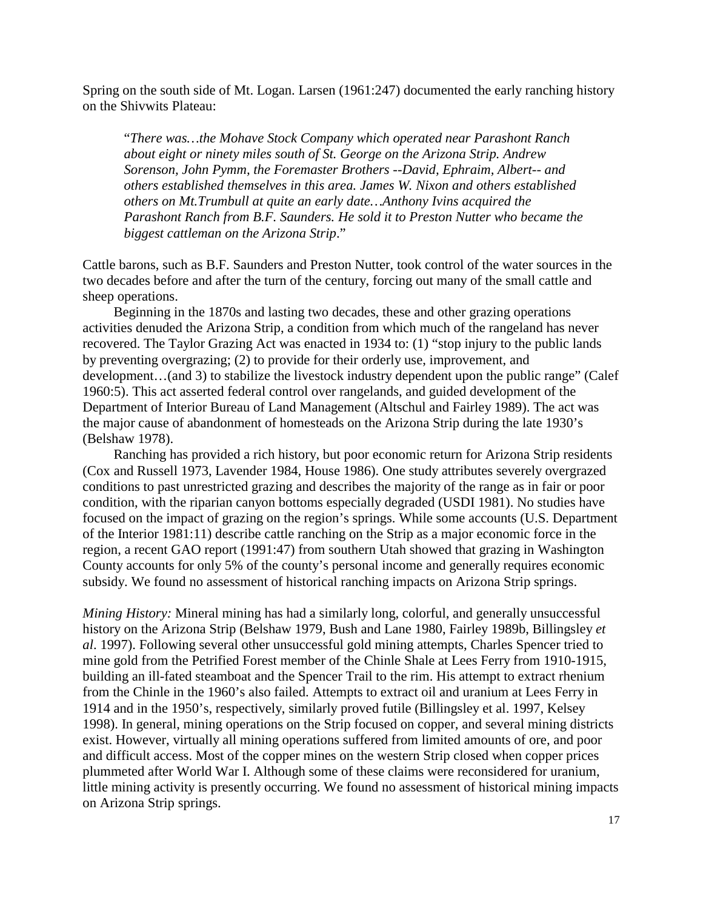Spring on the south side of Mt. Logan. Larsen (1961:247) documented the early ranching history on the Shivwits Plateau:

"*There was…the Mohave Stock Company which operated near Parashont Ranch about eight or ninety miles south of St. George on the Arizona Strip. Andrew Sorenson, John Pymm, the Foremaster Brothers --David, Ephraim, Albert-- and others established themselves in this area. James W. Nixon and others established others on Mt.Trumbull at quite an early date…Anthony Ivins acquired the Parashont Ranch from B.F. Saunders. He sold it to Preston Nutter who became the biggest cattleman on the Arizona Strip*."

Cattle barons, such as B.F. Saunders and Preston Nutter, took control of the water sources in the two decades before and after the turn of the century, forcing out many of the small cattle and sheep operations.

Beginning in the 1870s and lasting two decades, these and other grazing operations activities denuded the Arizona Strip, a condition from which much of the rangeland has never recovered. The Taylor Grazing Act was enacted in 1934 to: (1) "stop injury to the public lands by preventing overgrazing; (2) to provide for their orderly use, improvement, and development…(and 3) to stabilize the livestock industry dependent upon the public range" (Calef 1960:5). This act asserted federal control over rangelands, and guided development of the Department of Interior Bureau of Land Management (Altschul and Fairley 1989). The act was the major cause of abandonment of homesteads on the Arizona Strip during the late 1930's (Belshaw 1978).

Ranching has provided a rich history, but poor economic return for Arizona Strip residents (Cox and Russell 1973, Lavender 1984, House 1986). One study attributes severely overgrazed conditions to past unrestricted grazing and describes the majority of the range as in fair or poor condition, with the riparian canyon bottoms especially degraded (USDI 1981). No studies have focused on the impact of grazing on the region's springs. While some accounts (U.S. Department of the Interior 1981:11) describe cattle ranching on the Strip as a major economic force in the region, a recent GAO report (1991:47) from southern Utah showed that grazing in Washington County accounts for only 5% of the county's personal income and generally requires economic subsidy. We found no assessment of historical ranching impacts on Arizona Strip springs.

*Mining History:* Mineral mining has had a similarly long, colorful, and generally unsuccessful history on the Arizona Strip (Belshaw 1979, Bush and Lane 1980, Fairley 1989b, Billingsley *et al*. 1997). Following several other unsuccessful gold mining attempts, Charles Spencer tried to mine gold from the Petrified Forest member of the Chinle Shale at Lees Ferry from 1910-1915, building an ill-fated steamboat and the Spencer Trail to the rim. His attempt to extract rhenium from the Chinle in the 1960's also failed. Attempts to extract oil and uranium at Lees Ferry in 1914 and in the 1950's, respectively, similarly proved futile (Billingsley et al. 1997, Kelsey 1998). In general, mining operations on the Strip focused on copper, and several mining districts exist. However, virtually all mining operations suffered from limited amounts of ore, and poor and difficult access. Most of the copper mines on the western Strip closed when copper prices plummeted after World War I. Although some of these claims were reconsidered for uranium, little mining activity is presently occurring. We found no assessment of historical mining impacts on Arizona Strip springs.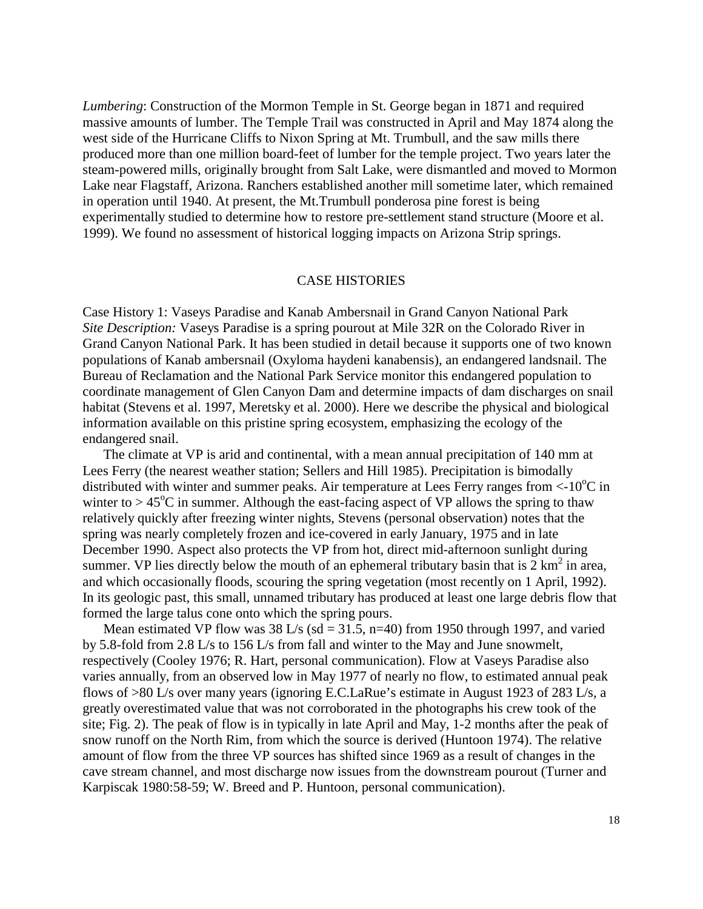*Lumbering*: Construction of the Mormon Temple in St. George began in 1871 and required massive amounts of lumber. The Temple Trail was constructed in April and May 1874 along the west side of the Hurricane Cliffs to Nixon Spring at Mt. Trumbull, and the saw mills there produced more than one million board-feet of lumber for the temple project. Two years later the steam-powered mills, originally brought from Salt Lake, were dismantled and moved to Mormon Lake near Flagstaff, Arizona. Ranchers established another mill sometime later, which remained in operation until 1940. At present, the Mt.Trumbull ponderosa pine forest is being experimentally studied to determine how to restore pre-settlement stand structure (Moore et al. 1999). We found no assessment of historical logging impacts on Arizona Strip springs.

#### CASE HISTORIES

Case History 1: Vaseys Paradise and Kanab Ambersnail in Grand Canyon National Park *Site Description:* Vaseys Paradise is a spring pourout at Mile 32R on the Colorado River in Grand Canyon National Park. It has been studied in detail because it supports one of two known populations of Kanab ambersnail (Oxyloma haydeni kanabensis), an endangered landsnail. The Bureau of Reclamation and the National Park Service monitor this endangered population to coordinate management of Glen Canyon Dam and determine impacts of dam discharges on snail habitat (Stevens et al. 1997, Meretsky et al. 2000). Here we describe the physical and biological information available on this pristine spring ecosystem, emphasizing the ecology of the endangered snail.

The climate at VP is arid and continental, with a mean annual precipitation of 140 mm at Lees Ferry (the nearest weather station; Sellers and Hill 1985). Precipitation is bimodally distributed with winter and summer peaks. Air temperature at Lees Ferry ranges from  $\lt 10^{\circ}$ C in winter to  $> 45^{\circ}$ C in summer. Although the east-facing aspect of VP allows the spring to thaw relatively quickly after freezing winter nights, Stevens (personal observation) notes that the spring was nearly completely frozen and ice-covered in early January, 1975 and in late December 1990. Aspect also protects the VP from hot, direct mid-afternoon sunlight during summer. VP lies directly below the mouth of an ephemeral tributary basin that is  $2 \text{ km}^2$  in area, and which occasionally floods, scouring the spring vegetation (most recently on 1 April, 1992). In its geologic past, this small, unnamed tributary has produced at least one large debris flow that formed the large talus cone onto which the spring pours.

Mean estimated VP flow was  $38 \text{ L/s}$  (sd =  $31.5$ , n=40) from 1950 through 1997, and varied by 5.8-fold from 2.8 L/s to 156 L/s from fall and winter to the May and June snowmelt, respectively (Cooley 1976; R. Hart, personal communication). Flow at Vaseys Paradise also varies annually, from an observed low in May 1977 of nearly no flow, to estimated annual peak flows of >80 L/s over many years (ignoring E.C.LaRue's estimate in August 1923 of 283 L/s, a greatly overestimated value that was not corroborated in the photographs his crew took of the site; Fig. 2). The peak of flow is in typically in late April and May, 1-2 months after the peak of snow runoff on the North Rim, from which the source is derived (Huntoon 1974). The relative amount of flow from the three VP sources has shifted since 1969 as a result of changes in the cave stream channel, and most discharge now issues from the downstream pourout (Turner and Karpiscak 1980:58-59; W. Breed and P. Huntoon, personal communication).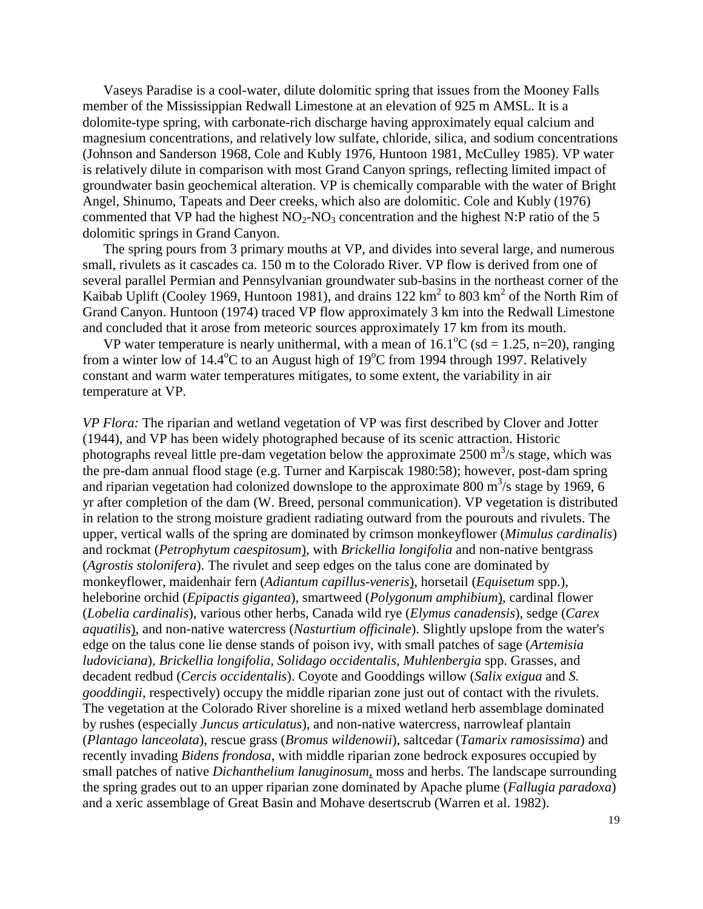Vaseys Paradise is a cool-water, dilute dolomitic spring that issues from the Mooney Falls member of the Mississippian Redwall Limestone at an elevation of 925 m AMSL. It is a dolomite-type spring, with carbonate-rich discharge having approximately equal calcium and magnesium concentrations, and relatively low sulfate, chloride, silica, and sodium concentrations (Johnson and Sanderson 1968, Cole and Kubly 1976, Huntoon 1981, McCulley 1985). VP water is relatively dilute in comparison with most Grand Canyon springs, reflecting limited impact of groundwater basin geochemical alteration. VP is chemically comparable with the water of Bright Angel, Shinumo, Tapeats and Deer creeks, which also are dolomitic. Cole and Kubly (1976) commented that VP had the highest  $NO<sub>2</sub>-NO<sub>3</sub>$  concentration and the highest N:P ratio of the 5 dolomitic springs in Grand Canyon.

The spring pours from 3 primary mouths at VP, and divides into several large, and numerous small, rivulets as it cascades ca. 150 m to the Colorado River. VP flow is derived from one of several parallel Permian and Pennsylvanian groundwater sub-basins in the northeast corner of the Kaibab Uplift (Cooley 1969, Huntoon 1981), and drains 122  $\text{km}^2$  to 803  $\text{km}^2$  of the North Rim of Grand Canyon. Huntoon (1974) traced VP flow approximately 3 km into the Redwall Limestone and concluded that it arose from meteoric sources approximately 17 km from its mouth.

VP water temperature is nearly unithermal, with a mean of  $16.1^{\circ}$ C (sd = 1.25, n=20), ranging from a winter low of 14.4°C to an August high of 19°C from 1994 through 1997. Relatively constant and warm water temperatures mitigates, to some extent, the variability in air temperature at VP.

*VP Flora:* The riparian and wetland vegetation of VP was first described by Clover and Jotter (1944), and VP has been widely photographed because of its scenic attraction. Historic photographs reveal little pre-dam vegetation below the approximate  $2500 \text{ m}^3/\text{s}$  stage, which was the pre-dam annual flood stage (e.g. Turner and Karpiscak 1980:58); however, post-dam spring and riparian vegetation had colonized downslope to the approximate 800  $\text{m}^3\text{/s}$  stage by 1969, 6 yr after completion of the dam (W. Breed, personal communication). VP vegetation is distributed in relation to the strong moisture gradient radiating outward from the pourouts and rivulets. The upper, vertical walls of the spring are dominated by crimson monkeyflower (*Mimulus cardinalis*) and rockmat (*Petrophytum caespitosum*), with *Brickellia longifolia* and non-native bentgrass (*Agrostis stolonifera*). The rivulet and seep edges on the talus cone are dominated by monkeyflower, maidenhair fern (*Adiantum capillus-veneris*), horsetail (*Equisetum* spp.), heleborine orchid (*Epipactis gigantea*), smartweed (*Polygonum amphibium*), cardinal flower (*Lobelia cardinalis*), various other herbs, Canada wild rye (*Elymus canadensis*), sedge (*Carex aquatilis*), and non-native watercress (*Nasturtium officinale*). Slightly upslope from the water's edge on the talus cone lie dense stands of poison ivy, with small patches of sage (*Artemisia ludoviciana*)*, Brickellia longifolia, Solidago occidentalis, Muhlenbergia* spp. Grasses, and decadent redbud (*Cercis occidentalis*). Coyote and Gooddings willow (*Salix exigua* and *S. gooddingii*, respectively) occupy the middle riparian zone just out of contact with the rivulets. The vegetation at the Colorado River shoreline is a mixed wetland herb assemblage dominated by rushes (especially *Juncus articulatus*), and non-native watercress, narrowleaf plantain (*Plantago lanceolata*), rescue grass (*Bromus wildenowii*), saltcedar (*Tamarix ramosissima*) and recently invading *Bidens frondosa*, with middle riparian zone bedrock exposures occupied by small patches of native *Dichanthelium lanuginosum*, moss and herbs. The landscape surrounding the spring grades out to an upper riparian zone dominated by Apache plume (*Fallugia paradoxa*) and a xeric assemblage of Great Basin and Mohave desertscrub (Warren et al. 1982).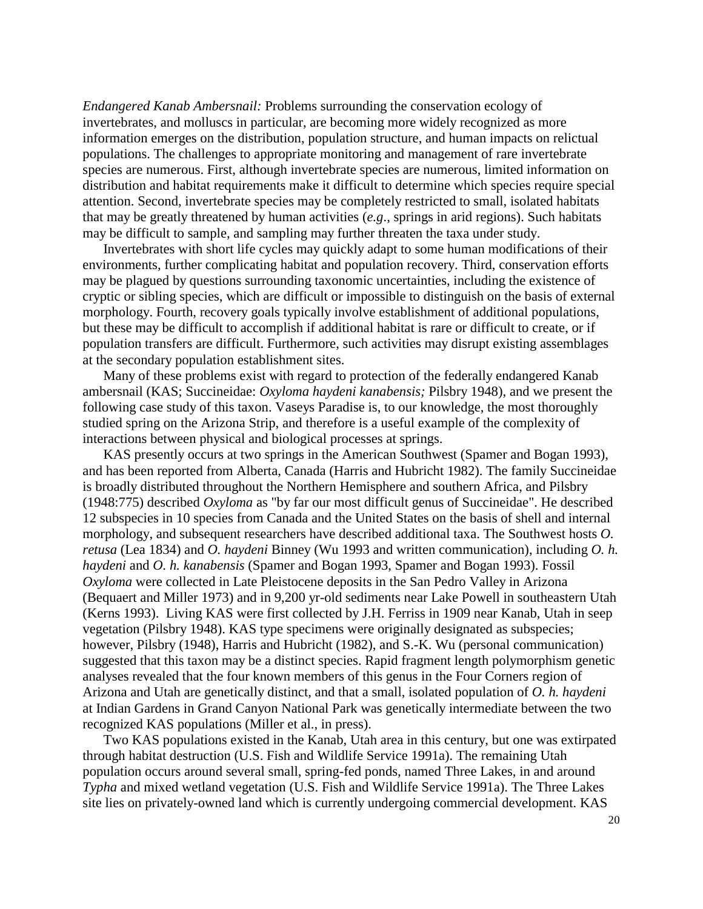*Endangered Kanab Ambersnail:* Problems surrounding the conservation ecology of invertebrates, and molluscs in particular, are becoming more widely recognized as more information emerges on the distribution, population structure, and human impacts on relictual populations. The challenges to appropriate monitoring and management of rare invertebrate species are numerous. First, although invertebrate species are numerous, limited information on distribution and habitat requirements make it difficult to determine which species require special attention. Second, invertebrate species may be completely restricted to small, isolated habitats that may be greatly threatened by human activities (*e.g*., springs in arid regions). Such habitats may be difficult to sample, and sampling may further threaten the taxa under study.

Invertebrates with short life cycles may quickly adapt to some human modifications of their environments, further complicating habitat and population recovery. Third, conservation efforts may be plagued by questions surrounding taxonomic uncertainties, including the existence of cryptic or sibling species, which are difficult or impossible to distinguish on the basis of external morphology. Fourth, recovery goals typically involve establishment of additional populations, but these may be difficult to accomplish if additional habitat is rare or difficult to create, or if population transfers are difficult. Furthermore, such activities may disrupt existing assemblages at the secondary population establishment sites.

Many of these problems exist with regard to protection of the federally endangered Kanab ambersnail (KAS; Succineidae: *Oxyloma haydeni kanabensis;* Pilsbry 1948), and we present the following case study of this taxon. Vaseys Paradise is, to our knowledge, the most thoroughly studied spring on the Arizona Strip, and therefore is a useful example of the complexity of interactions between physical and biological processes at springs.

KAS presently occurs at two springs in the American Southwest (Spamer and Bogan 1993), and has been reported from Alberta, Canada (Harris and Hubricht 1982). The family Succineidae is broadly distributed throughout the Northern Hemisphere and southern Africa, and Pilsbry (1948:775) described *Oxyloma* as "by far our most difficult genus of Succineidae". He described 12 subspecies in 10 species from Canada and the United States on the basis of shell and internal morphology, and subsequent researchers have described additional taxa. The Southwest hosts *O. retusa* (Lea 1834) and *O. haydeni* Binney (Wu 1993 and written communication), including *O. h. haydeni* and *O. h. kanabensis* (Spamer and Bogan 1993, Spamer and Bogan 1993). Fossil *Oxyloma* were collected in Late Pleistocene deposits in the San Pedro Valley in Arizona (Bequaert and Miller 1973) and in 9,200 yr-old sediments near Lake Powell in southeastern Utah (Kerns 1993). Living KAS were first collected by J.H. Ferriss in 1909 near Kanab, Utah in seep vegetation (Pilsbry 1948). KAS type specimens were originally designated as subspecies; however, Pilsbry (1948), Harris and Hubricht (1982), and S.-K. Wu (personal communication) suggested that this taxon may be a distinct species. Rapid fragment length polymorphism genetic analyses revealed that the four known members of this genus in the Four Corners region of Arizona and Utah are genetically distinct, and that a small, isolated population of *O. h. haydeni* at Indian Gardens in Grand Canyon National Park was genetically intermediate between the two recognized KAS populations (Miller et al., in press).

Two KAS populations existed in the Kanab, Utah area in this century, but one was extirpated through habitat destruction (U.S. Fish and Wildlife Service 1991a). The remaining Utah population occurs around several small, spring-fed ponds, named Three Lakes, in and around *Typha* and mixed wetland vegetation (U.S. Fish and Wildlife Service 1991a). The Three Lakes site lies on privately-owned land which is currently undergoing commercial development. KAS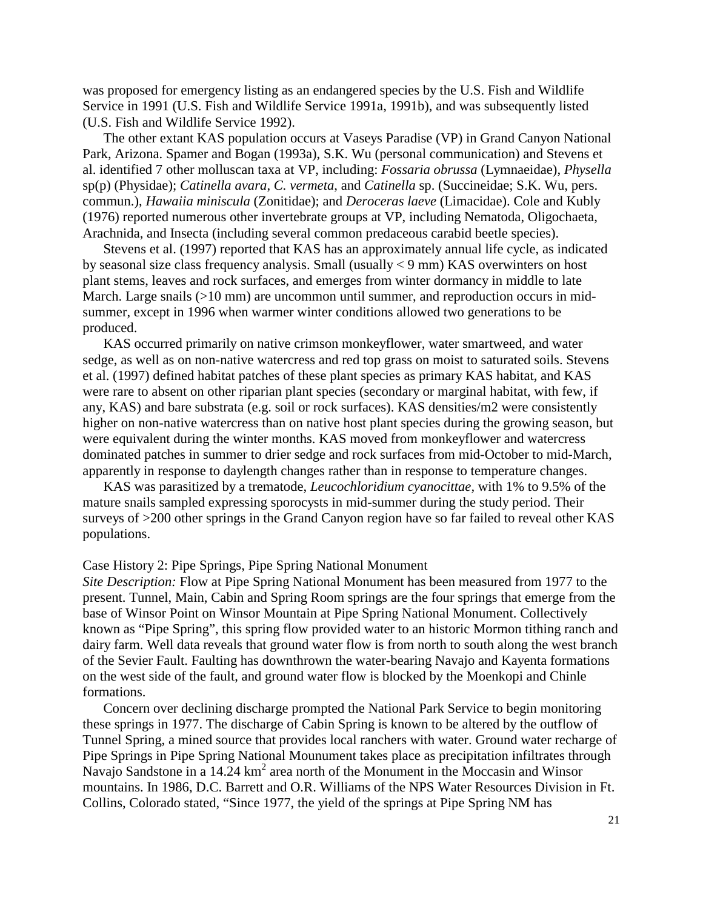was proposed for emergency listing as an endangered species by the U.S. Fish and Wildlife Service in 1991 (U.S. Fish and Wildlife Service 1991a, 1991b), and was subsequently listed (U.S. Fish and Wildlife Service 1992).

The other extant KAS population occurs at Vaseys Paradise (VP) in Grand Canyon National Park, Arizona. Spamer and Bogan (1993a), S.K. Wu (personal communication) and Stevens et al. identified 7 other molluscan taxa at VP, including: *Fossaria obrussa* (Lymnaeidae), *Physella* sp(p) (Physidae); *Catinella avara*, *C. vermeta*, and *Catinella* sp. (Succineidae; S.K. Wu, pers. commun.), *Hawaiia miniscula* (Zonitidae); and *Deroceras laeve* (Limacidae). Cole and Kubly (1976) reported numerous other invertebrate groups at VP, including Nematoda, Oligochaeta, Arachnida, and Insecta (including several common predaceous carabid beetle species).

Stevens et al. (1997) reported that KAS has an approximately annual life cycle, as indicated by seasonal size class frequency analysis. Small (usually < 9 mm) KAS overwinters on host plant stems, leaves and rock surfaces, and emerges from winter dormancy in middle to late March. Large snails (>10 mm) are uncommon until summer, and reproduction occurs in midsummer, except in 1996 when warmer winter conditions allowed two generations to be produced.

KAS occurred primarily on native crimson monkeyflower, water smartweed, and water sedge, as well as on non-native watercress and red top grass on moist to saturated soils. Stevens et al. (1997) defined habitat patches of these plant species as primary KAS habitat, and KAS were rare to absent on other riparian plant species (secondary or marginal habitat, with few, if any, KAS) and bare substrata (e.g. soil or rock surfaces). KAS densities/m2 were consistently higher on non-native watercress than on native host plant species during the growing season, but were equivalent during the winter months. KAS moved from monkeyflower and watercress dominated patches in summer to drier sedge and rock surfaces from mid-October to mid-March, apparently in response to daylength changes rather than in response to temperature changes.

KAS was parasitized by a trematode, *Leucochloridium cyanocittae,* with 1% to 9.5% of the mature snails sampled expressing sporocysts in mid-summer during the study period. Their surveys of >200 other springs in the Grand Canyon region have so far failed to reveal other KAS populations.

#### Case History 2: Pipe Springs, Pipe Spring National Monument

*Site Description:* Flow at Pipe Spring National Monument has been measured from 1977 to the present. Tunnel, Main, Cabin and Spring Room springs are the four springs that emerge from the base of Winsor Point on Winsor Mountain at Pipe Spring National Monument. Collectively known as "Pipe Spring", this spring flow provided water to an historic Mormon tithing ranch and dairy farm. Well data reveals that ground water flow is from north to south along the west branch of the Sevier Fault. Faulting has downthrown the water-bearing Navajo and Kayenta formations on the west side of the fault, and ground water flow is blocked by the Moenkopi and Chinle formations.

Concern over declining discharge prompted the National Park Service to begin monitoring these springs in 1977. The discharge of Cabin Spring is known to be altered by the outflow of Tunnel Spring, a mined source that provides local ranchers with water. Ground water recharge of Pipe Springs in Pipe Spring National Mounument takes place as precipitation infiltrates through Navajo Sandstone in a  $14.24 \text{ km}^2$  area north of the Monument in the Moccasin and Winsor mountains. In 1986, D.C. Barrett and O.R. Williams of the NPS Water Resources Division in Ft. Collins, Colorado stated, "Since 1977, the yield of the springs at Pipe Spring NM has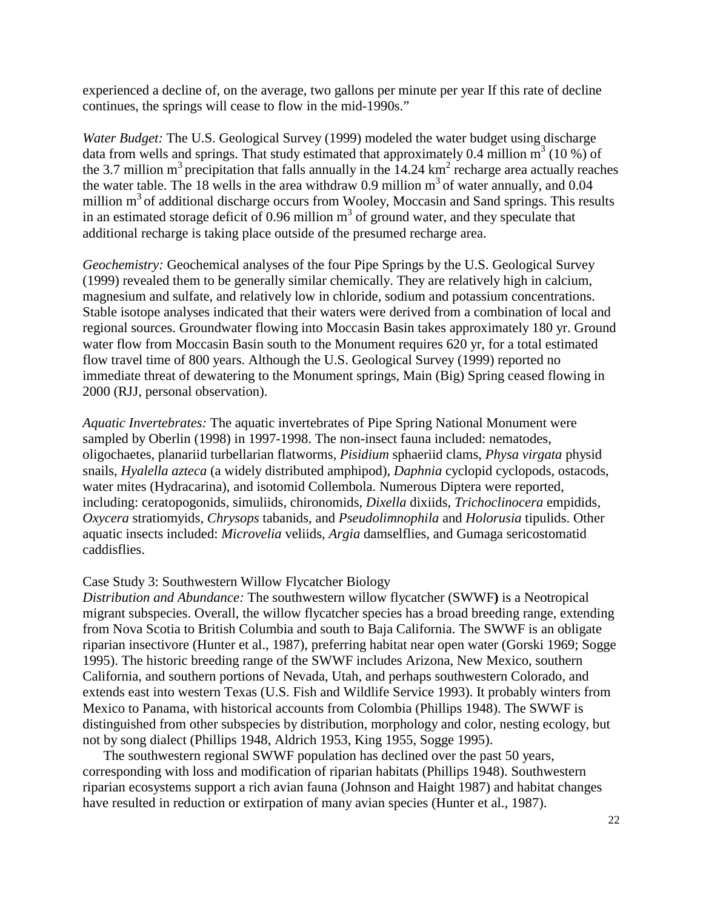experienced a decline of, on the average, two gallons per minute per year If this rate of decline continues, the springs will cease to flow in the mid-1990s."

*Water Budget:* The U.S. Geological Survey (1999) modeled the water budget using discharge data from wells and springs. That study estimated that approximately 0.4 million  $m^3$  (10 %) of the 3.7 million  $m^3$  precipitation that falls annually in the 14.24  $km^2$  recharge area actually reaches the water table. The 18 wells in the area withdraw 0.9 million  $m<sup>3</sup>$  of water annually, and 0.04 million  $m<sup>3</sup>$  of additional discharge occurs from Wooley, Moccasin and Sand springs. This results in an estimated storage deficit of 0.96 million  $m<sup>3</sup>$  of ground water, and they speculate that additional recharge is taking place outside of the presumed recharge area.

*Geochemistry:* Geochemical analyses of the four Pipe Springs by the U.S. Geological Survey (1999) revealed them to be generally similar chemically. They are relatively high in calcium, magnesium and sulfate, and relatively low in chloride, sodium and potassium concentrations. Stable isotope analyses indicated that their waters were derived from a combination of local and regional sources. Groundwater flowing into Moccasin Basin takes approximately 180 yr. Ground water flow from Moccasin Basin south to the Monument requires 620 yr, for a total estimated flow travel time of 800 years. Although the U.S. Geological Survey (1999) reported no immediate threat of dewatering to the Monument springs, Main (Big) Spring ceased flowing in 2000 (RJJ, personal observation).

*Aquatic Invertebrates:* The aquatic invertebrates of Pipe Spring National Monument were sampled by Oberlin (1998) in 1997-1998. The non-insect fauna included: nematodes, oligochaetes, planariid turbellarian flatworms, *Pisidium* sphaeriid clams, *Physa virgata* physid snails, *Hyalella azteca* (a widely distributed amphipod), *Daphnia* cyclopid cyclopods, ostacods, water mites (Hydracarina), and isotomid Collembola. Numerous Diptera were reported, including: ceratopogonids, simuliids, chironomids, *Dixella* dixiids, *Trichoclinocera* empidids, *Oxycera* stratiomyids, *Chrysops* tabanids, and *Pseudolimnophila* and *Holorusia* tipulids. Other aquatic insects included: *Microvelia* veliids, *Argia* damselflies, and Gumaga sericostomatid caddisflies.

#### Case Study 3: Southwestern Willow Flycatcher Biology

*Distribution and Abundance:* The southwestern willow flycatcher (SWWF**)** is a Neotropical migrant subspecies. Overall, the willow flycatcher species has a broad breeding range, extending from Nova Scotia to British Columbia and south to Baja California. The SWWF is an obligate riparian insectivore (Hunter et al., 1987), preferring habitat near open water (Gorski 1969; Sogge 1995). The historic breeding range of the SWWF includes Arizona, New Mexico, southern California, and southern portions of Nevada, Utah, and perhaps southwestern Colorado, and extends east into western Texas (U.S. Fish and Wildlife Service 1993). It probably winters from Mexico to Panama, with historical accounts from Colombia (Phillips 1948). The SWWF is distinguished from other subspecies by distribution, morphology and color, nesting ecology, but not by song dialect (Phillips 1948, Aldrich 1953, King 1955, Sogge 1995).

The southwestern regional SWWF population has declined over the past 50 years, corresponding with loss and modification of riparian habitats (Phillips 1948). Southwestern riparian ecosystems support a rich avian fauna (Johnson and Haight 1987) and habitat changes have resulted in reduction or extirpation of many avian species (Hunter et al., 1987).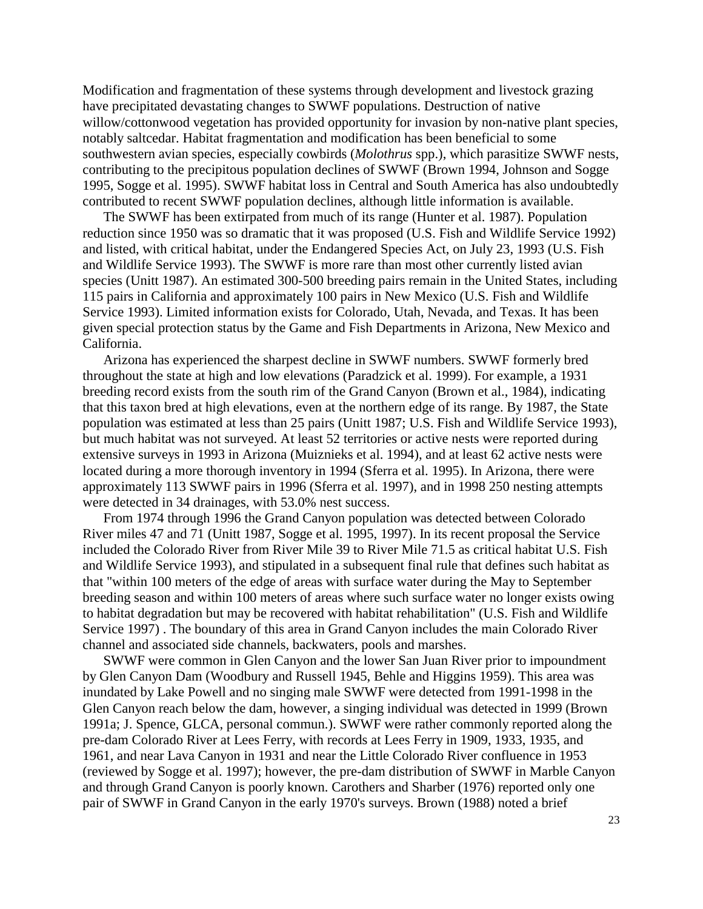Modification and fragmentation of these systems through development and livestock grazing have precipitated devastating changes to SWWF populations. Destruction of native willow/cottonwood vegetation has provided opportunity for invasion by non-native plant species, notably saltcedar. Habitat fragmentation and modification has been beneficial to some southwestern avian species, especially cowbirds (*Molothrus* spp.), which parasitize SWWF nests, contributing to the precipitous population declines of SWWF (Brown 1994, Johnson and Sogge 1995, Sogge et al. 1995). SWWF habitat loss in Central and South America has also undoubtedly contributed to recent SWWF population declines, although little information is available.

The SWWF has been extirpated from much of its range (Hunter et al. 1987). Population reduction since 1950 was so dramatic that it was proposed (U.S. Fish and Wildlife Service 1992) and listed, with critical habitat, under the Endangered Species Act, on July 23, 1993 (U.S. Fish and Wildlife Service 1993). The SWWF is more rare than most other currently listed avian species (Unitt 1987). An estimated 300-500 breeding pairs remain in the United States, including 115 pairs in California and approximately 100 pairs in New Mexico (U.S. Fish and Wildlife Service 1993). Limited information exists for Colorado, Utah, Nevada, and Texas. It has been given special protection status by the Game and Fish Departments in Arizona, New Mexico and California.

Arizona has experienced the sharpest decline in SWWF numbers. SWWF formerly bred throughout the state at high and low elevations (Paradzick et al. 1999). For example, a 1931 breeding record exists from the south rim of the Grand Canyon (Brown et al., 1984), indicating that this taxon bred at high elevations, even at the northern edge of its range. By 1987, the State population was estimated at less than 25 pairs (Unitt 1987; U.S. Fish and Wildlife Service 1993), but much habitat was not surveyed. At least 52 territories or active nests were reported during extensive surveys in 1993 in Arizona (Muiznieks et al. 1994), and at least 62 active nests were located during a more thorough inventory in 1994 (Sferra et al. 1995). In Arizona, there were approximately 113 SWWF pairs in 1996 (Sferra et al. 1997), and in 1998 250 nesting attempts were detected in 34 drainages, with 53.0% nest success.

From 1974 through 1996 the Grand Canyon population was detected between Colorado River miles 47 and 71 (Unitt 1987, Sogge et al. 1995, 1997). In its recent proposal the Service included the Colorado River from River Mile 39 to River Mile 71.5 as critical habitat U.S. Fish and Wildlife Service 1993), and stipulated in a subsequent final rule that defines such habitat as that "within 100 meters of the edge of areas with surface water during the May to September breeding season and within 100 meters of areas where such surface water no longer exists owing to habitat degradation but may be recovered with habitat rehabilitation" (U.S. Fish and Wildlife Service 1997) . The boundary of this area in Grand Canyon includes the main Colorado River channel and associated side channels, backwaters, pools and marshes.

SWWF were common in Glen Canyon and the lower San Juan River prior to impoundment by Glen Canyon Dam (Woodbury and Russell 1945, Behle and Higgins 1959). This area was inundated by Lake Powell and no singing male SWWF were detected from 1991-1998 in the Glen Canyon reach below the dam, however, a singing individual was detected in 1999 (Brown 1991a; J. Spence, GLCA, personal commun.). SWWF were rather commonly reported along the pre-dam Colorado River at Lees Ferry, with records at Lees Ferry in 1909, 1933, 1935, and 1961, and near Lava Canyon in 1931 and near the Little Colorado River confluence in 1953 (reviewed by Sogge et al. 1997); however, the pre-dam distribution of SWWF in Marble Canyon and through Grand Canyon is poorly known. Carothers and Sharber (1976) reported only one pair of SWWF in Grand Canyon in the early 1970's surveys. Brown (1988) noted a brief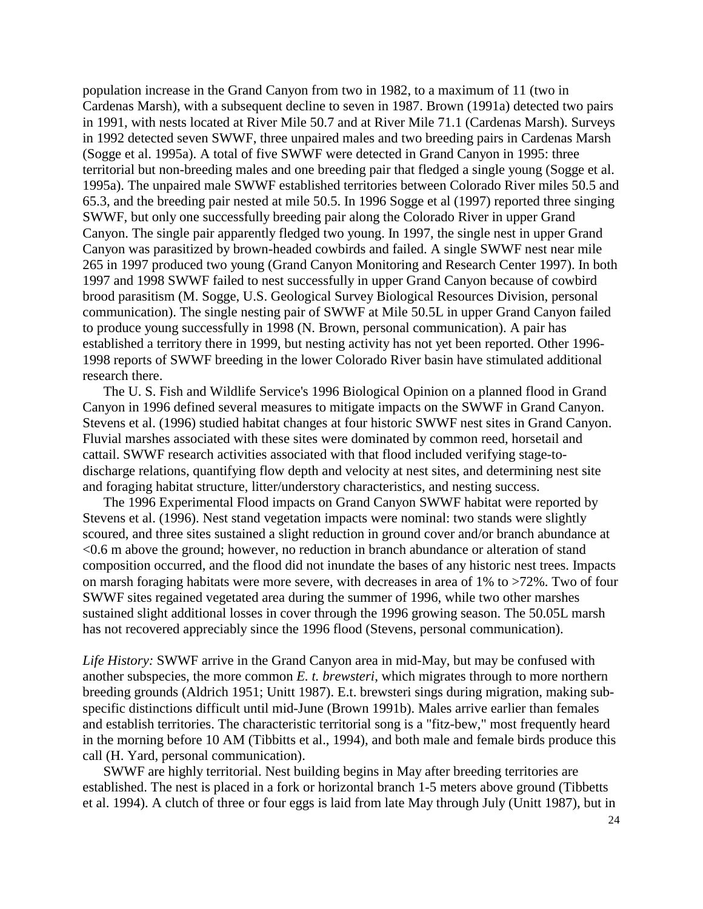population increase in the Grand Canyon from two in 1982, to a maximum of 11 (two in Cardenas Marsh), with a subsequent decline to seven in 1987. Brown (1991a) detected two pairs in 1991, with nests located at River Mile 50.7 and at River Mile 71.1 (Cardenas Marsh). Surveys in 1992 detected seven SWWF, three unpaired males and two breeding pairs in Cardenas Marsh (Sogge et al. 1995a). A total of five SWWF were detected in Grand Canyon in 1995: three territorial but non-breeding males and one breeding pair that fledged a single young (Sogge et al. 1995a). The unpaired male SWWF established territories between Colorado River miles 50.5 and 65.3, and the breeding pair nested at mile 50.5. In 1996 Sogge et al (1997) reported three singing SWWF, but only one successfully breeding pair along the Colorado River in upper Grand Canyon. The single pair apparently fledged two young. In 1997, the single nest in upper Grand Canyon was parasitized by brown-headed cowbirds and failed. A single SWWF nest near mile 265 in 1997 produced two young (Grand Canyon Monitoring and Research Center 1997). In both 1997 and 1998 SWWF failed to nest successfully in upper Grand Canyon because of cowbird brood parasitism (M. Sogge, U.S. Geological Survey Biological Resources Division, personal communication). The single nesting pair of SWWF at Mile 50.5L in upper Grand Canyon failed to produce young successfully in 1998 (N. Brown, personal communication). A pair has established a territory there in 1999, but nesting activity has not yet been reported. Other 1996- 1998 reports of SWWF breeding in the lower Colorado River basin have stimulated additional research there.

The U. S. Fish and Wildlife Service's 1996 Biological Opinion on a planned flood in Grand Canyon in 1996 defined several measures to mitigate impacts on the SWWF in Grand Canyon. Stevens et al. (1996) studied habitat changes at four historic SWWF nest sites in Grand Canyon. Fluvial marshes associated with these sites were dominated by common reed, horsetail and cattail. SWWF research activities associated with that flood included verifying stage-todischarge relations, quantifying flow depth and velocity at nest sites, and determining nest site and foraging habitat structure, litter/understory characteristics, and nesting success.

The 1996 Experimental Flood impacts on Grand Canyon SWWF habitat were reported by Stevens et al. (1996). Nest stand vegetation impacts were nominal: two stands were slightly scoured, and three sites sustained a slight reduction in ground cover and/or branch abundance at <0.6 m above the ground; however, no reduction in branch abundance or alteration of stand composition occurred, and the flood did not inundate the bases of any historic nest trees. Impacts on marsh foraging habitats were more severe, with decreases in area of  $1\%$  to  $>72\%$ . Two of four SWWF sites regained vegetated area during the summer of 1996, while two other marshes sustained slight additional losses in cover through the 1996 growing season. The 50.05L marsh has not recovered appreciably since the 1996 flood (Stevens, personal communication).

*Life History:* SWWF arrive in the Grand Canyon area in mid-May, but may be confused with another subspecies, the more common *E. t. brewsteri*, which migrates through to more northern breeding grounds (Aldrich 1951; Unitt 1987). E.t. brewsteri sings during migration, making subspecific distinctions difficult until mid-June (Brown 1991b). Males arrive earlier than females and establish territories. The characteristic territorial song is a "fitz-bew," most frequently heard in the morning before 10 AM (Tibbitts et al., 1994), and both male and female birds produce this call (H. Yard, personal communication).

SWWF are highly territorial. Nest building begins in May after breeding territories are established. The nest is placed in a fork or horizontal branch 1-5 meters above ground (Tibbetts et al. 1994). A clutch of three or four eggs is laid from late May through July (Unitt 1987), but in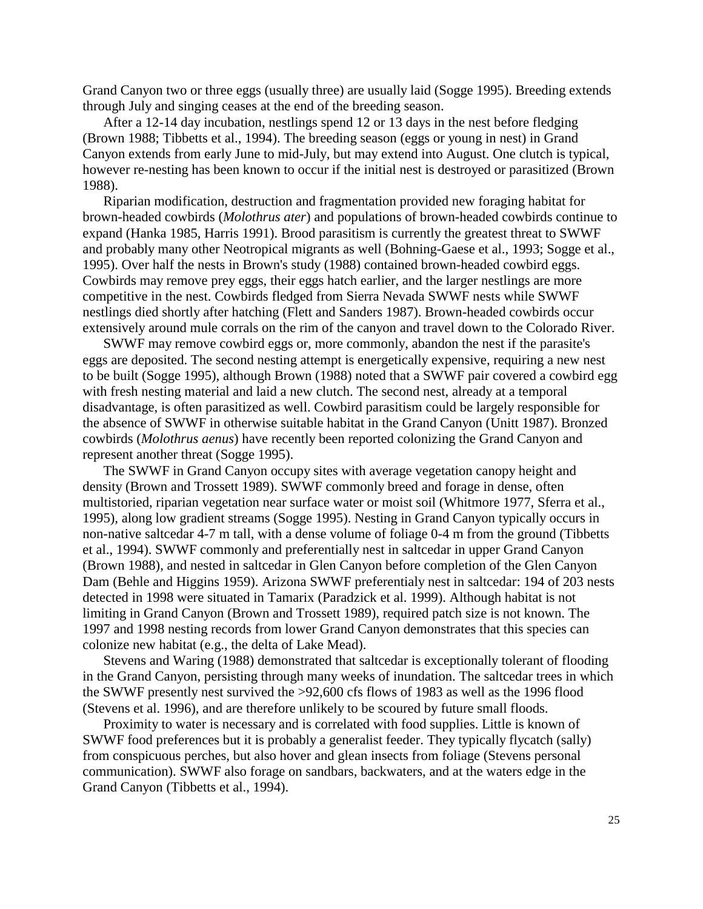Grand Canyon two or three eggs (usually three) are usually laid (Sogge 1995). Breeding extends through July and singing ceases at the end of the breeding season.

After a 12-14 day incubation, nestlings spend 12 or 13 days in the nest before fledging (Brown 1988; Tibbetts et al., 1994). The breeding season (eggs or young in nest) in Grand Canyon extends from early June to mid-July, but may extend into August. One clutch is typical, however re-nesting has been known to occur if the initial nest is destroyed or parasitized (Brown 1988).

Riparian modification, destruction and fragmentation provided new foraging habitat for brown-headed cowbirds (*Molothrus ater*) and populations of brown-headed cowbirds continue to expand (Hanka 1985, Harris 1991). Brood parasitism is currently the greatest threat to SWWF and probably many other Neotropical migrants as well (Bohning-Gaese et al., 1993; Sogge et al., 1995). Over half the nests in Brown's study (1988) contained brown-headed cowbird eggs. Cowbirds may remove prey eggs, their eggs hatch earlier, and the larger nestlings are more competitive in the nest. Cowbirds fledged from Sierra Nevada SWWF nests while SWWF nestlings died shortly after hatching (Flett and Sanders 1987). Brown-headed cowbirds occur extensively around mule corrals on the rim of the canyon and travel down to the Colorado River.

SWWF may remove cowbird eggs or, more commonly, abandon the nest if the parasite's eggs are deposited. The second nesting attempt is energetically expensive, requiring a new nest to be built (Sogge 1995), although Brown (1988) noted that a SWWF pair covered a cowbird egg with fresh nesting material and laid a new clutch. The second nest, already at a temporal disadvantage, is often parasitized as well. Cowbird parasitism could be largely responsible for the absence of SWWF in otherwise suitable habitat in the Grand Canyon (Unitt 1987). Bronzed cowbirds (*Molothrus aenus*) have recently been reported colonizing the Grand Canyon and represent another threat (Sogge 1995).

The SWWF in Grand Canyon occupy sites with average vegetation canopy height and density (Brown and Trossett 1989). SWWF commonly breed and forage in dense, often multistoried, riparian vegetation near surface water or moist soil (Whitmore 1977, Sferra et al., 1995), along low gradient streams (Sogge 1995). Nesting in Grand Canyon typically occurs in non-native saltcedar 4-7 m tall, with a dense volume of foliage 0-4 m from the ground (Tibbetts et al., 1994). SWWF commonly and preferentially nest in saltcedar in upper Grand Canyon (Brown 1988), and nested in saltcedar in Glen Canyon before completion of the Glen Canyon Dam (Behle and Higgins 1959). Arizona SWWF preferentialy nest in saltcedar: 194 of 203 nests detected in 1998 were situated in Tamarix (Paradzick et al. 1999). Although habitat is not limiting in Grand Canyon (Brown and Trossett 1989), required patch size is not known. The 1997 and 1998 nesting records from lower Grand Canyon demonstrates that this species can colonize new habitat (e.g., the delta of Lake Mead).

Stevens and Waring (1988) demonstrated that saltcedar is exceptionally tolerant of flooding in the Grand Canyon, persisting through many weeks of inundation. The saltcedar trees in which the SWWF presently nest survived the >92,600 cfs flows of 1983 as well as the 1996 flood (Stevens et al. 1996), and are therefore unlikely to be scoured by future small floods.

Proximity to water is necessary and is correlated with food supplies. Little is known of SWWF food preferences but it is probably a generalist feeder. They typically flycatch (sally) from conspicuous perches, but also hover and glean insects from foliage (Stevens personal communication). SWWF also forage on sandbars, backwaters, and at the waters edge in the Grand Canyon (Tibbetts et al., 1994).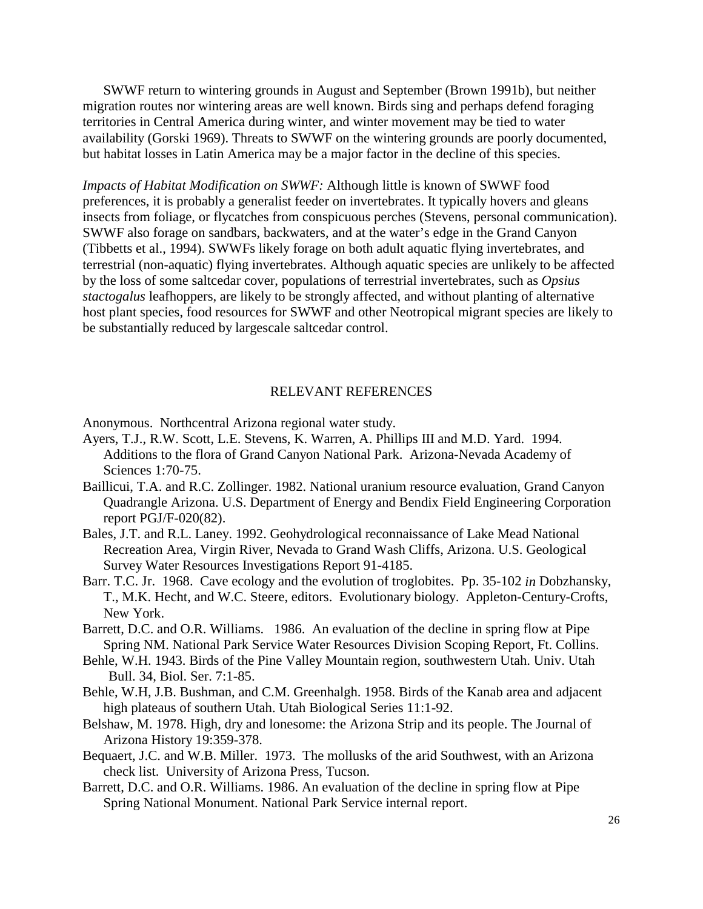SWWF return to wintering grounds in August and September (Brown 1991b), but neither migration routes nor wintering areas are well known. Birds sing and perhaps defend foraging territories in Central America during winter, and winter movement may be tied to water availability (Gorski 1969). Threats to SWWF on the wintering grounds are poorly documented, but habitat losses in Latin America may be a major factor in the decline of this species.

*Impacts of Habitat Modification on SWWF:* Although little is known of SWWF food preferences, it is probably a generalist feeder on invertebrates. It typically hovers and gleans insects from foliage, or flycatches from conspicuous perches (Stevens, personal communication). SWWF also forage on sandbars, backwaters, and at the water's edge in the Grand Canyon (Tibbetts et al., 1994). SWWFs likely forage on both adult aquatic flying invertebrates, and terrestrial (non-aquatic) flying invertebrates. Although aquatic species are unlikely to be affected by the loss of some saltcedar cover, populations of terrestrial invertebrates, such as *Opsius stactogalus* leafhoppers, are likely to be strongly affected, and without planting of alternative host plant species, food resources for SWWF and other Neotropical migrant species are likely to be substantially reduced by largescale saltcedar control.

## RELEVANT REFERENCES

Anonymous. Northcentral Arizona regional water study.

- Ayers, T.J., R.W. Scott, L.E. Stevens, K. Warren, A. Phillips III and M.D. Yard. 1994. Additions to the flora of Grand Canyon National Park. Arizona-Nevada Academy of Sciences 1:70-75.
- Baillicui, T.A. and R.C. Zollinger. 1982. National uranium resource evaluation, Grand Canyon Quadrangle Arizona. U.S. Department of Energy and Bendix Field Engineering Corporation report PGJ/F-020(82).
- Bales, J.T. and R.L. Laney. 1992. Geohydrological reconnaissance of Lake Mead National Recreation Area, Virgin River, Nevada to Grand Wash Cliffs, Arizona. U.S. Geological Survey Water Resources Investigations Report 91-4185.
- Barr. T.C. Jr. 1968. Cave ecology and the evolution of troglobites. Pp. 35-102 *in* Dobzhansky, T., M.K. Hecht, and W.C. Steere, editors. Evolutionary biology. Appleton-Century-Crofts, New York.
- Barrett, D.C. and O.R. Williams. 1986. An evaluation of the decline in spring flow at Pipe Spring NM. National Park Service Water Resources Division Scoping Report, Ft. Collins.
- Behle, W.H. 1943. Birds of the Pine Valley Mountain region, southwestern Utah. Univ. Utah Bull. 34, Biol. Ser. 7:1-85.
- Behle, W.H, J.B. Bushman, and C.M. Greenhalgh. 1958. Birds of the Kanab area and adjacent high plateaus of southern Utah. Utah Biological Series 11:1-92.
- Belshaw, M. 1978. High, dry and lonesome: the Arizona Strip and its people. The Journal of Arizona History 19:359-378.
- Bequaert, J.C. and W.B. Miller. 1973. The mollusks of the arid Southwest, with an Arizona check list. University of Arizona Press, Tucson.
- Barrett, D.C. and O.R. Williams. 1986. An evaluation of the decline in spring flow at Pipe Spring National Monument. National Park Service internal report.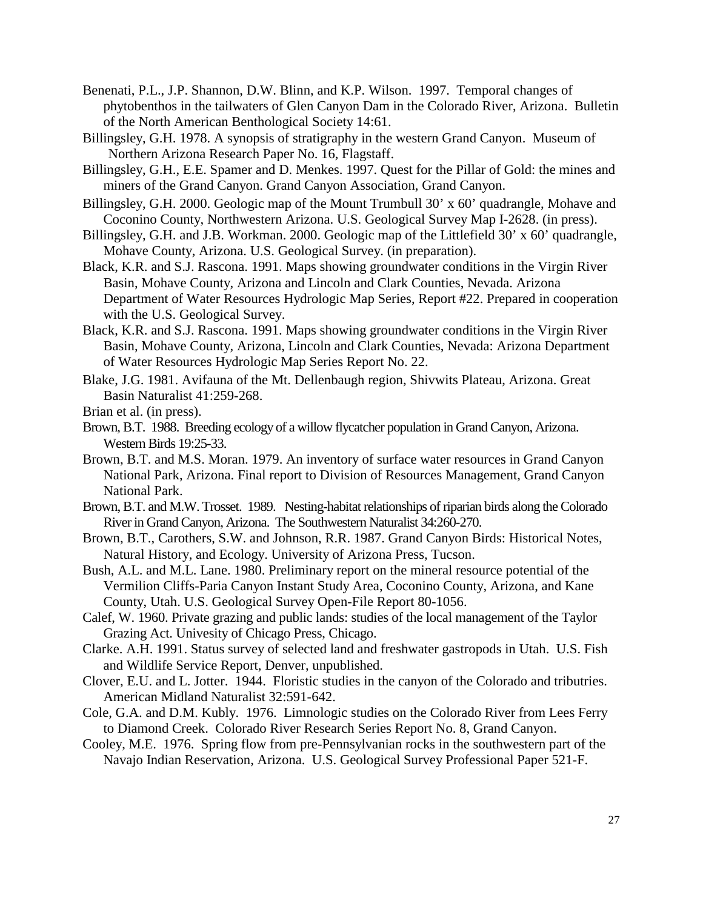- Benenati, P.L., J.P. Shannon, D.W. Blinn, and K.P. Wilson. 1997. Temporal changes of phytobenthos in the tailwaters of Glen Canyon Dam in the Colorado River, Arizona. Bulletin of the North American Benthological Society 14:61.
- Billingsley, G.H. 1978. A synopsis of stratigraphy in the western Grand Canyon. Museum of Northern Arizona Research Paper No. 16, Flagstaff.
- Billingsley, G.H., E.E. Spamer and D. Menkes. 1997. Quest for the Pillar of Gold: the mines and miners of the Grand Canyon. Grand Canyon Association, Grand Canyon.
- Billingsley, G.H. 2000. Geologic map of the Mount Trumbull 30' x 60' quadrangle, Mohave and Coconino County, Northwestern Arizona. U.S. Geological Survey Map I-2628. (in press).
- Billingsley, G.H. and J.B. Workman. 2000. Geologic map of the Littlefield 30' x 60' quadrangle, Mohave County, Arizona. U.S. Geological Survey. (in preparation).
- Black, K.R. and S.J. Rascona. 1991. Maps showing groundwater conditions in the Virgin River Basin, Mohave County, Arizona and Lincoln and Clark Counties, Nevada. Arizona Department of Water Resources Hydrologic Map Series, Report #22. Prepared in cooperation with the U.S. Geological Survey.
- Black, K.R. and S.J. Rascona. 1991. Maps showing groundwater conditions in the Virgin River Basin, Mohave County, Arizona, Lincoln and Clark Counties, Nevada: Arizona Department of Water Resources Hydrologic Map Series Report No. 22.
- Blake, J.G. 1981. Avifauna of the Mt. Dellenbaugh region, Shivwits Plateau, Arizona. Great Basin Naturalist 41:259-268.
- Brian et al. (in press).
- Brown, B.T. 1988. Breeding ecology of a willow flycatcher population in Grand Canyon, Arizona. Western Birds 19:25-33.
- Brown, B.T. and M.S. Moran. 1979. An inventory of surface water resources in Grand Canyon National Park, Arizona. Final report to Division of Resources Management, Grand Canyon National Park.
- Brown, B.T. and M.W. Trosset. 1989. Nesting-habitat relationships of riparian birds along the Colorado River in Grand Canyon, Arizona. The Southwestern Naturalist 34:260-270.
- Brown, B.T., Carothers, S.W. and Johnson, R.R. 1987. Grand Canyon Birds: Historical Notes, Natural History, and Ecology. University of Arizona Press, Tucson.
- Bush, A.L. and M.L. Lane. 1980. Preliminary report on the mineral resource potential of the Vermilion Cliffs-Paria Canyon Instant Study Area, Coconino County, Arizona, and Kane County, Utah. U.S. Geological Survey Open-File Report 80-1056.
- Calef, W. 1960. Private grazing and public lands: studies of the local management of the Taylor Grazing Act. Univesity of Chicago Press, Chicago.
- Clarke. A.H. 1991. Status survey of selected land and freshwater gastropods in Utah. U.S. Fish and Wildlife Service Report, Denver, unpublished.
- Clover, E.U. and L. Jotter. 1944. Floristic studies in the canyon of the Colorado and tributries. American Midland Naturalist 32:591-642.
- Cole, G.A. and D.M. Kubly. 1976. Limnologic studies on the Colorado River from Lees Ferry to Diamond Creek. Colorado River Research Series Report No. 8, Grand Canyon.
- Cooley, M.E. 1976. Spring flow from pre-Pennsylvanian rocks in the southwestern part of the Navajo Indian Reservation, Arizona. U.S. Geological Survey Professional Paper 521-F.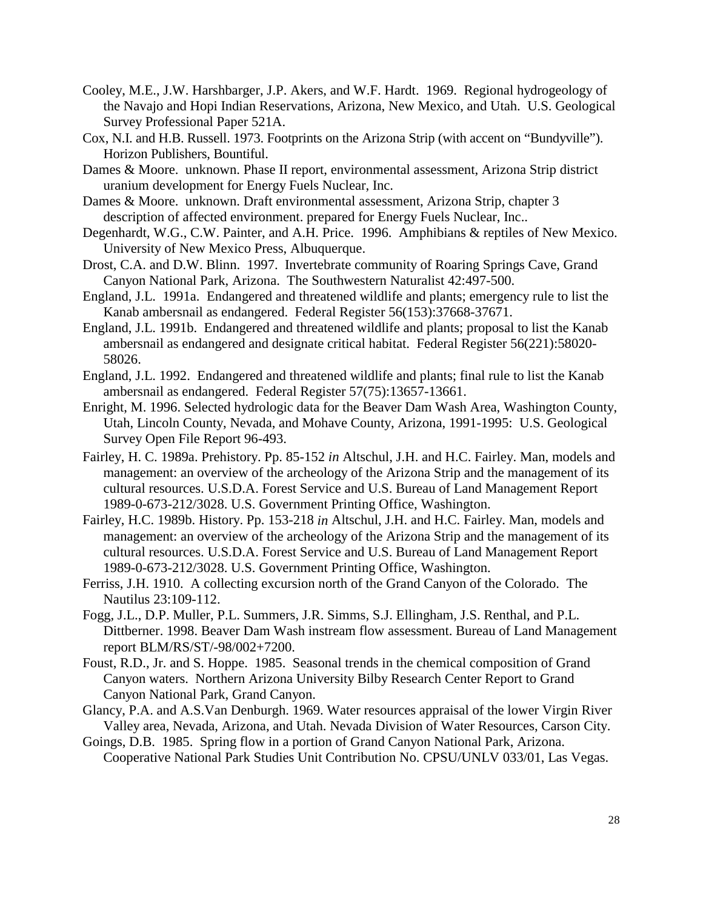- Cooley, M.E., J.W. Harshbarger, J.P. Akers, and W.F. Hardt. 1969. Regional hydrogeology of the Navajo and Hopi Indian Reservations, Arizona, New Mexico, and Utah. U.S. Geological Survey Professional Paper 521A.
- Cox, N.I. and H.B. Russell. 1973. Footprints on the Arizona Strip (with accent on "Bundyville"). Horizon Publishers, Bountiful.
- Dames & Moore. unknown. Phase II report, environmental assessment, Arizona Strip district uranium development for Energy Fuels Nuclear, Inc.
- Dames & Moore. unknown. Draft environmental assessment, Arizona Strip, chapter 3 description of affected environment. prepared for Energy Fuels Nuclear, Inc..
- Degenhardt, W.G., C.W. Painter, and A.H. Price. 1996. Amphibians & reptiles of New Mexico. University of New Mexico Press, Albuquerque.
- Drost, C.A. and D.W. Blinn. 1997. Invertebrate community of Roaring Springs Cave, Grand Canyon National Park, Arizona. The Southwestern Naturalist 42:497-500.
- England, J.L. 1991a. Endangered and threatened wildlife and plants; emergency rule to list the Kanab ambersnail as endangered. Federal Register 56(153):37668-37671.
- England, J.L. 1991b. Endangered and threatened wildlife and plants; proposal to list the Kanab ambersnail as endangered and designate critical habitat. Federal Register 56(221):58020- 58026.
- England, J.L. 1992. Endangered and threatened wildlife and plants; final rule to list the Kanab ambersnail as endangered. Federal Register 57(75):13657-13661.
- Enright, M. 1996. Selected hydrologic data for the Beaver Dam Wash Area, Washington County, Utah, Lincoln County, Nevada, and Mohave County, Arizona, 1991-1995: U.S. Geological Survey Open File Report 96-493.
- Fairley, H. C. 1989a. Prehistory. Pp. 85-152 *in* Altschul, J.H. and H.C. Fairley. Man, models and management: an overview of the archeology of the Arizona Strip and the management of its cultural resources. U.S.D.A. Forest Service and U.S. Bureau of Land Management Report 1989-0-673-212/3028. U.S. Government Printing Office, Washington.
- Fairley, H.C. 1989b. History. Pp. 153-218 *in* Altschul, J.H. and H.C. Fairley. Man, models and management: an overview of the archeology of the Arizona Strip and the management of its cultural resources. U.S.D.A. Forest Service and U.S. Bureau of Land Management Report 1989-0-673-212/3028. U.S. Government Printing Office, Washington.
- Ferriss, J.H. 1910. A collecting excursion north of the Grand Canyon of the Colorado. The Nautilus 23:109-112.
- Fogg, J.L., D.P. Muller, P.L. Summers, J.R. Simms, S.J. Ellingham, J.S. Renthal, and P.L. Dittberner. 1998. Beaver Dam Wash instream flow assessment. Bureau of Land Management report BLM/RS/ST/-98/002+7200.
- Foust, R.D., Jr. and S. Hoppe. 1985. Seasonal trends in the chemical composition of Grand Canyon waters. Northern Arizona University Bilby Research Center Report to Grand Canyon National Park, Grand Canyon.
- Glancy, P.A. and A.S.Van Denburgh. 1969. Water resources appraisal of the lower Virgin River Valley area, Nevada, Arizona, and Utah. Nevada Division of Water Resources, Carson City.
- Goings, D.B. 1985. Spring flow in a portion of Grand Canyon National Park, Arizona. Cooperative National Park Studies Unit Contribution No. CPSU/UNLV 033/01, Las Vegas.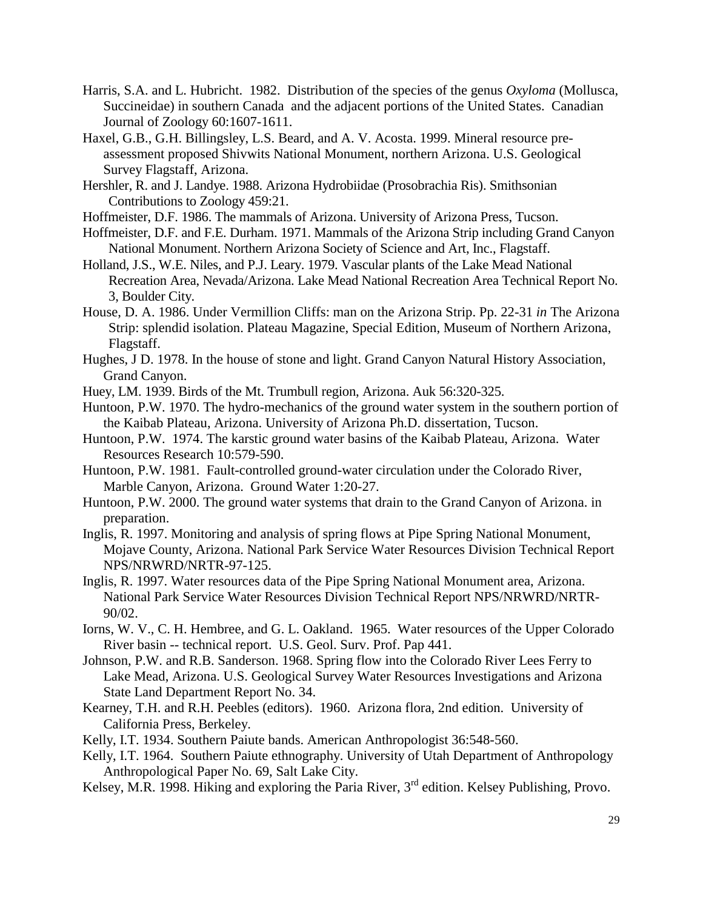- Harris, S.A. and L. Hubricht. 1982. Distribution of the species of the genus *Oxyloma* (Mollusca, Succineidae) in southern Canada and the adjacent portions of the United States. Canadian Journal of Zoology 60:1607-1611.
- Haxel, G.B., G.H. Billingsley, L.S. Beard, and A. V. Acosta. 1999. Mineral resource preassessment proposed Shivwits National Monument, northern Arizona. U.S. Geological Survey Flagstaff, Arizona.
- Hershler, R. and J. Landye. 1988. Arizona Hydrobiidae (Prosobrachia Ris). Smithsonian Contributions to Zoology 459:21.
- Hoffmeister, D.F. 1986. The mammals of Arizona. University of Arizona Press, Tucson.
- Hoffmeister, D.F. and F.E. Durham. 1971. Mammals of the Arizona Strip including Grand Canyon National Monument. Northern Arizona Society of Science and Art, Inc., Flagstaff.
- Holland, J.S., W.E. Niles, and P.J. Leary. 1979. Vascular plants of the Lake Mead National Recreation Area, Nevada/Arizona. Lake Mead National Recreation Area Technical Report No. 3, Boulder City.
- House, D. A. 1986. Under Vermillion Cliffs: man on the Arizona Strip. Pp. 22-31 *in* The Arizona Strip: splendid isolation. Plateau Magazine, Special Edition, Museum of Northern Arizona, Flagstaff.
- Hughes, J D. 1978. In the house of stone and light. Grand Canyon Natural History Association, Grand Canyon.
- Huey, LM. 1939. Birds of the Mt. Trumbull region, Arizona. Auk 56:320-325.
- Huntoon, P.W. 1970. The hydro-mechanics of the ground water system in the southern portion of the Kaibab Plateau, Arizona. University of Arizona Ph.D. dissertation, Tucson.
- Huntoon, P.W. 1974. The karstic ground water basins of the Kaibab Plateau, Arizona. Water Resources Research 10:579-590.
- Huntoon, P.W. 1981. Fault-controlled ground-water circulation under the Colorado River, Marble Canyon, Arizona. Ground Water 1:20-27.
- Huntoon, P.W. 2000. The ground water systems that drain to the Grand Canyon of Arizona. in preparation.
- Inglis, R. 1997. Monitoring and analysis of spring flows at Pipe Spring National Monument, Mojave County, Arizona. National Park Service Water Resources Division Technical Report NPS/NRWRD/NRTR-97-125.
- Inglis, R. 1997. Water resources data of the Pipe Spring National Monument area, Arizona. National Park Service Water Resources Division Technical Report NPS/NRWRD/NRTR-90/02.
- Iorns, W. V., C. H. Hembree, and G. L. Oakland. 1965. Water resources of the Upper Colorado River basin -- technical report. U.S. Geol. Surv. Prof. Pap 441.
- Johnson, P.W. and R.B. Sanderson. 1968. Spring flow into the Colorado River Lees Ferry to Lake Mead, Arizona. U.S. Geological Survey Water Resources Investigations and Arizona State Land Department Report No. 34.
- Kearney, T.H. and R.H. Peebles (editors). 1960. Arizona flora, 2nd edition. University of California Press, Berkeley.
- Kelly, I.T. 1934. Southern Paiute bands. American Anthropologist 36:548-560.
- Kelly, I.T. 1964. Southern Paiute ethnography. University of Utah Department of Anthropology Anthropological Paper No. 69, Salt Lake City.
- Kelsey, M.R. 1998. Hiking and exploring the Paria River, 3<sup>rd</sup> edition. Kelsey Publishing, Provo.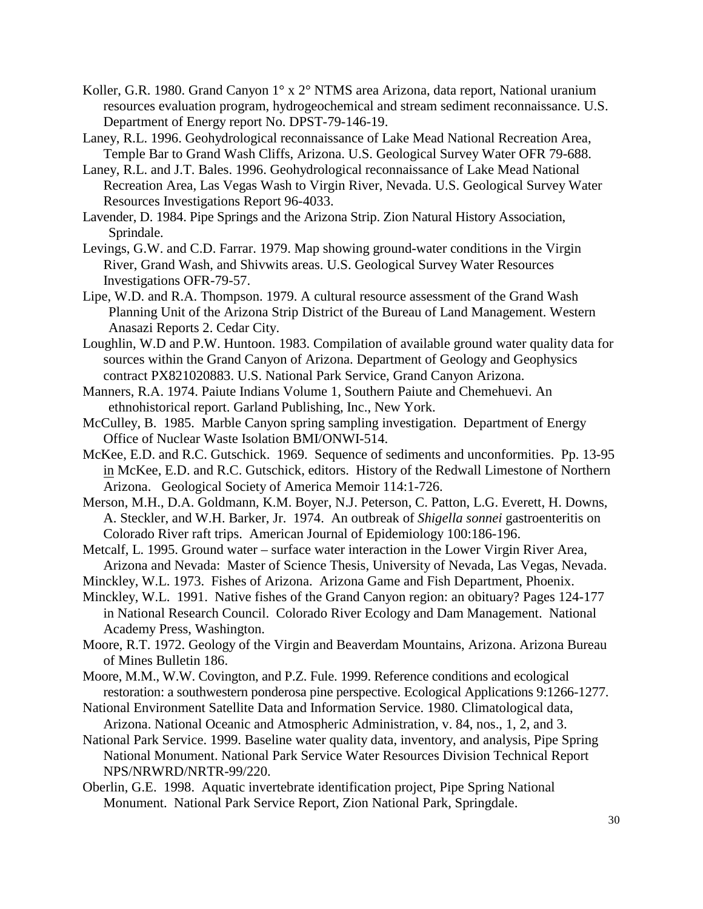- Koller, G.R. 1980. Grand Canyon 1° x 2° NTMS area Arizona, data report, National uranium resources evaluation program, hydrogeochemical and stream sediment reconnaissance. U.S. Department of Energy report No. DPST-79-146-19.
- Laney, R.L. 1996. Geohydrological reconnaissance of Lake Mead National Recreation Area, Temple Bar to Grand Wash Cliffs, Arizona. U.S. Geological Survey Water OFR 79-688.
- Laney, R.L. and J.T. Bales. 1996. Geohydrological reconnaissance of Lake Mead National Recreation Area, Las Vegas Wash to Virgin River, Nevada. U.S. Geological Survey Water Resources Investigations Report 96-4033.
- Lavender, D. 1984. Pipe Springs and the Arizona Strip. Zion Natural History Association, Sprindale.
- Levings, G.W. and C.D. Farrar. 1979. Map showing ground-water conditions in the Virgin River, Grand Wash, and Shivwits areas. U.S. Geological Survey Water Resources Investigations OFR-79-57.
- Lipe, W.D. and R.A. Thompson. 1979. A cultural resource assessment of the Grand Wash Planning Unit of the Arizona Strip District of the Bureau of Land Management. Western Anasazi Reports 2. Cedar City.
- Loughlin, W.D and P.W. Huntoon. 1983. Compilation of available ground water quality data for sources within the Grand Canyon of Arizona. Department of Geology and Geophysics contract PX821020883. U.S. National Park Service, Grand Canyon Arizona.
- Manners, R.A. 1974. Paiute Indians Volume 1, Southern Paiute and Chemehuevi. An ethnohistorical report. Garland Publishing, Inc., New York.
- McCulley, B. 1985. Marble Canyon spring sampling investigation. Department of Energy Office of Nuclear Waste Isolation BMI/ONWI-514.
- McKee, E.D. and R.C. Gutschick. 1969. Sequence of sediments and unconformities. Pp. 13-95 in McKee, E.D. and R.C. Gutschick, editors. History of the Redwall Limestone of Northern Arizona. Geological Society of America Memoir 114:1-726.
- Merson, M.H., D.A. Goldmann, K.M. Boyer, N.J. Peterson, C. Patton, L.G. Everett, H. Downs, A. Steckler, and W.H. Barker, Jr. 1974. An outbreak of *Shigella sonnei* gastroenteritis on Colorado River raft trips. American Journal of Epidemiology 100:186-196.
- Metcalf, L. 1995. Ground water surface water interaction in the Lower Virgin River Area, Arizona and Nevada: Master of Science Thesis, University of Nevada, Las Vegas, Nevada.
- Minckley, W.L. 1973. Fishes of Arizona. Arizona Game and Fish Department, Phoenix.
- Minckley, W.L. 1991. Native fishes of the Grand Canyon region: an obituary? Pages 124-177 in National Research Council. Colorado River Ecology and Dam Management. National Academy Press, Washington.
- Moore, R.T. 1972. Geology of the Virgin and Beaverdam Mountains, Arizona. Arizona Bureau of Mines Bulletin 186.
- Moore, M.M., W.W. Covington, and P.Z. Fule. 1999. Reference conditions and ecological restoration: a southwestern ponderosa pine perspective. Ecological Applications 9:1266-1277.
- National Environment Satellite Data and Information Service. 1980. Climatological data, Arizona. National Oceanic and Atmospheric Administration, v. 84, nos., 1, 2, and 3.
- National Park Service. 1999. Baseline water quality data, inventory, and analysis, Pipe Spring National Monument. National Park Service Water Resources Division Technical Report NPS/NRWRD/NRTR-99/220.
- Oberlin, G.E. 1998. Aquatic invertebrate identification project, Pipe Spring National Monument. National Park Service Report, Zion National Park, Springdale.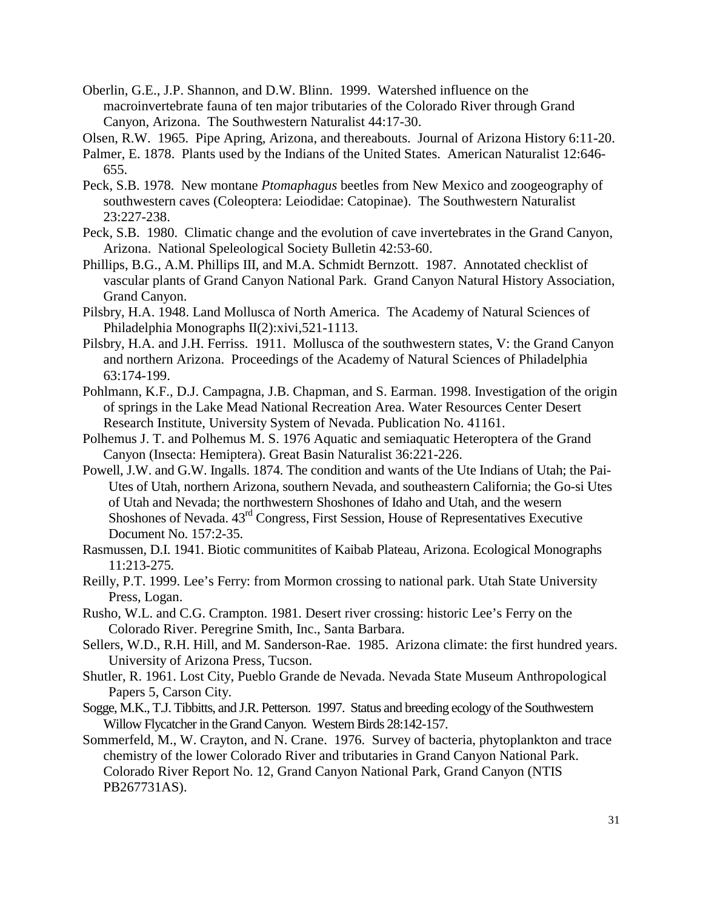- Oberlin, G.E., J.P. Shannon, and D.W. Blinn. 1999. Watershed influence on the macroinvertebrate fauna of ten major tributaries of the Colorado River through Grand Canyon, Arizona. The Southwestern Naturalist 44:17-30.
- Olsen, R.W. 1965. Pipe Apring, Arizona, and thereabouts. Journal of Arizona History 6:11-20.
- Palmer, E. 1878. Plants used by the Indians of the United States. American Naturalist 12:646- 655.
- Peck, S.B. 1978. New montane *Ptomaphagus* beetles from New Mexico and zoogeography of southwestern caves (Coleoptera: Leiodidae: Catopinae). The Southwestern Naturalist 23:227-238.
- Peck, S.B. 1980. Climatic change and the evolution of cave invertebrates in the Grand Canyon, Arizona. National Speleological Society Bulletin 42:53-60.
- Phillips, B.G., A.M. Phillips III, and M.A. Schmidt Bernzott. 1987. Annotated checklist of vascular plants of Grand Canyon National Park. Grand Canyon Natural History Association, Grand Canyon.
- Pilsbry, H.A. 1948. Land Mollusca of North America. The Academy of Natural Sciences of Philadelphia Monographs II(2):xivi,521-1113.
- Pilsbry, H.A. and J.H. Ferriss. 1911. Mollusca of the southwestern states, V: the Grand Canyon and northern Arizona. Proceedings of the Academy of Natural Sciences of Philadelphia 63:174-199.
- Pohlmann, K.F., D.J. Campagna, J.B. Chapman, and S. Earman. 1998. Investigation of the origin of springs in the Lake Mead National Recreation Area. Water Resources Center Desert Research Institute, University System of Nevada. Publication No. 41161.
- Polhemus J. T. and Polhemus M. S. 1976 Aquatic and semiaquatic Heteroptera of the Grand Canyon (Insecta: Hemiptera). Great Basin Naturalist 36:221-226.
- Powell, J.W. and G.W. Ingalls. 1874. The condition and wants of the Ute Indians of Utah; the Pai-Utes of Utah, northern Arizona, southern Nevada, and southeastern California; the Go-si Utes of Utah and Nevada; the northwestern Shoshones of Idaho and Utah, and the wesern Shoshones of Nevada. 43rd Congress, First Session, House of Representatives Executive Document No. 157:2-35.
- Rasmussen, D.I. 1941. Biotic communitites of Kaibab Plateau, Arizona. Ecological Monographs 11:213-275.
- Reilly, P.T. 1999. Lee's Ferry: from Mormon crossing to national park. Utah State University Press, Logan.
- Rusho, W.L. and C.G. Crampton. 1981. Desert river crossing: historic Lee's Ferry on the Colorado River. Peregrine Smith, Inc., Santa Barbara.
- Sellers, W.D., R.H. Hill, and M. Sanderson-Rae. 1985. Arizona climate: the first hundred years. University of Arizona Press, Tucson.
- Shutler, R. 1961. Lost City, Pueblo Grande de Nevada. Nevada State Museum Anthropological Papers 5, Carson City.
- Sogge, M.K., T.J. Tibbitts, and J.R. Petterson. 1997. Status and breeding ecology of the Southwestern Willow Flycatcher in the Grand Canyon. Western Birds 28:142-157.
- Sommerfeld, M., W. Crayton, and N. Crane. 1976. Survey of bacteria, phytoplankton and trace chemistry of the lower Colorado River and tributaries in Grand Canyon National Park. Colorado River Report No. 12, Grand Canyon National Park, Grand Canyon (NTIS PB267731AS).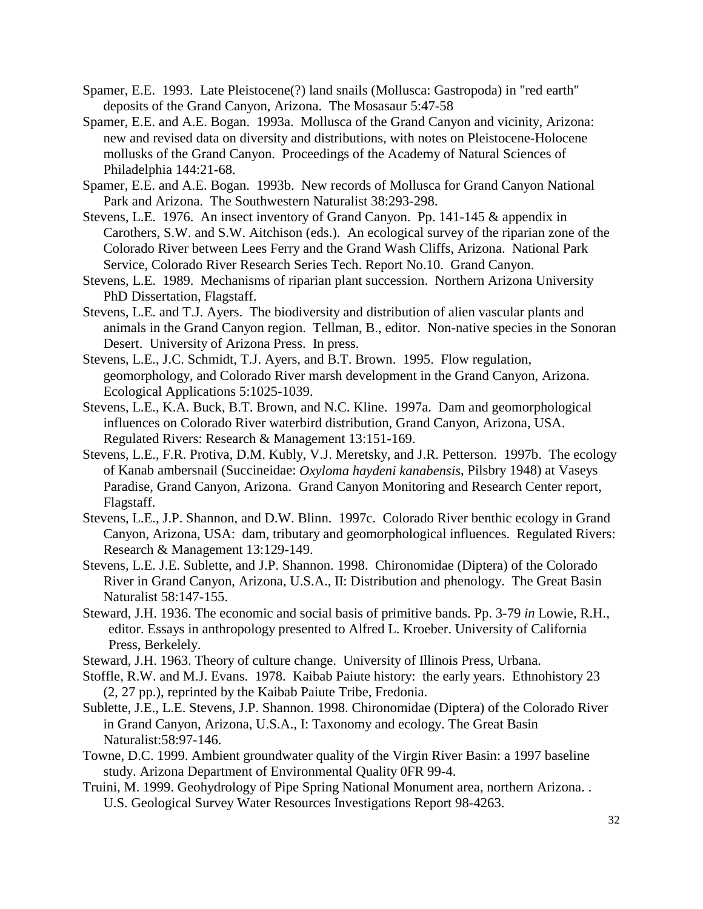- Spamer, E.E. 1993. Late Pleistocene(?) land snails (Mollusca: Gastropoda) in "red earth" deposits of the Grand Canyon, Arizona. The Mosasaur 5:47-58
- Spamer, E.E. and A.E. Bogan. 1993a. Mollusca of the Grand Canyon and vicinity, Arizona: new and revised data on diversity and distributions, with notes on Pleistocene-Holocene mollusks of the Grand Canyon. Proceedings of the Academy of Natural Sciences of Philadelphia 144:21-68.
- Spamer, E.E. and A.E. Bogan. 1993b. New records of Mollusca for Grand Canyon National Park and Arizona. The Southwestern Naturalist 38:293-298.
- Stevens, L.E. 1976. An insect inventory of Grand Canyon. Pp. 141-145 & appendix in Carothers, S.W. and S.W. Aitchison (eds.). An ecological survey of the riparian zone of the Colorado River between Lees Ferry and the Grand Wash Cliffs, Arizona. National Park Service, Colorado River Research Series Tech. Report No.10. Grand Canyon.
- Stevens, L.E. 1989. Mechanisms of riparian plant succession. Northern Arizona University PhD Dissertation, Flagstaff.
- Stevens, L.E. and T.J. Ayers. The biodiversity and distribution of alien vascular plants and animals in the Grand Canyon region. Tellman, B., editor. Non-native species in the Sonoran Desert. University of Arizona Press. In press.
- Stevens, L.E., J.C. Schmidt, T.J. Ayers, and B.T. Brown. 1995. Flow regulation, geomorphology, and Colorado River marsh development in the Grand Canyon, Arizona. Ecological Applications 5:1025-1039.
- Stevens, L.E., K.A. Buck, B.T. Brown, and N.C. Kline. 1997a. Dam and geomorphological influences on Colorado River waterbird distribution, Grand Canyon, Arizona, USA. Regulated Rivers: Research & Management 13:151-169.
- Stevens, L.E., F.R. Protiva, D.M. Kubly, V.J. Meretsky, and J.R. Petterson. 1997b. The ecology of Kanab ambersnail (Succineidae: *Oxyloma haydeni kanabensis*, Pilsbry 1948) at Vaseys Paradise, Grand Canyon, Arizona. Grand Canyon Monitoring and Research Center report, Flagstaff.
- Stevens, L.E., J.P. Shannon, and D.W. Blinn. 1997c. Colorado River benthic ecology in Grand Canyon, Arizona, USA: dam, tributary and geomorphological influences. Regulated Rivers: Research & Management 13:129-149.
- Stevens, L.E. J.E. Sublette, and J.P. Shannon. 1998. Chironomidae (Diptera) of the Colorado River in Grand Canyon, Arizona, U.S.A., II: Distribution and phenology. The Great Basin Naturalist 58:147-155.
- Steward, J.H. 1936. The economic and social basis of primitive bands. Pp. 3-79 *in* Lowie, R.H., editor. Essays in anthropology presented to Alfred L. Kroeber. University of California Press, Berkelely.
- Steward, J.H. 1963. Theory of culture change. University of Illinois Press, Urbana.
- Stoffle, R.W. and M.J. Evans. 1978. Kaibab Paiute history: the early years. Ethnohistory 23 (2, 27 pp.), reprinted by the Kaibab Paiute Tribe, Fredonia.
- Sublette, J.E., L.E. Stevens, J.P. Shannon. 1998. Chironomidae (Diptera) of the Colorado River in Grand Canyon, Arizona, U.S.A., I: Taxonomy and ecology. The Great Basin Naturalist:58:97-146.
- Towne, D.C. 1999. Ambient groundwater quality of the Virgin River Basin: a 1997 baseline study. Arizona Department of Environmental Quality 0FR 99-4.
- Truini, M. 1999. Geohydrology of Pipe Spring National Monument area, northern Arizona. . U.S. Geological Survey Water Resources Investigations Report 98-4263.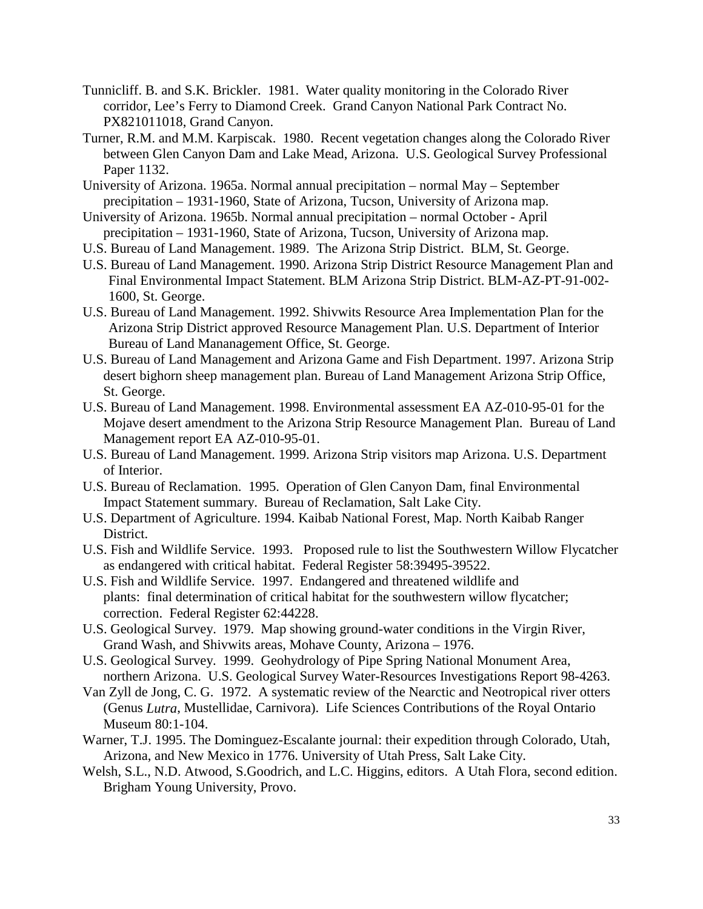- Tunnicliff. B. and S.K. Brickler. 1981. Water quality monitoring in the Colorado River corridor, Lee's Ferry to Diamond Creek. Grand Canyon National Park Contract No. PX821011018, Grand Canyon.
- Turner, R.M. and M.M. Karpiscak. 1980. Recent vegetation changes along the Colorado River between Glen Canyon Dam and Lake Mead, Arizona. U.S. Geological Survey Professional Paper 1132.
- University of Arizona. 1965a. Normal annual precipitation normal May September precipitation – 1931-1960, State of Arizona, Tucson, University of Arizona map.
- University of Arizona. 1965b. Normal annual precipitation normal October April precipitation – 1931-1960, State of Arizona, Tucson, University of Arizona map.
- U.S. Bureau of Land Management. 1989. The Arizona Strip District. BLM, St. George.
- U.S. Bureau of Land Management. 1990. Arizona Strip District Resource Management Plan and Final Environmental Impact Statement. BLM Arizona Strip District. BLM-AZ-PT-91-002- 1600, St. George.
- U.S. Bureau of Land Management. 1992. Shivwits Resource Area Implementation Plan for the Arizona Strip District approved Resource Management Plan. U.S. Department of Interior Bureau of Land Mananagement Office, St. George.
- U.S. Bureau of Land Management and Arizona Game and Fish Department. 1997. Arizona Strip desert bighorn sheep management plan. Bureau of Land Management Arizona Strip Office, St. George.
- U.S. Bureau of Land Management. 1998. Environmental assessment EA AZ-010-95-01 for the Mojave desert amendment to the Arizona Strip Resource Management Plan. Bureau of Land Management report EA AZ-010-95-01.
- U.S. Bureau of Land Management. 1999. Arizona Strip visitors map Arizona. U.S. Department of Interior.
- U.S. Bureau of Reclamation. 1995. Operation of Glen Canyon Dam, final Environmental Impact Statement summary. Bureau of Reclamation, Salt Lake City.
- U.S. Department of Agriculture. 1994. Kaibab National Forest, Map. North Kaibab Ranger District.
- U.S. Fish and Wildlife Service. 1993. Proposed rule to list the Southwestern Willow Flycatcher as endangered with critical habitat. Federal Register 58:39495-39522.
- U.S. Fish and Wildlife Service. 1997. Endangered and threatened wildlife and plants: final determination of critical habitat for the southwestern willow flycatcher; correction. Federal Register 62:44228.
- U.S. Geological Survey. 1979. Map showing ground-water conditions in the Virgin River, Grand Wash, and Shivwits areas, Mohave County, Arizona – 1976.
- U.S. Geological Survey. 1999. Geohydrology of Pipe Spring National Monument Area, northern Arizona. U.S. Geological Survey Water-Resources Investigations Report 98-4263.
- Van Zyll de Jong, C. G. 1972. A systematic review of the Nearctic and Neotropical river otters (Genus *Lutra*, Mustellidae, Carnivora). Life Sciences Contributions of the Royal Ontario Museum 80:1-104.
- Warner, T.J. 1995. The Dominguez-Escalante journal: their expedition through Colorado, Utah, Arizona, and New Mexico in 1776. University of Utah Press, Salt Lake City.
- Welsh, S.L., N.D. Atwood, S.Goodrich, and L.C. Higgins, editors. A Utah Flora, second edition. Brigham Young University, Provo.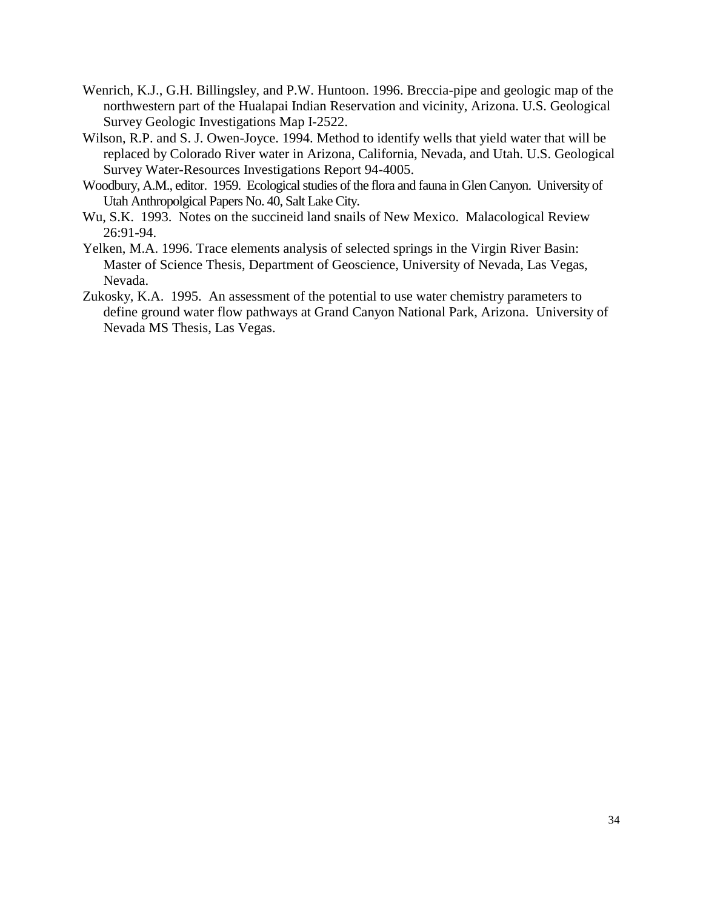- Wenrich, K.J., G.H. Billingsley, and P.W. Huntoon. 1996. Breccia-pipe and geologic map of the northwestern part of the Hualapai Indian Reservation and vicinity, Arizona. U.S. Geological Survey Geologic Investigations Map I-2522.
- Wilson, R.P. and S. J. Owen-Joyce. 1994. Method to identify wells that yield water that will be replaced by Colorado River water in Arizona, California, Nevada, and Utah. U.S. Geological Survey Water-Resources Investigations Report 94-4005.
- Woodbury, A.M., editor. 1959. Ecological studies of the flora and fauna in Glen Canyon. University of Utah Anthropolgical Papers No. 40, Salt Lake City.
- Wu, S.K. 1993. Notes on the succineid land snails of New Mexico. Malacological Review 26:91-94.
- Yelken, M.A. 1996. Trace elements analysis of selected springs in the Virgin River Basin: Master of Science Thesis, Department of Geoscience, University of Nevada, Las Vegas, Nevada.
- Zukosky, K.A. 1995. An assessment of the potential to use water chemistry parameters to define ground water flow pathways at Grand Canyon National Park, Arizona. University of Nevada MS Thesis, Las Vegas.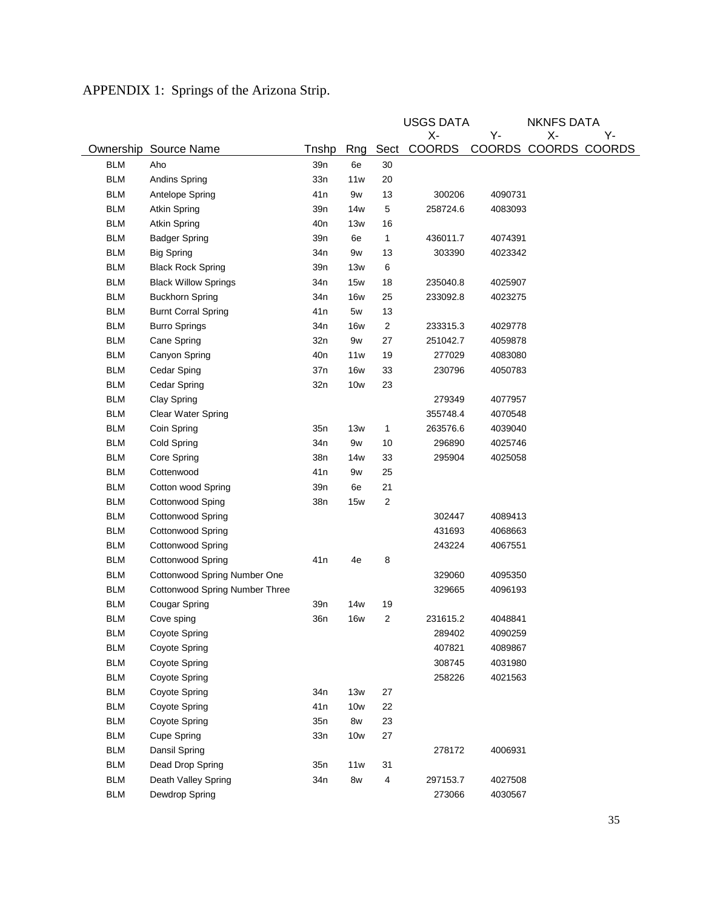|            |                                       |                 |            |                         | <b>USGS DATA</b> |               | <b>NKNFS DATA</b> |               |
|------------|---------------------------------------|-----------------|------------|-------------------------|------------------|---------------|-------------------|---------------|
|            |                                       |                 |            |                         | χ-               | Y-            | χ.                | Υ-            |
| Ownership  | Source Name                           | Tnshp           | Rng        | Sect                    | <b>COORDS</b>    | <b>COORDS</b> |                   | COORDS COORDS |
| <b>BLM</b> | Aho                                   | 39n             | 6e         | 30                      |                  |               |                   |               |
| <b>BLM</b> | Andins Spring                         | 33n             | 11w        | 20                      |                  |               |                   |               |
| <b>BLM</b> | Antelope Spring                       | 41 <sub>n</sub> | 9w         | 13                      | 300206           | 4090731       |                   |               |
| <b>BLM</b> | Atkin Spring                          | 39n             | 14w        | 5                       | 258724.6         | 4083093       |                   |               |
| <b>BLM</b> | Atkin Spring                          | 40 <sub>n</sub> | 13w        | 16                      |                  |               |                   |               |
| <b>BLM</b> | <b>Badger Spring</b>                  | 39n             | 6e         | 1                       | 436011.7         | 4074391       |                   |               |
| <b>BLM</b> | <b>Big Spring</b>                     | 34n             | 9w         | 13                      | 303390           | 4023342       |                   |               |
| <b>BLM</b> | <b>Black Rock Spring</b>              | 39n             | 13w        | 6                       |                  |               |                   |               |
| <b>BLM</b> | <b>Black Willow Springs</b>           | 34n             | <b>15w</b> | 18                      | 235040.8         | 4025907       |                   |               |
| <b>BLM</b> | <b>Buckhorn Spring</b>                | 34 <sub>n</sub> | <b>16w</b> | 25                      | 233092.8         | 4023275       |                   |               |
| <b>BLM</b> | <b>Burnt Corral Spring</b>            | 41 <sub>n</sub> | 5w         | 13                      |                  |               |                   |               |
| <b>BLM</b> | <b>Burro Springs</b>                  | 34n             | <b>16w</b> | $\overline{\mathbf{c}}$ | 233315.3         | 4029778       |                   |               |
| <b>BLM</b> | Cane Spring                           | 32n             | 9w         | 27                      | 251042.7         | 4059878       |                   |               |
| <b>BLM</b> | Canyon Spring                         | 40 <sub>n</sub> | 11w        | 19                      | 277029           | 4083080       |                   |               |
| <b>BLM</b> | Cedar Sping                           | 37n             | <b>16w</b> | 33                      | 230796           | 4050783       |                   |               |
| <b>BLM</b> | Cedar Spring                          | 32n             | <b>10w</b> | 23                      |                  |               |                   |               |
| <b>BLM</b> | Clay Spring                           |                 |            |                         | 279349           | 4077957       |                   |               |
| <b>BLM</b> | Clear Water Spring                    |                 |            |                         | 355748.4         | 4070548       |                   |               |
| <b>BLM</b> | Coin Spring                           | 35n             | 13w        | 1                       | 263576.6         | 4039040       |                   |               |
| <b>BLM</b> | Cold Spring                           | 34n             | 9w         | 10                      | 296890           | 4025746       |                   |               |
| <b>BLM</b> | Core Spring                           | 38n             | 14w        | 33                      | 295904           | 4025058       |                   |               |
| <b>BLM</b> | Cottenwood                            | 41 <sub>n</sub> | 9w         | 25                      |                  |               |                   |               |
| <b>BLM</b> | Cotton wood Spring                    | 39n             | 6e         | 21                      |                  |               |                   |               |
| <b>BLM</b> | Cottonwood Sping                      | 38n             | 15w        | $\overline{2}$          |                  |               |                   |               |
| <b>BLM</b> | Cottonwood Spring                     |                 |            |                         | 302447           | 4089413       |                   |               |
| <b>BLM</b> | Cottonwood Spring                     |                 |            |                         | 431693           | 4068663       |                   |               |
| <b>BLM</b> | Cottonwood Spring                     |                 |            |                         | 243224           | 4067551       |                   |               |
| <b>BLM</b> | Cottonwood Spring                     | 41 <sub>n</sub> | 4e         | 8                       |                  |               |                   |               |
| <b>BLM</b> | Cottonwood Spring Number One          |                 |            |                         | 329060           | 4095350       |                   |               |
| <b>BLM</b> | <b>Cottonwood Spring Number Three</b> |                 |            |                         | 329665           | 4096193       |                   |               |
| <b>BLM</b> | Cougar Spring                         | 39n             | 14w        | 19                      |                  |               |                   |               |
| <b>BLM</b> | Cove sping                            | 36n             | <b>16w</b> | $\overline{2}$          | 231615.2         | 4048841       |                   |               |
| <b>BLM</b> | Coyote Spring                         |                 |            |                         | 289402           | 4090259       |                   |               |
| <b>BLM</b> | Coyote Spring                         |                 |            |                         | 407821           | 4089867       |                   |               |
| <b>BLM</b> | Coyote Spring                         |                 |            |                         | 308745           | 4031980       |                   |               |
| <b>BLM</b> | Coyote Spring                         |                 |            |                         | 258226           | 4021563       |                   |               |
| <b>BLM</b> | Coyote Spring                         | 34n             | 13w        | 27                      |                  |               |                   |               |
| <b>BLM</b> | Coyote Spring                         | 41 <sub>n</sub> | 10w        | 22                      |                  |               |                   |               |
| <b>BLM</b> | Coyote Spring                         | 35n             | 8w         | 23                      |                  |               |                   |               |
| <b>BLM</b> | Cupe Spring                           | 33n             | <b>10w</b> | 27                      |                  |               |                   |               |
| <b>BLM</b> | Dansil Spring                         |                 |            |                         | 278172           | 4006931       |                   |               |
| <b>BLM</b> | Dead Drop Spring                      | 35n             | 11w        | 31                      |                  |               |                   |               |
| <b>BLM</b> | Death Valley Spring                   | 34n             | 8w         | 4                       | 297153.7         | 4027508       |                   |               |
| <b>BLM</b> | Dewdrop Spring                        |                 |            |                         | 273066           | 4030567       |                   |               |

# APPENDIX 1: Springs of the Arizona Strip.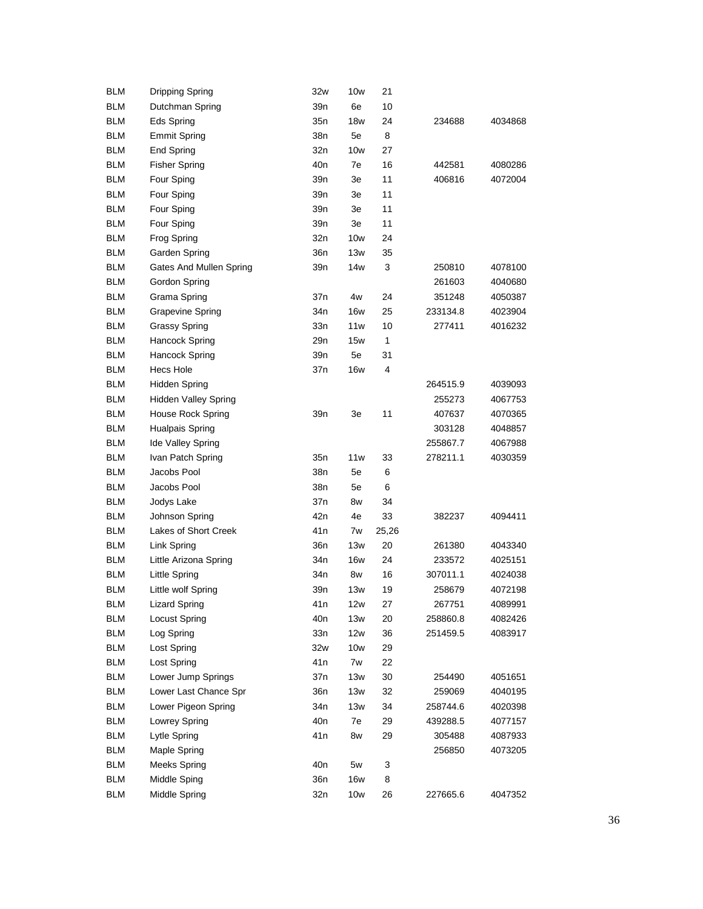| <b>BLM</b> | <b>Dripping Spring</b>      | 32w             | 10w        | 21    |          |         |
|------------|-----------------------------|-----------------|------------|-------|----------|---------|
| <b>BLM</b> | Dutchman Spring             | 39n             | 6e         | 10    |          |         |
| <b>BLM</b> | Eds Spring                  | 35n             | 18w        | 24    | 234688   | 4034868 |
| <b>BLM</b> | <b>Emmit Spring</b>         | 38n             | 5e         | 8     |          |         |
| <b>BLM</b> | End Spring                  | 32n             | 10w        | 27    |          |         |
| <b>BLM</b> | <b>Fisher Spring</b>        | 40 <sub>n</sub> | 7e         | 16    | 442581   | 4080286 |
| <b>BLM</b> | Four Sping                  | 39n             | Зe         | 11    | 406816   | 4072004 |
| <b>BLM</b> | Four Sping                  | 39 <sub>n</sub> | Зе         | 11    |          |         |
| BLM        | Four Sping                  | 39 <sub>n</sub> | Зе         | 11    |          |         |
| <b>BLM</b> | Four Sping                  | 39n             | Зе         | 11    |          |         |
| <b>BLM</b> | Frog Spring                 | 32n             | 10w        | 24    |          |         |
| <b>BLM</b> | Garden Spring               | 36n             | 13w        | 35    |          |         |
| <b>BLM</b> | Gates And Mullen Spring     | 39n             | 14w        | 3     | 250810   | 4078100 |
| <b>BLM</b> | Gordon Spring               |                 |            |       | 261603   | 4040680 |
| <b>BLM</b> | Grama Spring                | 37n             | 4w         | 24    | 351248   | 4050387 |
| <b>BLM</b> | <b>Grapevine Spring</b>     | 34n             | 16w        | 25    | 233134.8 | 4023904 |
| BLM        | <b>Grassy Spring</b>        | 33n             | 11w        | 10    | 277411   | 4016232 |
| <b>BLM</b> | Hancock Spring              | 29n             | 15w        | 1     |          |         |
| <b>BLM</b> | <b>Hancock Spring</b>       | 39n             | 5e         | 31    |          |         |
| <b>BLM</b> | <b>Hecs Hole</b>            | 37n             | <b>16w</b> | 4     |          |         |
| <b>BLM</b> | <b>Hidden Spring</b>        |                 |            |       | 264515.9 | 4039093 |
| <b>BLM</b> | <b>Hidden Valley Spring</b> |                 |            |       | 255273   | 4067753 |
| <b>BLM</b> | House Rock Spring           | 39n             | Зe         | 11    | 407637   | 4070365 |
| <b>BLM</b> | Hualpais Spring             |                 |            |       | 303128   | 4048857 |
| BLM        | Ide Valley Spring           |                 |            |       | 255867.7 | 4067988 |
| <b>BLM</b> | Ivan Patch Spring           | 35n             | 11w        | 33    | 278211.1 | 4030359 |
| <b>BLM</b> | Jacobs Pool                 | 38n             | 5e         | 6     |          |         |
| <b>BLM</b> | Jacobs Pool                 | 38n             | 5e         | 6     |          |         |
| <b>BLM</b> | Jodys Lake                  | 37n             | 8w         | 34    |          |         |
| <b>BLM</b> | Johnson Spring              | 42 <sub>n</sub> | 4e         | 33    | 382237   | 4094411 |
| <b>BLM</b> |                             |                 |            |       |          |         |
|            | Lakes of Short Creek        | 41 <sub>n</sub> | 7w         | 25,26 |          |         |
| <b>BLM</b> | Link Spring                 | 36n             | 13w        | 20    | 261380   | 4043340 |
| BLM        | Little Arizona Spring       | 34n             | 16w        | 24    | 233572   | 4025151 |
| <b>BLM</b> | Little Spring               | 34n             | 8w         | 16    | 307011.1 | 4024038 |
| BLM        | Little wolf Spring          | 39n             | 13w        | 19    | 258679   | 4072198 |
| <b>BLM</b> | <b>Lizard Spring</b>        | 41 n            | 12w        | 27    | 267751   | 4089991 |
| <b>BLM</b> | <b>Locust Spring</b>        | 40n             | 13w        | 20    | 258860.8 | 4082426 |
| <b>BLM</b> | Log Spring                  | 33n             | 12w        | 36    | 251459.5 | 4083917 |
| <b>BLM</b> | Lost Spring                 | 32w             | 10w        | 29    |          |         |
| <b>BLM</b> | Lost Spring                 | 41 <sub>n</sub> | 7w         | 22    |          |         |
| <b>BLM</b> | Lower Jump Springs          | 37n             | 13w        | 30    | 254490   | 4051651 |
| <b>BLM</b> | Lower Last Chance Spr       | 36n             | 13w        | 32    | 259069   | 4040195 |
| <b>BLM</b> | Lower Pigeon Spring         | 34n             | 13w        | 34    | 258744.6 | 4020398 |
| <b>BLM</b> | <b>Lowrey Spring</b>        | 40 <sub>n</sub> | 7e         | 29    | 439288.5 | 4077157 |
| <b>BLM</b> | Lytle Spring                | 41 n            | 8w         | 29    | 305488   | 4087933 |
| <b>BLM</b> | Maple Spring                |                 |            |       | 256850   | 4073205 |
| <b>BLM</b> | <b>Meeks Spring</b>         | 40n             | 5w         | 3     |          |         |
| <b>BLM</b> | Middle Sping                | 36n             | <b>16w</b> | 8     |          |         |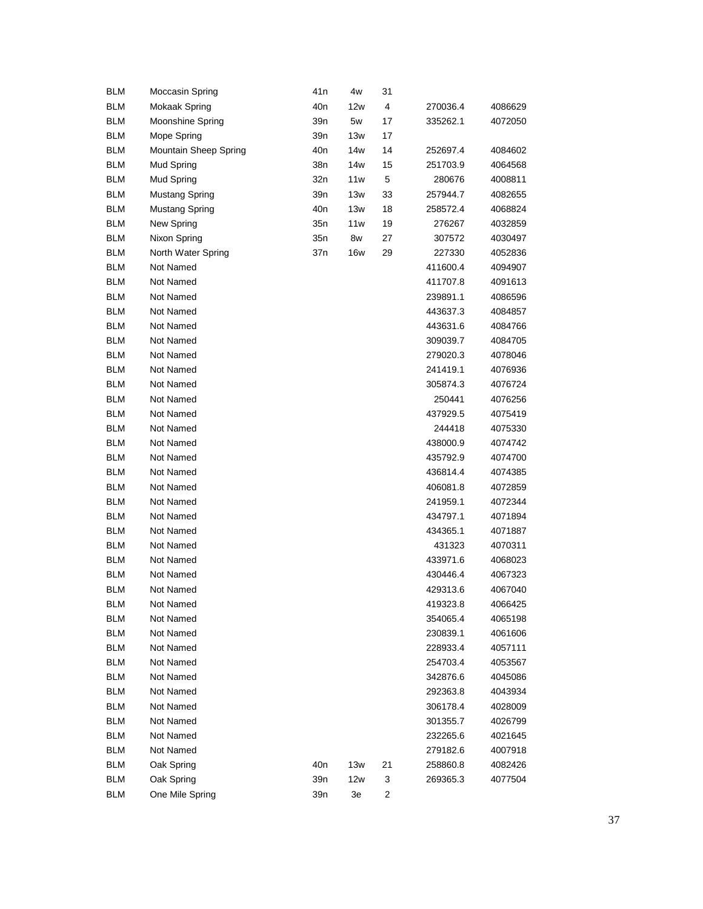| <b>BLM</b> | Moccasin Spring       | 41 n            | 4w         | 31 |          |         |
|------------|-----------------------|-----------------|------------|----|----------|---------|
| <b>BLM</b> | Mokaak Spring         | 40 <sub>n</sub> | 12w        | 4  | 270036.4 | 4086629 |
| <b>BLM</b> | Moonshine Spring      | 39 <sub>n</sub> | 5w         | 17 | 335262.1 | 4072050 |
| <b>BLM</b> | Mope Spring           | 39 <sub>n</sub> | 13w        | 17 |          |         |
| <b>BLM</b> | Mountain Sheep Spring | 40 <sub>n</sub> | 14w        | 14 | 252697.4 | 4084602 |
| <b>BLM</b> | Mud Spring            | 38n             | 14w        | 15 | 251703.9 | 4064568 |
| <b>BLM</b> | Mud Spring            | 32n             | 11w        | 5  | 280676   | 4008811 |
| <b>BLM</b> | <b>Mustang Spring</b> | 39 <sub>n</sub> | 13w        | 33 | 257944.7 | 4082655 |
| <b>BLM</b> | <b>Mustang Spring</b> | 40 <sub>n</sub> | 13w        | 18 | 258572.4 | 4068824 |
| <b>BLM</b> | New Spring            | 35n             | 11w        | 19 | 276267   | 4032859 |
| <b>BLM</b> | Nixon Spring          | 35n             | 8w         | 27 | 307572   | 4030497 |
| <b>BLM</b> | North Water Spring    | 37n             | <b>16w</b> | 29 | 227330   | 4052836 |
| <b>BLM</b> | Not Named             |                 |            |    | 411600.4 | 4094907 |
| <b>BLM</b> | Not Named             |                 |            |    | 411707.8 | 4091613 |
| <b>BLM</b> | Not Named             |                 |            |    | 239891.1 | 4086596 |
| <b>BLM</b> | Not Named             |                 |            |    | 443637.3 | 4084857 |
| <b>BLM</b> | Not Named             |                 |            |    | 443631.6 | 4084766 |
| <b>BLM</b> | Not Named             |                 |            |    | 309039.7 | 4084705 |
| <b>BLM</b> | Not Named             |                 |            |    | 279020.3 | 4078046 |
| <b>BLM</b> | Not Named             |                 |            |    | 241419.1 | 4076936 |
| <b>BLM</b> | Not Named             |                 |            |    | 305874.3 | 4076724 |
| <b>BLM</b> | Not Named             |                 |            |    | 250441   | 4076256 |
| <b>BLM</b> | Not Named             |                 |            |    | 437929.5 | 4075419 |
| <b>BLM</b> | Not Named             |                 |            |    | 244418   | 4075330 |
| <b>BLM</b> | Not Named             |                 |            |    | 438000.9 | 4074742 |
| <b>BLM</b> | Not Named             |                 |            |    | 435792.9 | 4074700 |
| <b>BLM</b> | Not Named             |                 |            |    | 436814.4 | 4074385 |
| <b>BLM</b> | Not Named             |                 |            |    | 406081.8 | 4072859 |
| <b>BLM</b> | Not Named             |                 |            |    | 241959.1 | 4072344 |
| <b>BLM</b> | Not Named             |                 |            |    | 434797.1 | 4071894 |
| <b>BLM</b> | Not Named             |                 |            |    | 434365.1 | 4071887 |
| <b>BLM</b> | Not Named             |                 |            |    | 431323   | 4070311 |
| <b>BLM</b> | Not Named             |                 |            |    | 433971.6 | 4068023 |
| <b>BLM</b> | Not Named             |                 |            |    | 430446.4 | 4067323 |
| <b>BLM</b> | Not Named             |                 |            |    | 429313.6 | 4067040 |
| <b>BLM</b> | Not Named             |                 |            |    | 419323.8 | 4066425 |
| <b>BLM</b> | Not Named             |                 |            |    | 354065.4 | 4065198 |
| <b>BLM</b> | Not Named             |                 |            |    | 230839.1 | 4061606 |
| <b>BLM</b> | Not Named             |                 |            |    | 228933.4 | 4057111 |
| <b>BLM</b> | Not Named             |                 |            |    | 254703.4 | 4053567 |
| <b>BLM</b> | Not Named             |                 |            |    | 342876.6 | 4045086 |
| <b>BLM</b> | Not Named             |                 |            |    | 292363.8 | 4043934 |
| <b>BLM</b> | Not Named             |                 |            |    | 306178.4 | 4028009 |
| <b>BLM</b> | Not Named             |                 |            |    | 301355.7 | 4026799 |
| <b>BLM</b> | Not Named             |                 |            |    | 232265.6 | 4021645 |
| <b>BLM</b> | Not Named             |                 |            |    | 279182.6 | 4007918 |
| <b>BLM</b> | Oak Spring            | 40n             | 13w        | 21 | 258860.8 | 4082426 |
| <b>BLM</b> | Oak Spring            | 39 <sub>n</sub> | 12w        | 3  | 269365.3 | 4077504 |
| <b>BLM</b> | One Mile Spring       | 39 <sub>n</sub> | 3e         | 2  |          |         |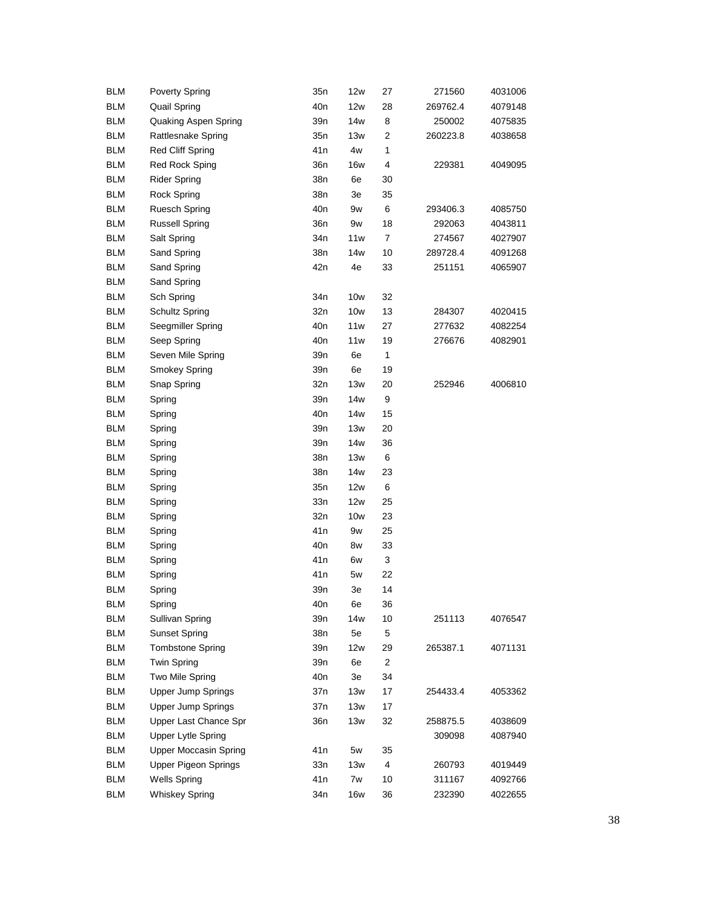| <b>BLM</b> | <b>Poverty Spring</b>        | 35n             | 12w             | 27             | 271560   | 4031006 |
|------------|------------------------------|-----------------|-----------------|----------------|----------|---------|
| <b>BLM</b> | <b>Quail Spring</b>          | 40 <sub>n</sub> | 12w             | 28             | 269762.4 | 4079148 |
| <b>BLM</b> | Quaking Aspen Spring         | 39n             | 14 <sub>w</sub> | 8              | 250002   | 4075835 |
| <b>BLM</b> | Rattlesnake Spring           | 35n             | 13w             | 2              | 260223.8 | 4038658 |
| <b>BLM</b> | Red Cliff Spring             | 41 <sub>n</sub> | 4w              | $\mathbf{1}$   |          |         |
| <b>BLM</b> | Red Rock Sping               | 36n             | 16w             | 4              | 229381   | 4049095 |
| <b>BLM</b> | <b>Rider Spring</b>          | 38n             | 6e              | 30             |          |         |
| <b>BLM</b> | <b>Rock Spring</b>           | 38n             | 3e              | 35             |          |         |
| <b>BLM</b> | <b>Ruesch Spring</b>         | 40 <sub>n</sub> | 9w              | 6              | 293406.3 | 4085750 |
| <b>BLM</b> | <b>Russell Spring</b>        | 36n             | 9w              | 18             | 292063   | 4043811 |
| <b>BLM</b> | Salt Spring                  | 34n             | 11w             | 7              | 274567   | 4027907 |
| <b>BLM</b> | Sand Spring                  | 38n             | 14w             | 10             | 289728.4 | 4091268 |
| <b>BLM</b> | Sand Spring                  | 42n             | 4e              | 33             | 251151   | 4065907 |
| <b>BLM</b> | Sand Spring                  |                 |                 |                |          |         |
| <b>BLM</b> | Sch Spring                   | 34 <sub>n</sub> | <b>10w</b>      | 32             |          |         |
| <b>BLM</b> | Schultz Spring               | 32n             | 10w             | 13             | 284307   | 4020415 |
| <b>BLM</b> | Seegmiller Spring            | 40 <sub>n</sub> | 11w             | 27             | 277632   | 4082254 |
| <b>BLM</b> | Seep Spring                  | 40 <sub>n</sub> | 11w             | 19             | 276676   | 4082901 |
| <b>BLM</b> | Seven Mile Spring            | 39n             | 6e              | 1              |          |         |
| <b>BLM</b> | Smokey Spring                | 39n             | 6e              | 19             |          |         |
| <b>BLM</b> | Snap Spring                  | 32n             | 13w             | 20             | 252946   | 4006810 |
| <b>BLM</b> | Spring                       | 39 <sub>n</sub> | 14w             | 9              |          |         |
| <b>BLM</b> | Spring                       | 40 <sub>n</sub> | 14w             | 15             |          |         |
| <b>BLM</b> | Spring                       | 39 <sub>n</sub> | 13w             | 20             |          |         |
| <b>BLM</b> | Spring                       | 39 <sub>n</sub> | 14w             | 36             |          |         |
| <b>BLM</b> | Spring                       | 38n             | 13w             | 6              |          |         |
| <b>BLM</b> | Spring                       | 38n             | 14w             | 23             |          |         |
| <b>BLM</b> | Spring                       | 35n             | 12w             | 6              |          |         |
| <b>BLM</b> | Spring                       | 33n             | 12w             | 25             |          |         |
| <b>BLM</b> | Spring                       | 32n             | 10w             | 23             |          |         |
| <b>BLM</b> | Spring                       | 41 <sub>n</sub> | 9w              | 25             |          |         |
| <b>BLM</b> | Spring                       | 40 <sub>n</sub> | 8w              | 33             |          |         |
| <b>BLM</b> | Spring                       | 41 <sub>n</sub> | 6w              | 3              |          |         |
| <b>BLM</b> | Spring                       | 41n             | 5w              | 22             |          |         |
| <b>BLM</b> | Spring                       | 39n             | 3e              | 14             |          |         |
| <b>BLM</b> | Spring                       | 40 <sub>n</sub> | 6e              | 36             |          |         |
| <b>BLM</b> | Sullivan Spring              | 39 <sub>n</sub> | 14w             | 10             | 251113   | 4076547 |
| <b>BLM</b> | <b>Sunset Spring</b>         | 38n             | 5e              | 5              |          |         |
| <b>BLM</b> | <b>Tombstone Spring</b>      | 39 <sub>n</sub> | 12w             | 29             | 265387.1 | 4071131 |
| <b>BLM</b> | Twin Spring                  | 39n             | 6e              | $\overline{c}$ |          |         |
| <b>BLM</b> | Two Mile Spring              | 40 <sub>n</sub> | 3e              | 34             |          |         |
| <b>BLM</b> | <b>Upper Jump Springs</b>    | 37n             | 13w             | 17             | 254433.4 | 4053362 |
| <b>BLM</b> | <b>Upper Jump Springs</b>    | 37n             | 13w             | 17             |          |         |
| <b>BLM</b> | Upper Last Chance Spr        | 36n             | 13w             | 32             | 258875.5 | 4038609 |
| <b>BLM</b> | <b>Upper Lytle Spring</b>    |                 |                 |                | 309098   | 4087940 |
| <b>BLM</b> | <b>Upper Moccasin Spring</b> | 41 <sub>n</sub> | 5w              | 35             |          |         |
| <b>BLM</b> | <b>Upper Pigeon Springs</b>  | 33n             | 13w             | 4              | 260793   | 4019449 |
| <b>BLM</b> | <b>Wells Spring</b>          | 41 <sub>n</sub> | 7w              | 10             | 311167   | 4092766 |
| <b>BLM</b> | <b>Whiskey Spring</b>        | 34n             | <b>16w</b>      | 36             | 232390   | 4022655 |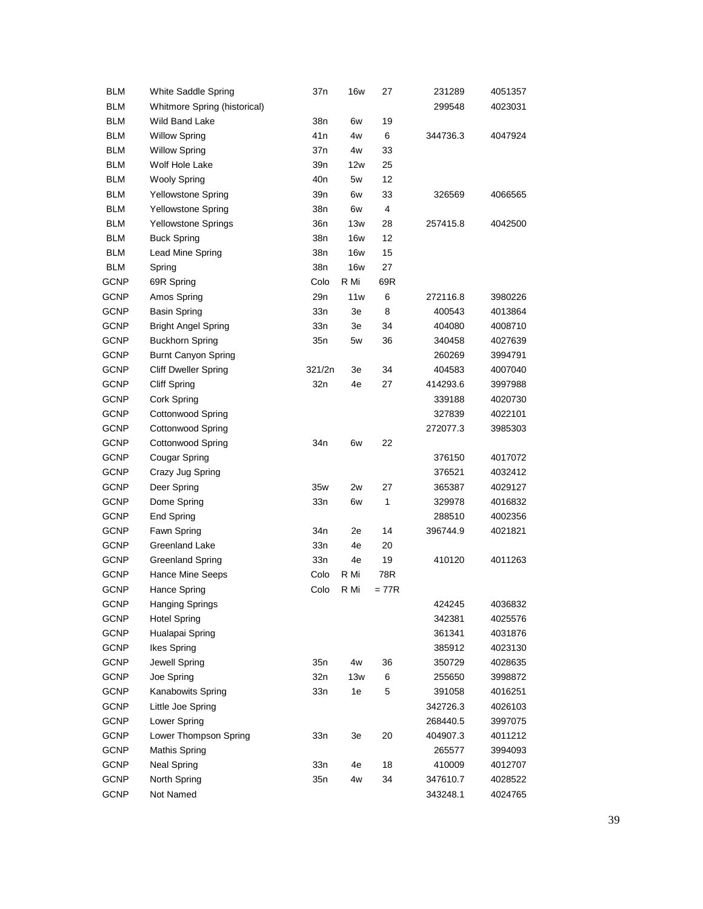| <b>BLM</b>  | White Saddle Spring          | 37n             | <b>16w</b> | 27    | 231289   | 4051357 |
|-------------|------------------------------|-----------------|------------|-------|----------|---------|
| <b>BLM</b>  | Whitmore Spring (historical) |                 |            |       | 299548   | 4023031 |
| <b>BLM</b>  | Wild Band Lake               | 38n             | 6w         | 19    |          |         |
| <b>BLM</b>  | <b>Willow Spring</b>         | 41 n            | 4w         | 6     | 344736.3 | 4047924 |
| <b>BLM</b>  | <b>Willow Spring</b>         | 37n             | 4w         | 33    |          |         |
| <b>BLM</b>  | Wolf Hole Lake               | 39n             | 12w        | 25    |          |         |
| <b>BLM</b>  | <b>Wooly Spring</b>          | 40 <sub>n</sub> | 5w         | 12    |          |         |
| <b>BLM</b>  | <b>Yellowstone Spring</b>    | 39n             | 6w         | 33    | 326569   | 4066565 |
| <b>BLM</b>  | Yellowstone Spring           | 38n             | 6w         | 4     |          |         |
| <b>BLM</b>  | <b>Yellowstone Springs</b>   | 36n             | 13w        | 28    | 257415.8 | 4042500 |
| <b>BLM</b>  | <b>Buck Spring</b>           | 38n             | <b>16w</b> | 12    |          |         |
| <b>BLM</b>  | Lead Mine Spring             | 38n             | <b>16w</b> | 15    |          |         |
| <b>BLM</b>  | Spring                       | 38n             | 16w        | 27    |          |         |
| GCNP        | 69R Spring                   | Colo            | R Mi       | 69R   |          |         |
| GCNP        | Amos Spring                  | 29n             | 11w        | 6     | 272116.8 | 3980226 |
| GCNP        | <b>Basin Spring</b>          | 33n             | 3e         | 8     | 400543   | 4013864 |
| GCNP        | <b>Bright Angel Spring</b>   | 33n             | 3e         | 34    | 404080   | 4008710 |
| <b>GCNP</b> | <b>Buckhorn Spring</b>       | 35n             | 5w         | 36    | 340458   | 4027639 |
| <b>GCNP</b> | <b>Burnt Canyon Spring</b>   |                 |            |       | 260269   | 3994791 |
| <b>GCNP</b> | <b>Cliff Dweller Spring</b>  | 321/2n          | 3e         | 34    | 404583   | 4007040 |
| <b>GCNP</b> | <b>Cliff Spring</b>          | 32n             | 4e         | 27    | 414293.6 | 3997988 |
| <b>GCNP</b> | Cork Spring                  |                 |            |       | 339188   | 4020730 |
| GCNP        | <b>Cottonwood Spring</b>     |                 |            |       | 327839   | 4022101 |
| GCNP        | <b>Cottonwood Spring</b>     |                 |            |       | 272077.3 | 3985303 |
| GCNP        | <b>Cottonwood Spring</b>     | 34 <sub>n</sub> | 6w         | 22    |          |         |
| <b>GCNP</b> | Cougar Spring                |                 |            |       | 376150   | 4017072 |
| <b>GCNP</b> | Crazy Jug Spring             |                 |            |       | 376521   | 4032412 |
| <b>GCNP</b> | Deer Spring                  | 35w             | 2w         | 27    | 365387   | 4029127 |
| <b>GCNP</b> | Dome Spring                  | 33n             | 6w         | 1     | 329978   | 4016832 |
| <b>GCNP</b> | End Spring                   |                 |            |       | 288510   | 4002356 |
| <b>GCNP</b> | Fawn Spring                  | 34n             | 2e         | 14    | 396744.9 | 4021821 |
| GCNP        | Greenland Lake               | 33n             | 4e         | 20    |          |         |
| GCNP        | <b>Greenland Spring</b>      | 33n             | 4e         | 19    | 410120   | 4011263 |
| <b>GCNP</b> | Hance Mine Seeps             | Colo            | R Mi       | 78R   |          |         |
| <b>GCNP</b> | Hance Spring                 | Colo            | R Mi       | = 77R |          |         |
| GCNP        | Hanging Springs              |                 |            |       | 424245   | 4036832 |
| <b>GCNP</b> | <b>Hotel Spring</b>          |                 |            |       | 342381   | 4025576 |
| <b>GCNP</b> | Hualapai Spring              |                 |            |       | 361341   | 4031876 |
| <b>GCNP</b> | Ikes Spring                  |                 |            |       | 385912   | 4023130 |
| GCNP        | Jewell Spring                | 35n             | 4w         | 36    | 350729   | 4028635 |
| GCNP        | Joe Spring                   | 32n             | 13w        | 6     | 255650   | 3998872 |
| <b>GCNP</b> | Kanabowits Spring            | 33n             | 1e         | 5     | 391058   | 4016251 |
| GCNP        | Little Joe Spring            |                 |            |       | 342726.3 | 4026103 |
| GCNP        | Lower Spring                 |                 |            |       | 268440.5 | 3997075 |
| GCNP        | Lower Thompson Spring        | 33n             | 3e         | 20    | 404907.3 | 4011212 |
| GCNP        | <b>Mathis Spring</b>         |                 |            |       | 265577   | 3994093 |
| GCNP        | <b>Neal Spring</b>           | 33n             | 4e         | 18    | 410009   | 4012707 |
| GCNP        | North Spring                 | 35n             | 4w         | 34    | 347610.7 | 4028522 |
| GCNP        | Not Named                    |                 |            |       | 343248.1 | 4024765 |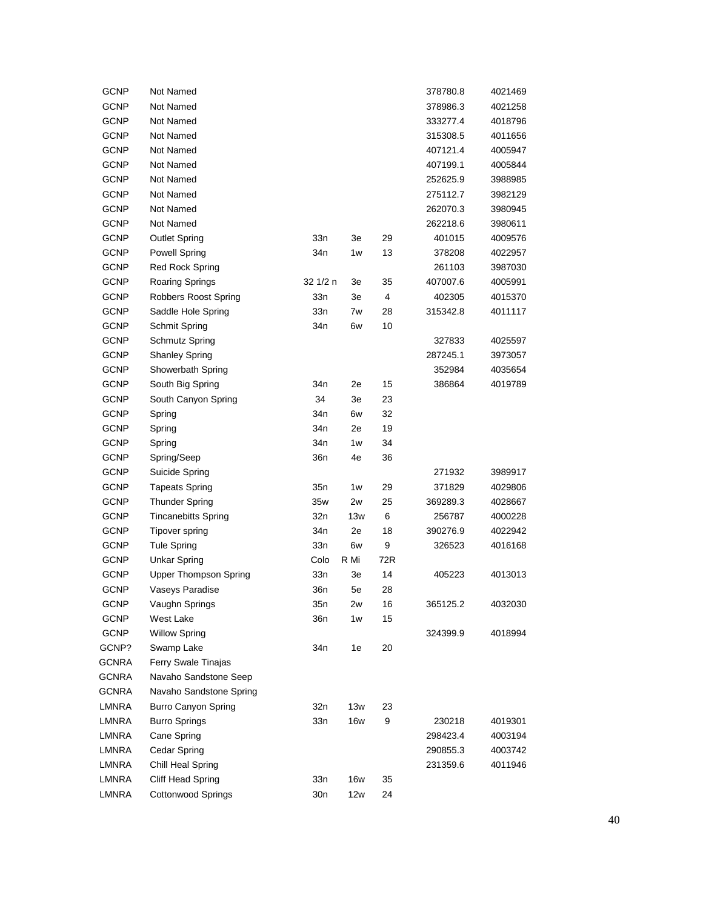| <b>GCNP</b>  | Not Named                    |                 |            |     | 378780.8 | 4021469 |
|--------------|------------------------------|-----------------|------------|-----|----------|---------|
| <b>GCNP</b>  | Not Named                    |                 |            |     | 378986.3 | 4021258 |
| <b>GCNP</b>  | Not Named                    |                 |            |     | 333277.4 | 4018796 |
| <b>GCNP</b>  | Not Named                    |                 |            |     | 315308.5 | 4011656 |
| <b>GCNP</b>  | Not Named                    |                 |            |     | 407121.4 | 4005947 |
| <b>GCNP</b>  | Not Named                    |                 |            |     | 407199.1 | 4005844 |
| <b>GCNP</b>  | Not Named                    |                 |            |     | 252625.9 | 3988985 |
| <b>GCNP</b>  | Not Named                    |                 |            |     | 275112.7 | 3982129 |
| <b>GCNP</b>  | Not Named                    |                 |            |     | 262070.3 | 3980945 |
| <b>GCNP</b>  | Not Named                    |                 |            |     | 262218.6 | 3980611 |
| <b>GCNP</b>  | <b>Outlet Spring</b>         | 33n             | 3e         | 29  | 401015   | 4009576 |
| <b>GCNP</b>  | <b>Powell Spring</b>         | 34n             | 1w         | 13  | 378208   | 4022957 |
| <b>GCNP</b>  | Red Rock Spring              |                 |            |     | 261103   | 3987030 |
| <b>GCNP</b>  | Roaring Springs              | 32 1/2 n        | 3e         | 35  | 407007.6 | 4005991 |
| <b>GCNP</b>  | Robbers Roost Spring         | 33n             | 3e         | 4   | 402305   | 4015370 |
| <b>GCNP</b>  | Saddle Hole Spring           | 33n             | 7w         | 28  | 315342.8 | 4011117 |
| <b>GCNP</b>  | Schmit Spring                | 34n             | 6w         | 10  |          |         |
| <b>GCNP</b>  | Schmutz Spring               |                 |            |     | 327833   | 4025597 |
| <b>GCNP</b>  | <b>Shanley Spring</b>        |                 |            |     | 287245.1 | 3973057 |
| <b>GCNP</b>  | Showerbath Spring            |                 |            |     | 352984   | 4035654 |
| <b>GCNP</b>  | South Big Spring             | 34n             | 2e         | 15  | 386864   | 4019789 |
| <b>GCNP</b>  | South Canyon Spring          | 34              | 3e         | 23  |          |         |
| <b>GCNP</b>  | Spring                       | 34n             | 6w         | 32  |          |         |
| <b>GCNP</b>  | Spring                       | 34n             | 2e         | 19  |          |         |
| <b>GCNP</b>  | Spring                       | 34n             | 1w         | 34  |          |         |
| GCNP         | Spring/Seep                  | 36n             | 4e         | 36  |          |         |
| <b>GCNP</b>  | Suicide Spring               |                 |            |     | 271932   | 3989917 |
| <b>GCNP</b>  | <b>Tapeats Spring</b>        | 35n             | 1w         | 29  | 371829   | 4029806 |
| <b>GCNP</b>  | <b>Thunder Spring</b>        | 35w             | 2w         | 25  | 369289.3 | 4028667 |
| <b>GCNP</b>  | <b>Tincanebitts Spring</b>   | 32 <sub>n</sub> | 13w        | 6   | 256787   | 4000228 |
| <b>GCNP</b>  | <b>Tipover spring</b>        | 34n             | 2e         | 18  | 390276.9 | 4022942 |
| <b>GCNP</b>  | <b>Tule Spring</b>           | 33n             | 6w         | 9   | 326523   | 4016168 |
| <b>GCNP</b>  | <b>Unkar Spring</b>          | Colo            | R Mi       | 72R |          |         |
| GCNP         | <b>Upper Thompson Spring</b> | 33n             | 3e         | 14  | 405223   | 4013013 |
| GCNP         | Vaseys Paradise              | 36n             | 5e         | 28  |          |         |
| <b>GCNP</b>  | Vaughn Springs               | 35n             | 2w         | 16  | 365125.2 | 4032030 |
| <b>GCNP</b>  | West Lake                    | 36n             | 1w         | 15  |          |         |
| GCNP         | <b>Willow Spring</b>         |                 |            |     | 324399.9 | 4018994 |
| GCNP?        | Swamp Lake                   | 34n             | 1e         | 20  |          |         |
| GCNRA        | Ferry Swale Tinajas          |                 |            |     |          |         |
| GCNRA        | Navaho Sandstone Seep        |                 |            |     |          |         |
| GCNRA        | Navaho Sandstone Spring      |                 |            |     |          |         |
| LMNRA        | <b>Burro Canyon Spring</b>   | 32n             | 13w        | 23  |          |         |
| <b>LMNRA</b> | <b>Burro Springs</b>         | 33n             | <b>16w</b> | 9   | 230218   | 4019301 |
| <b>LMNRA</b> | Cane Spring                  |                 |            |     | 298423.4 | 4003194 |
| LMNRA        | Cedar Spring                 |                 |            |     | 290855.3 | 4003742 |
| <b>LMNRA</b> | Chill Heal Spring            |                 |            |     | 231359.6 | 4011946 |
| LMNRA        | Cliff Head Spring            | 33n             | 16w        | 35  |          |         |
| <b>LMNRA</b> | Cottonwood Springs           | 30n             | 12w        | 24  |          |         |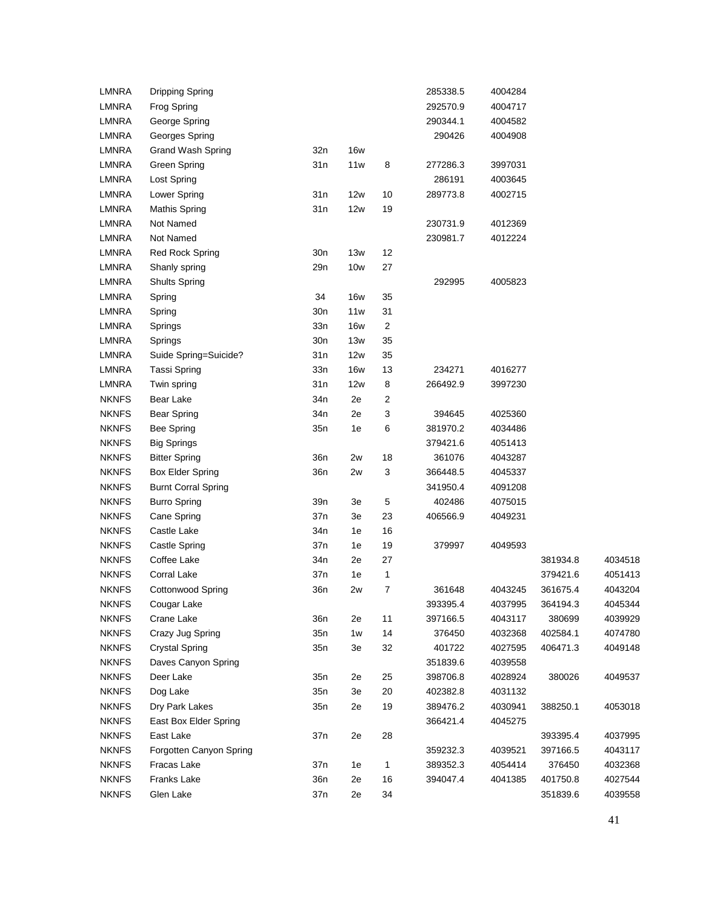| <b>LMNRA</b> | <b>Dripping Spring</b>     |                 |            |        | 285338.5 | 4004284 |          |         |
|--------------|----------------------------|-----------------|------------|--------|----------|---------|----------|---------|
| <b>LMNRA</b> | Frog Spring                |                 |            |        | 292570.9 | 4004717 |          |         |
| <b>LMNRA</b> | George Spring              |                 |            |        | 290344.1 | 4004582 |          |         |
| <b>LMNRA</b> | Georges Spring             |                 |            |        | 290426   | 4004908 |          |         |
| <b>LMNRA</b> | Grand Wash Spring          | 32n             | <b>16w</b> |        |          |         |          |         |
| <b>LMNRA</b> | Green Spring               | 31n             | 11w        | 8      | 277286.3 | 3997031 |          |         |
| <b>LMNRA</b> | Lost Spring                |                 |            |        | 286191   | 4003645 |          |         |
| <b>LMNRA</b> | Lower Spring               | 31n             | 12w        | 10     | 289773.8 | 4002715 |          |         |
| <b>LMNRA</b> | <b>Mathis Spring</b>       | 31n             | 12w        | 19     |          |         |          |         |
| <b>LMNRA</b> | Not Named                  |                 |            |        | 230731.9 | 4012369 |          |         |
| <b>LMNRA</b> | Not Named                  |                 |            |        | 230981.7 | 4012224 |          |         |
| <b>LMNRA</b> | Red Rock Spring            | 30n             | 13w        | 12     |          |         |          |         |
| <b>LMNRA</b> | Shanly spring              | 29n             | 10w        | 27     |          |         |          |         |
| <b>LMNRA</b> | <b>Shults Spring</b>       |                 |            |        | 292995   | 4005823 |          |         |
| <b>LMNRA</b> | Spring                     | 34              | <b>16w</b> | 35     |          |         |          |         |
| <b>LMNRA</b> | Spring                     | 30n             | 11w        | 31     |          |         |          |         |
| <b>LMNRA</b> | Springs                    | 33n             | <b>16w</b> | 2      |          |         |          |         |
| <b>LMNRA</b> | Springs                    | 30n             | 13w        | 35     |          |         |          |         |
| <b>LMNRA</b> | Suide Spring=Suicide?      | 31n             | 12w        | 35     |          |         |          |         |
| <b>LMNRA</b> | Tassi Spring               | 33n             | <b>16w</b> | 13     | 234271   | 4016277 |          |         |
| <b>LMNRA</b> | Twin spring                | 31n             | 12w        | 8      | 266492.9 | 3997230 |          |         |
| <b>NKNFS</b> | Bear Lake                  | 34 <sub>n</sub> | 2e         | 2      |          |         |          |         |
| <b>NKNFS</b> | Bear Spring                | 34 <sub>n</sub> | 2e         | 3      | 394645   | 4025360 |          |         |
| <b>NKNFS</b> | <b>Bee Spring</b>          | 35n             | 1e         | 6      | 381970.2 | 4034486 |          |         |
| <b>NKNFS</b> | <b>Big Springs</b>         |                 |            |        | 379421.6 | 4051413 |          |         |
| <b>NKNFS</b> | <b>Bitter Spring</b>       | 36n             | 2w         | 18     | 361076   | 4043287 |          |         |
| <b>NKNFS</b> | Box Elder Spring           | 36n             | 2w         | 3      | 366448.5 | 4045337 |          |         |
| <b>NKNFS</b> | <b>Burnt Corral Spring</b> |                 |            |        | 341950.4 | 4091208 |          |         |
| <b>NKNFS</b> | <b>Burro Spring</b>        | 39n             | 3e         | 5      | 402486   | 4075015 |          |         |
| <b>NKNFS</b> | Cane Spring                | 37n             | 3e         | 23     | 406566.9 | 4049231 |          |         |
| <b>NKNFS</b> | Castle Lake                | 34 <sub>n</sub> | 1e         | 16     |          |         |          |         |
| <b>NKNFS</b> | Castle Spring              | 37n             | 1e         | 19     | 379997   | 4049593 |          |         |
| <b>NKNFS</b> | Coffee Lake                | 34n             | 2e         | 27     |          |         | 381934.8 | 4034518 |
| <b>NKNFS</b> | Corral Lake                | 37n             | 1e         | 1      |          |         | 379421.6 | 4051413 |
| <b>NKNFS</b> | <b>Cottonwood Spring</b>   | 36n             | 2w         | 7      | 361648   | 4043245 | 361675.4 | 4043204 |
| <b>NKNFS</b> | Cougar Lake                |                 |            |        | 393395.4 | 4037995 | 364194.3 | 4045344 |
| <b>NKNFS</b> | Crane Lake                 | 36n             | 2e         | 11     | 397166.5 | 4043117 | 380699   | 4039929 |
| <b>NKNFS</b> | Crazy Jug Spring           | 35n             | 1w         | 14     | 376450   | 4032368 | 402584.1 | 4074780 |
| <b>NKNFS</b> | <b>Crystal Spring</b>      | 35n             | 3e         | 32     | 401722   | 4027595 | 406471.3 | 4049148 |
| <b>NKNFS</b> | Daves Canyon Spring        |                 |            |        | 351839.6 | 4039558 |          |         |
| <b>NKNFS</b> | Deer Lake                  | 35n             | 2e         | 25     | 398706.8 | 4028924 | 380026   | 4049537 |
| <b>NKNFS</b> | Dog Lake                   | 35n             | 3e         | $20\,$ | 402382.8 | 4031132 |          |         |
| <b>NKNFS</b> | Dry Park Lakes             | 35n             | 2e         | 19     | 389476.2 | 4030941 | 388250.1 | 4053018 |
| <b>NKNFS</b> | East Box Elder Spring      |                 |            |        | 366421.4 | 4045275 |          |         |
| <b>NKNFS</b> | East Lake                  | 37n             | 2e         | 28     |          |         | 393395.4 | 4037995 |
| <b>NKNFS</b> | Forgotten Canyon Spring    |                 |            |        | 359232.3 | 4039521 | 397166.5 | 4043117 |
| <b>NKNFS</b> | Fracas Lake                | 37n             | 1e         | 1      | 389352.3 | 4054414 | 376450   | 4032368 |
| <b>NKNFS</b> | Franks Lake                | 36 <sub>n</sub> | 2e         | 16     | 394047.4 | 4041385 | 401750.8 | 4027544 |
| <b>NKNFS</b> | Glen Lake                  | 37n             | 2e         | 34     |          |         | 351839.6 | 4039558 |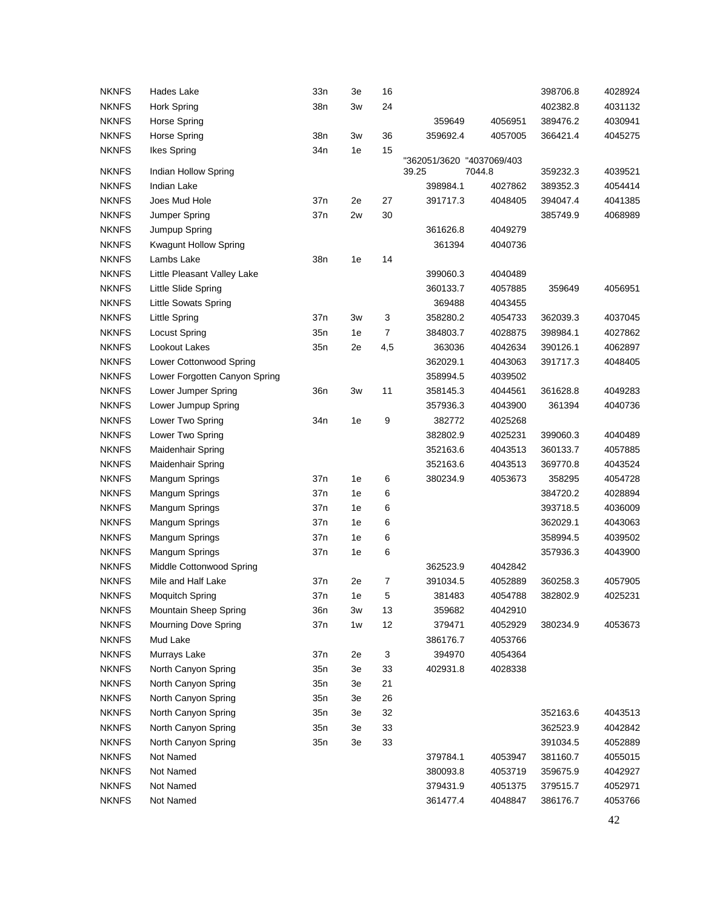| <b>NKNFS</b>                 | Hades Lake                    | 33n             | 3e | 16  |                           |         | 398706.8             | 4028924 |
|------------------------------|-------------------------------|-----------------|----|-----|---------------------------|---------|----------------------|---------|
| <b>NKNFS</b>                 | Hork Spring                   | 38n             | 3w | 24  |                           |         | 402382.8             | 4031132 |
| <b>NKNFS</b>                 | Horse Spring                  |                 |    |     | 359649                    | 4056951 | 389476.2             | 4030941 |
| <b>NKNFS</b>                 | <b>Horse Spring</b>           | 38n             | Зw | 36  | 359692.4                  | 4057005 | 366421.4             | 4045275 |
| <b>NKNFS</b>                 | Ikes Spring                   | 34 <sub>n</sub> | 1e | 15  |                           |         |                      |         |
|                              |                               |                 |    |     | "362051/3620 "4037069/403 |         |                      |         |
| <b>NKNFS</b><br><b>NKNFS</b> | Indian Hollow Spring          |                 |    |     | 39.25                     | 7044.8  | 359232.3             | 4039521 |
|                              | Indian Lake                   |                 |    |     | 398984.1                  | 4027862 | 389352.3<br>394047.4 | 4054414 |
| <b>NKNFS</b>                 | Joes Mud Hole                 | 37n             | 2e | 27  | 391717.3                  | 4048405 |                      | 4041385 |
| <b>NKNFS</b>                 | Jumper Spring                 | 37n             | 2w | 30  |                           |         | 385749.9             | 4068989 |
| <b>NKNFS</b>                 | Jumpup Spring                 |                 |    |     | 361626.8                  | 4049279 |                      |         |
| <b>NKNFS</b>                 | <b>Kwagunt Hollow Spring</b>  |                 |    |     | 361394                    | 4040736 |                      |         |
| <b>NKNFS</b>                 | Lambs Lake                    | 38n             | 1e | 14  |                           |         |                      |         |
| <b>NKNFS</b>                 | Little Pleasant Valley Lake   |                 |    |     | 399060.3                  | 4040489 |                      |         |
| <b>NKNFS</b>                 | Little Slide Spring           |                 |    |     | 360133.7                  | 4057885 | 359649               | 4056951 |
| <b>NKNFS</b>                 | Little Sowats Spring          |                 |    |     | 369488                    | 4043455 |                      |         |
| <b>NKNFS</b>                 | <b>Little Spring</b>          | 37n             | Зw | 3   | 358280.2                  | 4054733 | 362039.3             | 4037045 |
| <b>NKNFS</b>                 | <b>Locust Spring</b>          | 35n             | 1e | 7   | 384803.7                  | 4028875 | 398984.1             | 4027862 |
| <b>NKNFS</b>                 | Lookout Lakes                 | 35n             | 2e | 4,5 | 363036                    | 4042634 | 390126.1             | 4062897 |
| <b>NKNFS</b>                 | Lower Cottonwood Spring       |                 |    |     | 362029.1                  | 4043063 | 391717.3             | 4048405 |
| <b>NKNFS</b>                 | Lower Forgotten Canyon Spring |                 |    |     | 358994.5                  | 4039502 |                      |         |
| <b>NKNFS</b>                 | Lower Jumper Spring           | 36 <sub>n</sub> | Зw | 11  | 358145.3                  | 4044561 | 361628.8             | 4049283 |
| <b>NKNFS</b>                 | Lower Jumpup Spring           |                 |    |     | 357936.3                  | 4043900 | 361394               | 4040736 |
| <b>NKNFS</b>                 | Lower Two Spring              | 34n             | 1e | 9   | 382772                    | 4025268 |                      |         |
| <b>NKNFS</b>                 | Lower Two Spring              |                 |    |     | 382802.9                  | 4025231 | 399060.3             | 4040489 |
| <b>NKNFS</b>                 | Maidenhair Spring             |                 |    |     | 352163.6                  | 4043513 | 360133.7             | 4057885 |
| <b>NKNFS</b>                 | Maidenhair Spring             |                 |    |     | 352163.6                  | 4043513 | 369770.8             | 4043524 |
| <b>NKNFS</b>                 | Mangum Springs                | 37n             | 1e | 6   | 380234.9                  | 4053673 | 358295               | 4054728 |
| <b>NKNFS</b>                 | Mangum Springs                | 37 <sub>n</sub> | 1e | 6   |                           |         | 384720.2             | 4028894 |
| <b>NKNFS</b>                 | Mangum Springs                | 37n             | 1e | 6   |                           |         | 393718.5             | 4036009 |
| <b>NKNFS</b>                 | Mangum Springs                | 37n             | 1e | 6   |                           |         | 362029.1             | 4043063 |
| <b>NKNFS</b>                 | Mangum Springs                | 37n             | 1e | 6   |                           |         | 358994.5             | 4039502 |
| <b>NKNFS</b>                 | Mangum Springs                | 37n             | 1e | 6   |                           |         | 357936.3             | 4043900 |
| <b>NKNFS</b>                 | Middle Cottonwood Spring      |                 |    |     | 362523.9                  | 4042842 |                      |         |
| <b>NKNFS</b>                 | Mile and Half Lake            | 37n             | 2e | 7   | 391034.5                  | 4052889 | 360258.3             | 4057905 |
| <b>NKNFS</b>                 | <b>Moquitch Spring</b>        | 37n             | 1e | 5   | 381483                    | 4054788 | 382802.9             | 4025231 |
| <b>NKNFS</b>                 | Mountain Sheep Spring         | 36n             | Зw | 13  | 359682                    | 4042910 |                      |         |
| <b>NKNFS</b>                 | Mourning Dove Spring          | 37n             | 1w | 12  | 379471                    | 4052929 | 380234.9             | 4053673 |
| <b>NKNFS</b>                 | Mud Lake                      |                 |    |     | 386176.7                  | 4053766 |                      |         |
| <b>NKNFS</b>                 | Murrays Lake                  | 37n             | 2e | 3   | 394970                    | 4054364 |                      |         |
| <b>NKNFS</b>                 | North Canyon Spring           | 35n             | 3e | 33  | 402931.8                  | 4028338 |                      |         |
| <b>NKNFS</b>                 | North Canyon Spring           | 35n             | 3e | 21  |                           |         |                      |         |
| <b>NKNFS</b>                 | North Canyon Spring           | 35n             | 3e | 26  |                           |         |                      |         |
| <b>NKNFS</b>                 | North Canyon Spring           | 35n             | 3e | 32  |                           |         | 352163.6             | 4043513 |
| <b>NKNFS</b>                 | North Canyon Spring           | 35n             | 3e | 33  |                           |         | 362523.9             | 4042842 |
| <b>NKNFS</b>                 | North Canyon Spring           | 35n             | 3e | 33  |                           |         | 391034.5             | 4052889 |
| <b>NKNFS</b>                 | Not Named                     |                 |    |     | 379784.1                  | 4053947 | 381160.7             | 4055015 |
| <b>NKNFS</b>                 | Not Named                     |                 |    |     | 380093.8                  | 4053719 | 359675.9             | 4042927 |
| <b>NKNFS</b>                 | Not Named                     |                 |    |     | 379431.9                  | 4051375 | 379515.7             | 4052971 |
| <b>NKNFS</b>                 | Not Named                     |                 |    |     | 361477.4                  | 4048847 | 386176.7             | 4053766 |
|                              |                               |                 |    |     |                           |         |                      |         |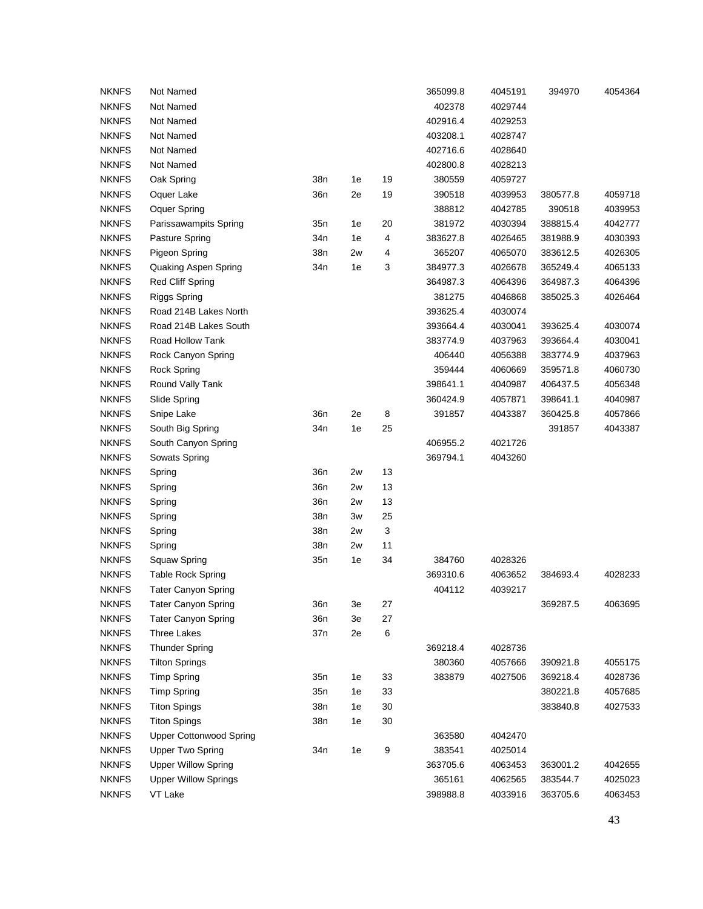| <b>NKNFS</b> | Not Named                      |                 |    |        | 365099.8 | 4045191 | 394970   | 4054364 |
|--------------|--------------------------------|-----------------|----|--------|----------|---------|----------|---------|
| <b>NKNFS</b> | Not Named                      |                 |    |        | 402378   | 4029744 |          |         |
| <b>NKNFS</b> | Not Named                      |                 |    |        | 402916.4 | 4029253 |          |         |
| <b>NKNFS</b> | Not Named                      |                 |    |        | 403208.1 | 4028747 |          |         |
| <b>NKNFS</b> | Not Named                      |                 |    |        | 402716.6 | 4028640 |          |         |
| <b>NKNFS</b> | Not Named                      |                 |    |        | 402800.8 | 4028213 |          |         |
| <b>NKNFS</b> | Oak Spring                     | 38n             | 1e | 19     | 380559   | 4059727 |          |         |
| <b>NKNFS</b> | Oquer Lake                     | 36 <sub>n</sub> | 2e | 19     | 390518   | 4039953 | 380577.8 | 4059718 |
| <b>NKNFS</b> | Oquer Spring                   |                 |    |        | 388812   | 4042785 | 390518   | 4039953 |
| <b>NKNFS</b> | Parissawampits Spring          | 35n             | 1e | 20     | 381972   | 4030394 | 388815.4 | 4042777 |
| <b>NKNFS</b> | Pasture Spring                 | 34 <sub>n</sub> | 1e | 4      | 383627.8 | 4026465 | 381988.9 | 4030393 |
| <b>NKNFS</b> | <b>Pigeon Spring</b>           | 38n             | 2w | 4      | 365207   | 4065070 | 383612.5 | 4026305 |
| <b>NKNFS</b> | Quaking Aspen Spring           | 34 <sub>n</sub> | 1e | 3      | 384977.3 | 4026678 | 365249.4 | 4065133 |
| <b>NKNFS</b> | <b>Red Cliff Spring</b>        |                 |    |        | 364987.3 | 4064396 | 364987.3 | 4064396 |
| <b>NKNFS</b> | <b>Riggs Spring</b>            |                 |    |        | 381275   | 4046868 | 385025.3 | 4026464 |
| <b>NKNFS</b> | Road 214B Lakes North          |                 |    |        | 393625.4 | 4030074 |          |         |
| <b>NKNFS</b> | Road 214B Lakes South          |                 |    |        | 393664.4 | 4030041 | 393625.4 | 4030074 |
| <b>NKNFS</b> | Road Hollow Tank               |                 |    |        | 383774.9 | 4037963 | 393664.4 | 4030041 |
| <b>NKNFS</b> | Rock Canyon Spring             |                 |    |        | 406440   | 4056388 | 383774.9 | 4037963 |
| <b>NKNFS</b> | <b>Rock Spring</b>             |                 |    |        | 359444   | 4060669 | 359571.8 | 4060730 |
| <b>NKNFS</b> | Round Vally Tank               |                 |    |        | 398641.1 | 4040987 | 406437.5 | 4056348 |
| <b>NKNFS</b> | Slide Spring                   |                 |    |        | 360424.9 | 4057871 | 398641.1 | 4040987 |
| <b>NKNFS</b> | Snipe Lake                     | 36n             | 2e | 8      | 391857   | 4043387 | 360425.8 | 4057866 |
| <b>NKNFS</b> | South Big Spring               | 34 <sub>n</sub> | 1e | 25     |          |         | 391857   | 4043387 |
| <b>NKNFS</b> | South Canyon Spring            |                 |    |        | 406955.2 | 4021726 |          |         |
| <b>NKNFS</b> | Sowats Spring                  |                 |    |        | 369794.1 | 4043260 |          |         |
| <b>NKNFS</b> | Spring                         | 36 <sub>n</sub> | 2w | 13     |          |         |          |         |
| <b>NKNFS</b> | Spring                         | 36 <sub>n</sub> | 2w | 13     |          |         |          |         |
| <b>NKNFS</b> | Spring                         | 36 <sub>n</sub> | 2w | 13     |          |         |          |         |
| <b>NKNFS</b> | Spring                         | 38n             | 3w | 25     |          |         |          |         |
| <b>NKNFS</b> | Spring                         | 38n             | 2w | 3      |          |         |          |         |
| <b>NKNFS</b> | Spring                         | 38n             | 2w | 11     |          |         |          |         |
| <b>NKNFS</b> | Squaw Spring                   | 35n             | 1e | 34     | 384760   | 4028326 |          |         |
| <b>NKNFS</b> | <b>Table Rock Spring</b>       |                 |    |        | 369310.6 | 4063652 | 384693.4 | 4028233 |
| <b>NKNFS</b> | Tater Canyon Spring            |                 |    |        | 404112   | 4039217 |          |         |
| <b>NKNFS</b> | <b>Tater Canyon Spring</b>     | 36 <sub>n</sub> | 3e | 27     |          |         | 369287.5 | 4063695 |
| <b>NKNFS</b> | <b>Tater Canyon Spring</b>     | 36 <sub>n</sub> | 3e | 27     |          |         |          |         |
| <b>NKNFS</b> | <b>Three Lakes</b>             | 37n             | 2e | 6      |          |         |          |         |
| <b>NKNFS</b> | <b>Thunder Spring</b>          |                 |    |        | 369218.4 | 4028736 |          |         |
| <b>NKNFS</b> | <b>Tilton Springs</b>          |                 |    |        | 380360   | 4057666 | 390921.8 | 4055175 |
| <b>NKNFS</b> | <b>Timp Spring</b>             | 35n             | 1e | 33     | 383879   | 4027506 | 369218.4 | 4028736 |
| <b>NKNFS</b> | <b>Timp Spring</b>             | 35n             | 1e | 33     |          |         | 380221.8 | 4057685 |
| <b>NKNFS</b> | <b>Titon Spings</b>            | 38 <sub>n</sub> | 1e | $30\,$ |          |         | 383840.8 | 4027533 |
| <b>NKNFS</b> | <b>Titon Spings</b>            | 38n             | 1e | 30     |          |         |          |         |
| <b>NKNFS</b> | <b>Upper Cottonwood Spring</b> |                 |    |        | 363580   | 4042470 |          |         |
| <b>NKNFS</b> | <b>Upper Two Spring</b>        | 34 <sub>n</sub> | 1e | 9      | 383541   | 4025014 |          |         |
| <b>NKNFS</b> | <b>Upper Willow Spring</b>     |                 |    |        | 363705.6 | 4063453 | 363001.2 | 4042655 |
| <b>NKNFS</b> | <b>Upper Willow Springs</b>    |                 |    |        | 365161   | 4062565 | 383544.7 | 4025023 |
| <b>NKNFS</b> | VT Lake                        |                 |    |        | 398988.8 | 4033916 | 363705.6 | 4063453 |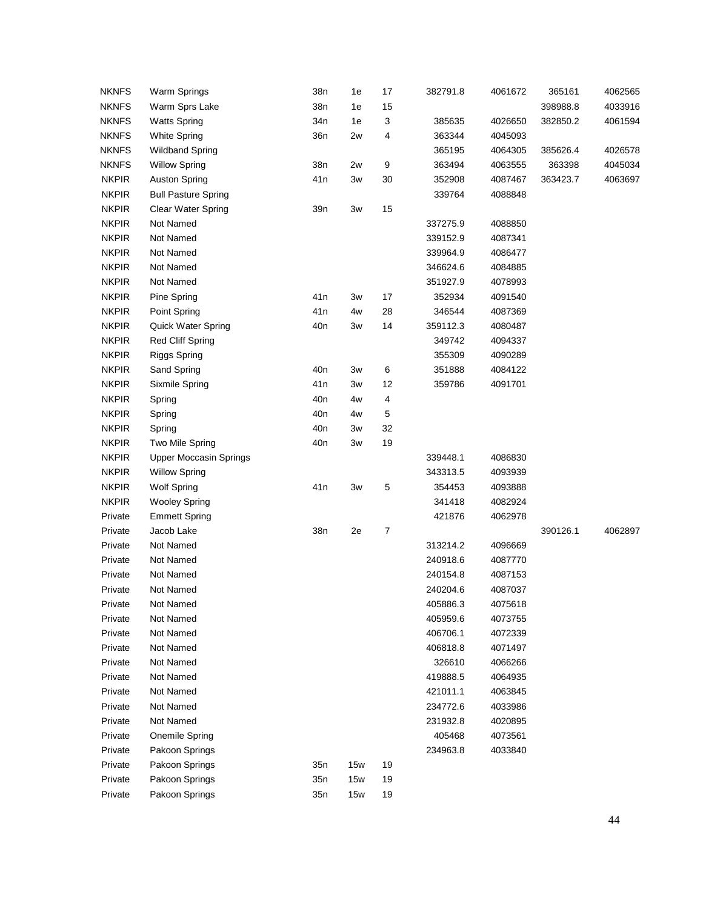| <b>NKNFS</b> | Warm Springs                  | 38n             | 1e  | 17 | 382791.8 | 4061672 | 365161   | 4062565 |
|--------------|-------------------------------|-----------------|-----|----|----------|---------|----------|---------|
| <b>NKNFS</b> | Warm Sprs Lake                | 38n             | 1e  | 15 |          |         | 398988.8 | 4033916 |
| <b>NKNFS</b> | <b>Watts Spring</b>           | 34n             | 1e  | 3  | 385635   | 4026650 | 382850.2 | 4061594 |
| <b>NKNFS</b> | <b>White Spring</b>           | 36 <sub>n</sub> | 2w  | 4  | 363344   | 4045093 |          |         |
| <b>NKNFS</b> | <b>Wildband Spring</b>        |                 |     |    | 365195   | 4064305 | 385626.4 | 4026578 |
| <b>NKNFS</b> | <b>Willow Spring</b>          | 38n             | 2w  | 9  | 363494   | 4063555 | 363398   | 4045034 |
| <b>NKPIR</b> | <b>Auston Spring</b>          | 41 <sub>n</sub> | 3w  | 30 | 352908   | 4087467 | 363423.7 | 4063697 |
| <b>NKPIR</b> | <b>Bull Pasture Spring</b>    |                 |     |    | 339764   | 4088848 |          |         |
| <b>NKPIR</b> | <b>Clear Water Spring</b>     | 39 <sub>n</sub> | 3w  | 15 |          |         |          |         |
| <b>NKPIR</b> | Not Named                     |                 |     |    | 337275.9 | 4088850 |          |         |
| <b>NKPIR</b> | Not Named                     |                 |     |    | 339152.9 | 4087341 |          |         |
| <b>NKPIR</b> | Not Named                     |                 |     |    | 339964.9 | 4086477 |          |         |
| <b>NKPIR</b> | Not Named                     |                 |     |    | 346624.6 | 4084885 |          |         |
| <b>NKPIR</b> | Not Named                     |                 |     |    | 351927.9 | 4078993 |          |         |
| <b>NKPIR</b> | Pine Spring                   | 41 <sub>n</sub> | 3w  | 17 | 352934   | 4091540 |          |         |
| <b>NKPIR</b> | Point Spring                  | 41 <sub>n</sub> | 4w  | 28 | 346544   | 4087369 |          |         |
| <b>NKPIR</b> | <b>Quick Water Spring</b>     | 40 <sub>n</sub> | 3w  | 14 | 359112.3 | 4080487 |          |         |
| <b>NKPIR</b> | Red Cliff Spring              |                 |     |    | 349742   | 4094337 |          |         |
| <b>NKPIR</b> | <b>Riggs Spring</b>           |                 |     |    | 355309   | 4090289 |          |         |
| <b>NKPIR</b> | Sand Spring                   | 40 <sub>n</sub> | 3w  | 6  | 351888   | 4084122 |          |         |
| <b>NKPIR</b> | Sixmile Spring                | 41 <sub>n</sub> | 3w  | 12 | 359786   | 4091701 |          |         |
| <b>NKPIR</b> | Spring                        | 40 <sub>n</sub> | 4w  | 4  |          |         |          |         |
| <b>NKPIR</b> | Spring                        | 40 <sub>n</sub> | 4w  | 5  |          |         |          |         |
| <b>NKPIR</b> | Spring                        | 40 <sub>n</sub> | 3w  | 32 |          |         |          |         |
| <b>NKPIR</b> | Two Mile Spring               | 40 <sub>n</sub> | 3w  | 19 |          |         |          |         |
| <b>NKPIR</b> | <b>Upper Moccasin Springs</b> |                 |     |    | 339448.1 | 4086830 |          |         |
| <b>NKPIR</b> | <b>Willow Spring</b>          |                 |     |    | 343313.5 | 4093939 |          |         |
| <b>NKPIR</b> | <b>Wolf Spring</b>            | 41 <sub>n</sub> | 3w  | 5  | 354453   | 4093888 |          |         |
| <b>NKPIR</b> | <b>Wooley Spring</b>          |                 |     |    | 341418   | 4082924 |          |         |
| Private      | <b>Emmett Spring</b>          |                 |     |    | 421876   | 4062978 |          |         |
| Private      | Jacob Lake                    | 38n             | 2e  | 7  |          |         | 390126.1 | 4062897 |
| Private      | Not Named                     |                 |     |    | 313214.2 | 4096669 |          |         |
| Private      | Not Named                     |                 |     |    | 240918.6 | 4087770 |          |         |
| Private      | Not Named                     |                 |     |    | 240154.8 | 4087153 |          |         |
| Private      | Not Named                     |                 |     |    | 240204.6 | 4087037 |          |         |
| Private      | Not Named                     |                 |     |    | 405886.3 | 4075618 |          |         |
| Private      | Not Named                     |                 |     |    | 405959.6 | 4073755 |          |         |
| Private      | Not Named                     |                 |     |    | 406706.1 | 4072339 |          |         |
| Private      | Not Named                     |                 |     |    | 406818.8 | 4071497 |          |         |
| Private      | Not Named                     |                 |     |    | 326610   | 4066266 |          |         |
| Private      | Not Named                     |                 |     |    | 419888.5 | 4064935 |          |         |
| Private      | Not Named                     |                 |     |    | 421011.1 | 4063845 |          |         |
| Private      | Not Named                     |                 |     |    | 234772.6 | 4033986 |          |         |
| Private      | Not Named                     |                 |     |    | 231932.8 | 4020895 |          |         |
| Private      | Onemile Spring                |                 |     |    | 405468   | 4073561 |          |         |
| Private      | Pakoon Springs                |                 |     |    | 234963.8 | 4033840 |          |         |
| Private      | Pakoon Springs                | 35 <sub>n</sub> | 15w | 19 |          |         |          |         |
| Private      | Pakoon Springs                | 35n             | 15w | 19 |          |         |          |         |
| Private      | Pakoon Springs                | 35n             | 15w | 19 |          |         |          |         |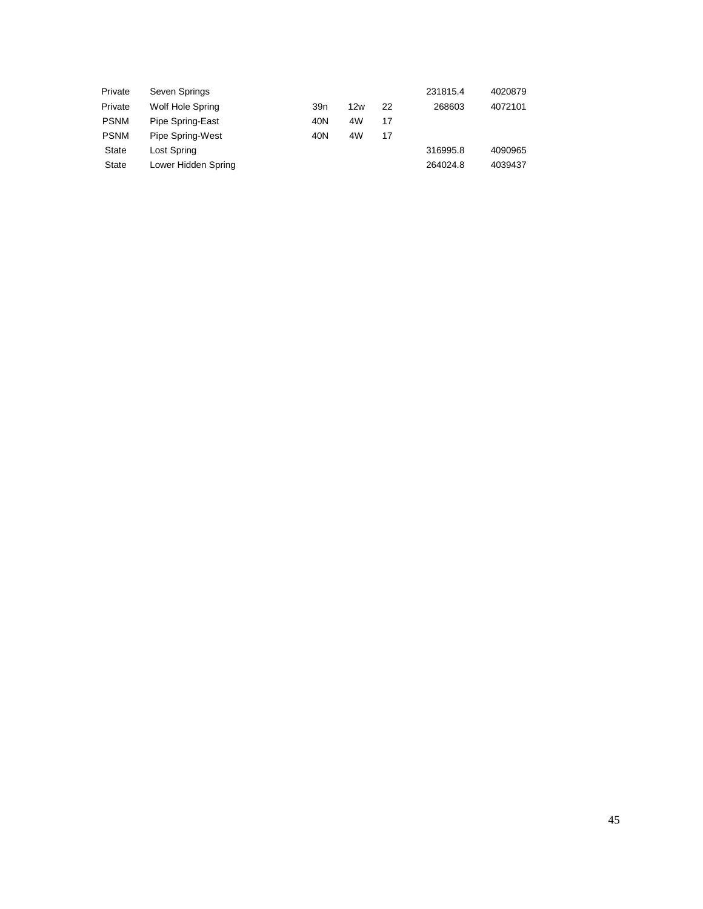| Private     | Seven Springs       |     |     |    | 231815.4 | 4020879 |
|-------------|---------------------|-----|-----|----|----------|---------|
| Private     | Wolf Hole Spring    | 39n | 12w | 22 | 268603   | 4072101 |
| <b>PSNM</b> | Pipe Spring-East    | 40N | 4W  | 17 |          |         |
| <b>PSNM</b> | Pipe Spring-West    | 40N | 4W  | 17 |          |         |
| State       | Lost Spring         |     |     |    | 316995.8 | 4090965 |
| State       | Lower Hidden Spring |     |     |    | 264024.8 | 4039437 |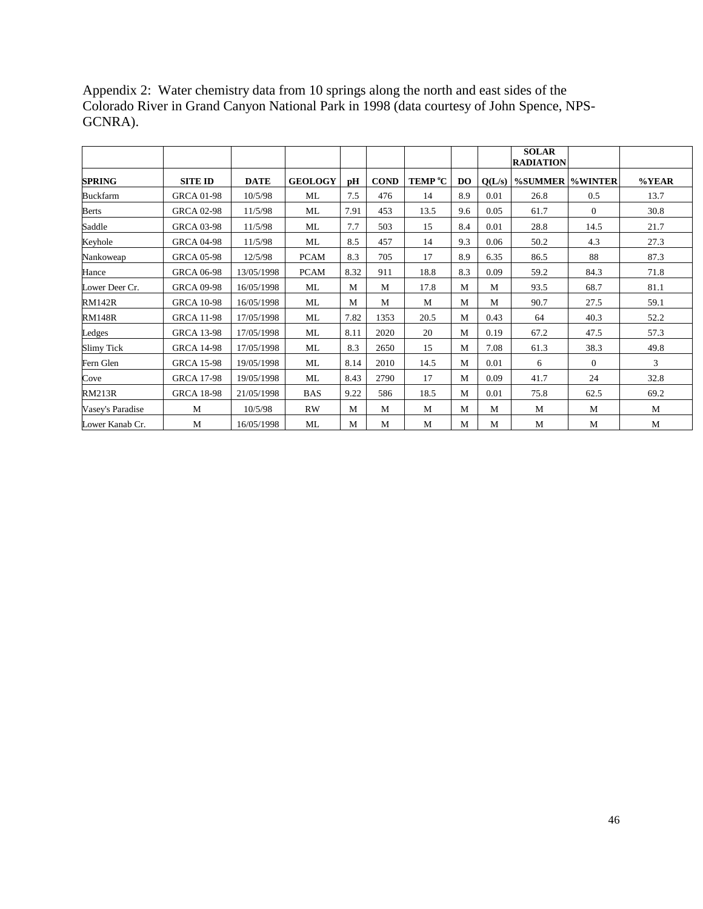|                  |                   |             |                |      |             |                     |           |        | <b>SOLAR</b><br><b>RADIATION</b> |                |       |
|------------------|-------------------|-------------|----------------|------|-------------|---------------------|-----------|--------|----------------------------------|----------------|-------|
| <b>SPRING</b>    | <b>SITE ID</b>    | <b>DATE</b> | <b>GEOLOGY</b> | pH   | <b>COND</b> | TEMP <sup>°</sup> C | <b>DO</b> | Q(L/s) | %SUMMER  %WINTER                 |                | %YEAR |
| <b>Buckfarm</b>  | <b>GRCA 01-98</b> | 10/5/98     | ML             | 7.5  | 476         | 14                  | 8.9       | 0.01   | 26.8                             | 0.5            | 13.7  |
| Berts            | <b>GRCA 02-98</b> | 11/5/98     | ML             | 7.91 | 453         | 13.5                | 9.6       | 0.05   | 61.7                             | $\overline{0}$ | 30.8  |
| Saddle           | <b>GRCA 03-98</b> | 11/5/98     | ML             | 7.7  | 503         | 15                  | 8.4       | 0.01   | 28.8                             | 14.5           | 21.7  |
| Keyhole          | <b>GRCA 04-98</b> | 11/5/98     | ML             | 8.5  | 457         | 14                  | 9.3       | 0.06   | 50.2                             | 4.3            | 27.3  |
| Nankoweap        | <b>GRCA 05-98</b> | 12/5/98     | <b>PCAM</b>    | 8.3  | 705         | 17                  | 8.9       | 6.35   | 86.5                             | 88             | 87.3  |
| Hance            | <b>GRCA 06-98</b> | 13/05/1998  | <b>PCAM</b>    | 8.32 | 911         | 18.8                | 8.3       | 0.09   | 59.2                             | 84.3           | 71.8  |
| Lower Deer Cr.   | <b>GRCA 09-98</b> | 16/05/1998  | ML             | M    | M           | 17.8                | M         | M      | 93.5                             | 68.7           | 81.1  |
| <b>RM142R</b>    | <b>GRCA 10-98</b> | 16/05/1998  | ML             | M    | M           | M                   | M         | M      | 90.7                             | 27.5           | 59.1  |
| <b>RM148R</b>    | <b>GRCA 11-98</b> | 17/05/1998  | ML             | 7.82 | 1353        | 20.5                | M         | 0.43   | 64                               | 40.3           | 52.2  |
| Ledges           | <b>GRCA 13-98</b> | 17/05/1998  | ML             | 8.11 | 2020        | 20                  | M         | 0.19   | 67.2                             | 47.5           | 57.3  |
| Slimy Tick       | <b>GRCA 14-98</b> | 17/05/1998  | ML             | 8.3  | 2650        | 15                  | M         | 7.08   | 61.3                             | 38.3           | 49.8  |
| Fern Glen        | <b>GRCA 15-98</b> | 19/05/1998  | ML             | 8.14 | 2010        | 14.5                | M         | 0.01   | 6                                | $\theta$       | 3     |
| Cove             | <b>GRCA 17-98</b> | 19/05/1998  | ML             | 8.43 | 2790        | 17                  | M         | 0.09   | 41.7                             | 24             | 32.8  |
| <b>RM213R</b>    | <b>GRCA 18-98</b> | 21/05/1998  | <b>BAS</b>     | 9.22 | 586         | 18.5                | M         | 0.01   | 75.8                             | 62.5           | 69.2  |
| Vasey's Paradise | M                 | 10/5/98     | RW             | M    | M           | M                   | M         | M      | М                                | M              | М     |
| Lower Kanab Cr.  | M                 | 16/05/1998  | ML             | M    | М           | M                   | M         | М      | M                                | M              | M     |

Appendix 2: Water chemistry data from 10 springs along the north and east sides of the Colorado River in Grand Canyon National Park in 1998 (data courtesy of John Spence, NPS-GCNRA).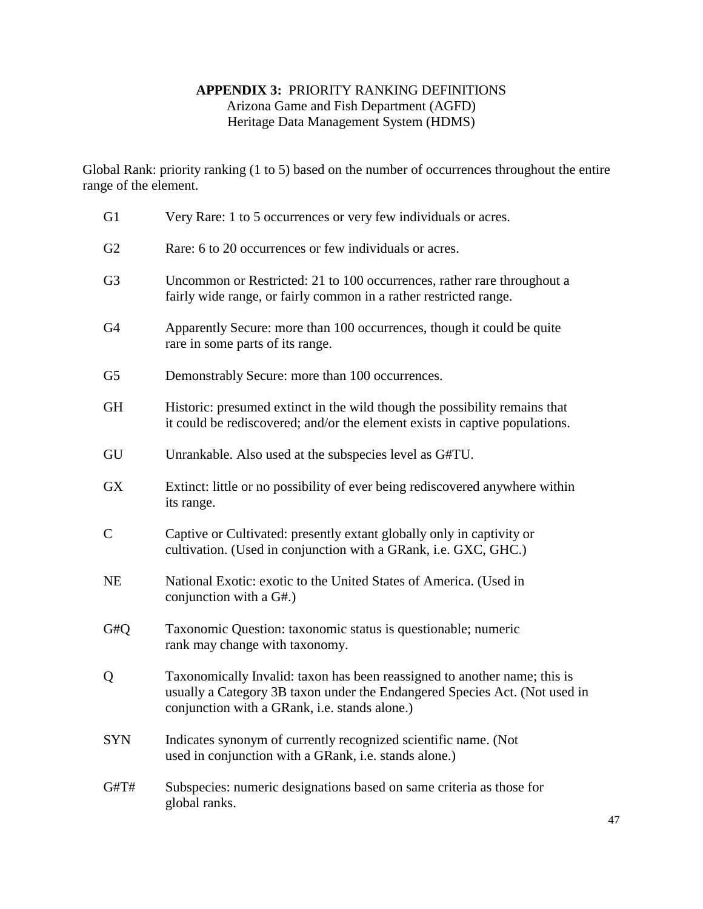## **APPENDIX 3:** PRIORITY RANKING DEFINITIONS Arizona Game and Fish Department (AGFD) Heritage Data Management System (HDMS)

Global Rank: priority ranking (1 to 5) based on the number of occurrences throughout the entire range of the element.

 G1 Very Rare: 1 to 5 occurrences or very few individuals or acres. G<sub>2</sub> Rare: 6 to 20 occurrences or few individuals or acres. G3 Uncommon or Restricted: 21 to 100 occurrences, rather rare throughout a fairly wide range, or fairly common in a rather restricted range. G4 Apparently Secure: more than 100 occurrences, though it could be quite rare in some parts of its range. G5 Demonstrably Secure: more than 100 occurrences. GH Historic: presumed extinct in the wild though the possibility remains that it could be rediscovered; and/or the element exists in captive populations. GU Unrankable. Also used at the subspecies level as G#TU. GX Extinct: little or no possibility of ever being rediscovered anywhere within its range. C Captive or Cultivated: presently extant globally only in captivity or cultivation. (Used in conjunction with a GRank, i.e. GXC, GHC.) NE National Exotic: exotic to the United States of America. (Used in conjunction with a G#.) G#Q Taxonomic Question: taxonomic status is questionable; numeric rank may change with taxonomy. Q Taxonomically Invalid: taxon has been reassigned to another name; this is usually a Category 3B taxon under the Endangered Species Act. (Not used in conjunction with a GRank, i.e. stands alone.) SYN Indicates synonym of currently recognized scientific name. (Not used in conjunction with a GRank, i.e. stands alone.) G#T# Subspecies: numeric designations based on same criteria as those for global ranks.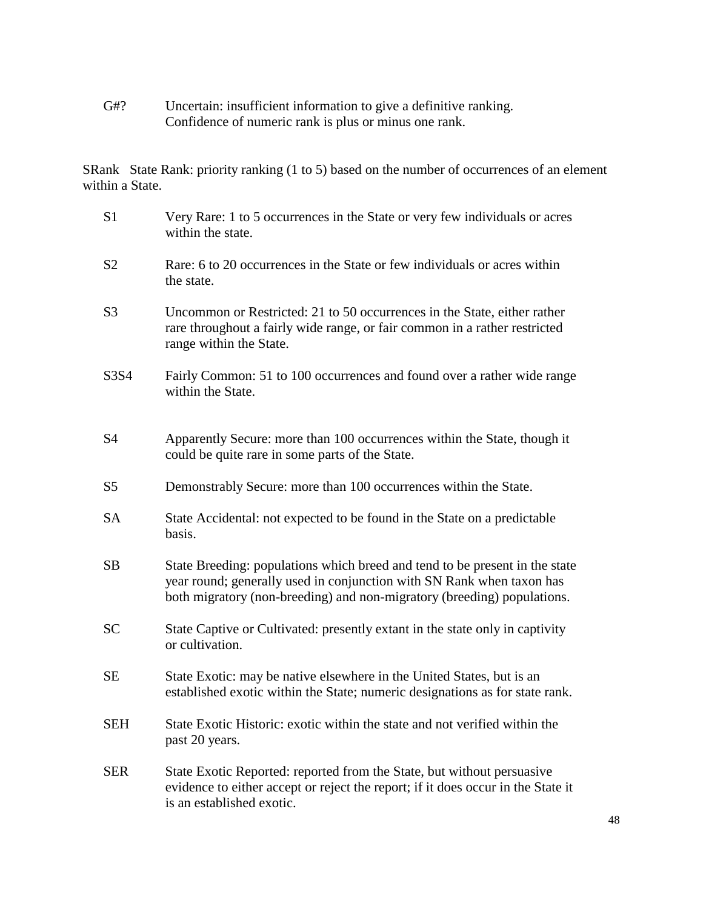G#? Uncertain: insufficient information to give a definitive ranking. Confidence of numeric rank is plus or minus one rank.

SRank State Rank: priority ranking (1 to 5) based on the number of occurrences of an element within a State.

| S <sub>1</sub> | Very Rare: 1 to 5 occurrences in the State or very few individuals or acres<br>within the state.                                                                                                                                |
|----------------|---------------------------------------------------------------------------------------------------------------------------------------------------------------------------------------------------------------------------------|
| S <sub>2</sub> | Rare: 6 to 20 occurrences in the State or few individuals or acres within<br>the state.                                                                                                                                         |
| S <sub>3</sub> | Uncommon or Restricted: 21 to 50 occurrences in the State, either rather<br>rare throughout a fairly wide range, or fair common in a rather restricted<br>range within the State.                                               |
| S3S4           | Fairly Common: 51 to 100 occurrences and found over a rather wide range<br>within the State.                                                                                                                                    |
| <b>S4</b>      | Apparently Secure: more than 100 occurrences within the State, though it<br>could be quite rare in some parts of the State.                                                                                                     |
| S <sub>5</sub> | Demonstrably Secure: more than 100 occurrences within the State.                                                                                                                                                                |
| <b>SA</b>      | State Accidental: not expected to be found in the State on a predictable<br>basis.                                                                                                                                              |
| <b>SB</b>      | State Breeding: populations which breed and tend to be present in the state<br>year round; generally used in conjunction with SN Rank when taxon has<br>both migratory (non-breeding) and non-migratory (breeding) populations. |
| <b>SC</b>      | State Captive or Cultivated: presently extant in the state only in captivity<br>or cultivation.                                                                                                                                 |
| <b>SE</b>      | State Exotic: may be native elsewhere in the United States, but is an<br>established exotic within the State; numeric designations as for state rank.                                                                           |
| <b>SEH</b>     | State Exotic Historic: exotic within the state and not verified within the<br>past 20 years.                                                                                                                                    |
| <b>SER</b>     | State Exotic Reported: reported from the State, but without persuasive<br>evidence to either accept or reject the report; if it does occur in the State it<br>is an established exotic.                                         |